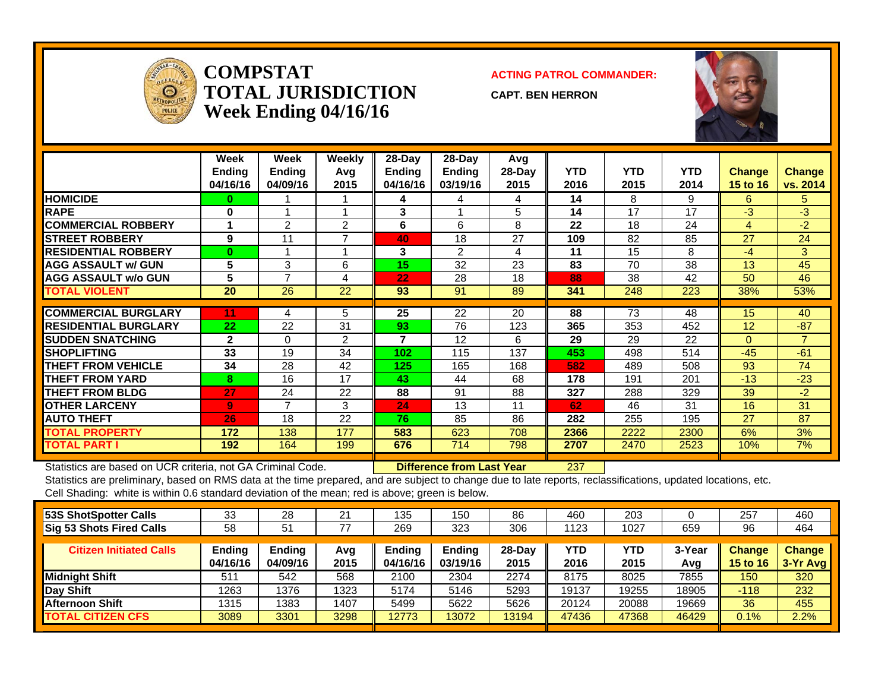

#### **COMPSTATTOTAL JURISDICTIONWeek Ending 04/16/16**

#### **ACTING PATROL COMMANDER:**

**CAPT. BEN HERRON**



|                             | Week<br><b>Ending</b><br>04/16/16 | Week<br><b>Endina</b><br>04/09/16 | Weekly<br>Ava<br>2015 | $28-Day$<br><b>Ending</b><br>04/16/16 | $28$ -Day<br>Ending<br>03/19/16 | Avg<br>$28$ -Day<br>2015 | <b>YTD</b><br>2016 | <b>YTD</b><br>2015 | <b>YTD</b><br>2014 | <b>Change</b><br>15 to 16 | Change<br>vs. 2014 |
|-----------------------------|-----------------------------------|-----------------------------------|-----------------------|---------------------------------------|---------------------------------|--------------------------|--------------------|--------------------|--------------------|---------------------------|--------------------|
| <b>HOMICIDE</b>             | 0                                 |                                   |                       | 4                                     | 4                               | 4                        | 14                 | 8                  | 9                  | 6                         | 5                  |
| <b>RAPE</b>                 | 0                                 |                                   |                       | 3                                     |                                 | 5                        | 14                 | 17                 | 17                 | $-3$                      | -3                 |
| <b>COMMERCIAL ROBBERY</b>   |                                   | 2                                 | 2                     | 6                                     | 6                               | 8                        | 22                 | 18                 | 24                 | 4                         | -2                 |
| <b>STREET ROBBERY</b>       | 9                                 | 11                                |                       | 40                                    | 18                              | 27                       | 109                | 82                 | 85                 | 27                        | 24                 |
| <b>RESIDENTIAL ROBBERY</b>  | $\bf{0}$                          |                                   |                       | 3                                     | 2                               | 4                        | 11                 | 15                 | 8                  | $-4$                      | 3                  |
| <b>AGG ASSAULT w/ GUN</b>   | 5                                 | 3                                 | 6                     | 15                                    | 32                              | 23                       | 83                 | 70                 | 38                 | 13                        | 45                 |
| <b>AGG ASSAULT w/o GUN</b>  | 5                                 | 7                                 | 4                     | 22                                    | 28                              | 18                       | 88                 | 38                 | 42                 | 50                        | 46                 |
| <b>TOTAL VIOLENT</b>        | 20                                | 26                                | 22                    | 93                                    | 91                              | 89                       | 341                | 248                | 223                | 38%                       | 53%                |
|                             |                                   |                                   |                       |                                       |                                 |                          |                    |                    |                    |                           |                    |
| <b>COMMERCIAL BURGLARY</b>  | 11                                | 4                                 | 5                     | 25                                    | $\overline{22}$                 | 20                       | 88                 | 73                 | 48                 | 15                        | 40                 |
| <b>RESIDENTIAL BURGLARY</b> | 22                                | 22                                | 31                    | 93                                    | 76                              | 123                      | 365                | 353                | 452                | 12                        | $-87$              |
| <b>ISUDDEN SNATCHING</b>    | $\mathbf{2}$                      | $\Omega$                          | 2                     | 7                                     | 12                              | 6                        | 29                 | 29                 | 22                 | $\Omega$                  | $\overline{7}$     |
| <b>ISHOPLIFTING</b>         | 33                                | 19                                | 34                    | 102                                   | 115                             | 137                      | 453                | 498                | 514                | $-45$                     | $-61$              |
| <b>THEFT FROM VEHICLE</b>   | 34                                | 28                                | 42                    | 125                                   | 165                             | 168                      | 582                | 489                | 508                | 93                        | 74                 |
| <b>THEFT FROM YARD</b>      | 8                                 | 16                                | 17                    | 43                                    | 44                              | 68                       | 178                | 191                | 201                | $-13$                     | $-23$              |
| <b>THEFT FROM BLDG</b>      | 27                                | 24                                | 22                    | 88                                    | 91                              | 88                       | 327                | 288                | 329                | 39                        | $-2$               |
| <b>OTHER LARCENY</b>        | 9                                 | $\overline{7}$                    | 3                     | 24                                    | 13                              | 11                       | 62                 | 46                 | 31                 | 16                        | 31                 |
| <b>AUTO THEFT</b>           | 26                                | 18                                | 22                    | 76                                    | 85                              | 86                       | 282                | 255                | 195                | 27                        | 87                 |
| <b>TOTAL PROPERTY</b>       | 172                               | 138                               | 177                   | 583                                   | 623                             | 708                      | 2366               | 2222               | 2300               | 6%                        | 3%                 |
| <b>TOTAL PART I</b>         | 192                               | 164                               | 199                   | 676                                   | 714                             | 798                      | 2707               | 2470               | 2523               | 10%                       | 7%                 |

Statistics are based on UCR criteria, not GA Criminal Code. **Difference from Last Year** 237

Statistics are preliminary, based on RMS data at the time prepared, and are subject to change due to late reports, reclassifications, updated locations, etc. Cell Shading: white is within 0.6 standard deviation of the mean; red is above; green is below.

| 53S ShotSpotter Calls           | 33                 | 28                 | 21          | 135                | 150                | 86               | 460         | 203         |               | 257                       | 460                         |
|---------------------------------|--------------------|--------------------|-------------|--------------------|--------------------|------------------|-------------|-------------|---------------|---------------------------|-----------------------------|
| <b>Sig 53 Shots Fired Calls</b> | 58                 | 51                 | 77          | 269                | 323                | 306              | 1123        | 1027        | 659           | 96                        | 464                         |
| <b>Citizen Initiated Calls</b>  | Ending<br>04/16/16 | Ending<br>04/09/16 | Avg<br>2015 | Ending<br>04/16/16 | Ending<br>03/19/16 | $28-Day$<br>2015 | YTD<br>2016 | YTD<br>2015 | 3-Year<br>Avg | <b>Change</b><br>15 to 16 | <b>Change</b><br>$3-Yr$ Avg |
| Midnight Shift                  | 511                | 542                | 568         | 2100               | 2304               | 2274             | 8175        | 8025        | 7855          | 150                       | 320                         |
| Day Shift                       | 1263               | 1376               | 1323        | 5174               | 5146               | 5293             | 19137       | 19255       | 18905         | $-118$                    | 232                         |
| <b>Afternoon Shift</b>          | 1315               | 1383               | 1407        | 5499               | 5622               | 5626             | 20124       | 20088       | 19669         | 36                        | 455                         |
| <b>TOTAL CITIZEN CFS</b>        | 3089               | 3301               | 3298        | 12773              | 13072              | 13194            | 47436       | 47368       | 46429         | $0.1\%$                   | 2.2%                        |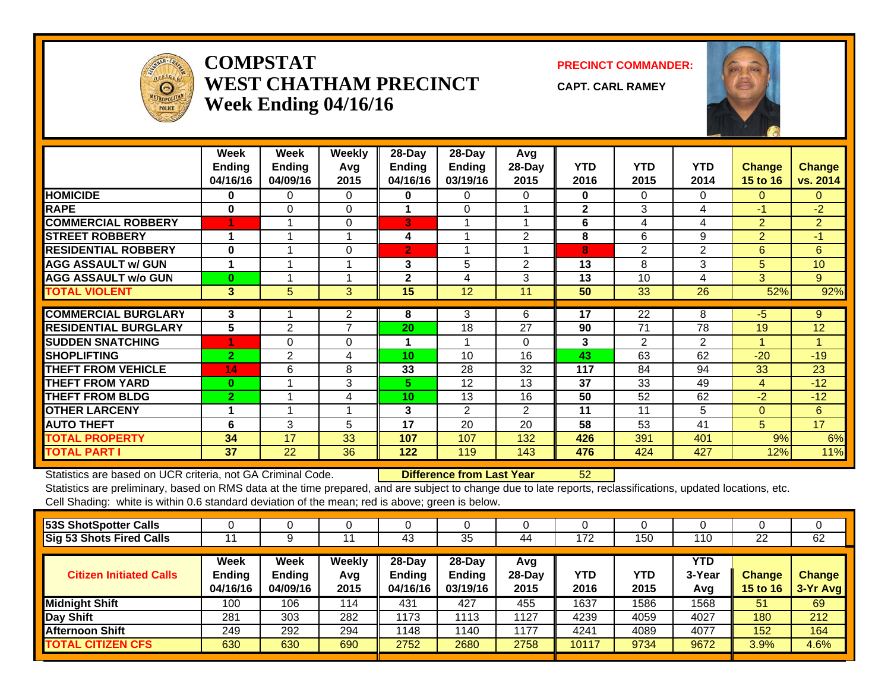

#### **COMPSTATWEST CHATHAM PRECINCTWeek Ending 04/16/16**

**PRECINCT COMMANDER:**

**CAPT. CARL RAMEY**



|                             | Week<br><b>Ending</b><br>04/16/16 | Week<br><b>Ending</b><br>04/09/16 | <b>Weekly</b><br>Avg<br>2015 | 28-Day<br>Ending<br>04/16/16 | $28$ -Day<br>Ending<br>03/19/16 | Avg<br>$28-Day$<br>2015 | <b>YTD</b><br>2016 | <b>YTD</b><br>2015 | <b>YTD</b><br>2014 | Change<br>15 to 16   | <b>Change</b><br>vs. 2014 |
|-----------------------------|-----------------------------------|-----------------------------------|------------------------------|------------------------------|---------------------------------|-------------------------|--------------------|--------------------|--------------------|----------------------|---------------------------|
| <b>HOMICIDE</b>             | 0                                 | $\Omega$                          | $\Omega$                     | 0                            | 0                               | 0                       | 0                  | 0                  | $\mathbf{0}$       | $\Omega$             | $\Omega$                  |
| <b>RAPE</b>                 | $\bf{0}$                          | 0                                 | 0                            |                              | 0                               |                         | $\mathbf{2}$       | 3                  | 4                  | $-1$                 | $-2$                      |
| <b>COMMERCIAL ROBBERY</b>   |                                   |                                   | $\Omega$                     | 3                            |                                 |                         | 6                  | 4                  | 4                  | $\overline{2}$       | $\overline{2}$            |
| <b>ISTREET ROBBERY</b>      | 4                                 |                                   |                              | 4                            |                                 | $\mathfrak{p}$          | 8                  | 6                  | 9                  | $\overline{2}$       | $-1$                      |
| <b>RESIDENTIAL ROBBERY</b>  | $\bf{0}$                          |                                   | 0                            | $\mathbf{2}$                 | $\overline{\mathbf{A}}$         |                         | 8                  | $\overline{2}$     | 2                  | 6                    | 6                         |
| <b>AGG ASSAULT w/ GUN</b>   | 1                                 |                                   |                              | 3                            | 5                               | $\overline{2}$          | 13                 | 8                  | 3                  | 5                    | 10                        |
| <b>AGG ASSAULT w/o GUN</b>  | $\bf{0}$                          |                                   |                              | $\mathbf{2}$                 | 4                               | 3                       | 13                 | 10                 | 4                  | 3                    | 9                         |
| <b>TOTAL VIOLENT</b>        | 3                                 | 5                                 | 3 <sup>1</sup>               | 15                           | 12                              | 11                      | 50                 | 33                 | 26                 | 52%                  | 92%                       |
| <b>COMMERCIAL BURGLARY</b>  | 3                                 |                                   | 2                            | 8                            | 3                               | 6                       | 17                 | 22                 | 8                  | -5                   | 9                         |
| <b>RESIDENTIAL BURGLARY</b> | 5                                 | 2                                 | $\overline{ }$               | 20                           | 18                              | 27                      | 90                 | 71                 | 78                 | 19                   | 12                        |
| <b>SUDDEN SNATCHING</b>     |                                   | 0                                 | 0                            | 1                            | $\overline{\mathbf{A}}$         | $\Omega$                | 3                  | $\overline{2}$     | 2                  | $\blacktriangleleft$ | 4                         |
| <b>SHOPLIFTING</b>          | $\overline{2}$                    | $\overline{2}$                    | 4                            | 10                           | 10                              | 16                      | 43                 | 63                 | 62                 | $-20$                | $-19$                     |
| <b>THEFT FROM VEHICLE</b>   | 14                                | 6                                 | 8                            | 33                           | 28                              | 32                      | 117                | 84                 | 94                 | 33                   | 23                        |
| <b>THEFT FROM YARD</b>      | $\bf{0}$                          |                                   | 3                            | 5.                           | 12                              | 13                      | 37                 | 33                 | 49                 | 4                    | $-12$                     |
| <b>THEFT FROM BLDG</b>      | $\overline{2}$                    |                                   | 4                            | 10                           | 13                              | 16                      | 50                 | 52                 | 62                 | $-2$                 | $-12$                     |
| <b>OTHER LARCENY</b>        |                                   |                                   |                              | 3                            | 2                               | $\overline{2}$          | 11                 | 11                 | 5                  | $\Omega$             | 6                         |
| <b>AUTO THEFT</b>           | 6                                 | 3                                 | 5                            | 17                           | 20                              | 20                      | 58                 | 53                 | 41                 | 5                    | 17                        |
| <b>TOTAL PROPERTY</b>       | 34                                | 17                                | 33                           | 107                          | 107                             | 132                     | 426                | 391                | 401                | 9%                   | 6%                        |
| <b>TOTAL PART I</b>         | 37                                | 22                                | 36                           | 122                          | 119                             | 143                     | 476                | 424                | 427                | 12%                  | 11%                       |

Statistics are based on UCR criteria, not GA Criminal Code. **Difference from Last Year** 52

Statistics are preliminary, based on RMS data at the time prepared, and are subject to change due to late reports, reclassifications, updated locations, etc. Cell Shading: white is within 0.6 standard deviation of the mean; red is above; green is below.

| 53S ShotSpotter Calls           |                                          |                                          |                       |                                        |                                       |                         |             |             |                      |                                  |                           |
|---------------------------------|------------------------------------------|------------------------------------------|-----------------------|----------------------------------------|---------------------------------------|-------------------------|-------------|-------------|----------------------|----------------------------------|---------------------------|
| <b>Sig 53 Shots Fired Calls</b> |                                          |                                          |                       | 43                                     | 35                                    | 44                      | 172         | 150         | 110                  | 22                               | 62                        |
| <b>Citizen Initiated Calls</b>  | <b>Week</b><br><b>Ending</b><br>04/16/16 | <b>Week</b><br><b>Ending</b><br>04/09/16 | Weekly<br>Avg<br>2015 | $28$ -Day<br><b>Endina</b><br>04/16/16 | $28-Dav$<br><b>Ending</b><br>03/19/16 | Avg<br>$28-Day$<br>2015 | YTD<br>2016 | YTD<br>2015 | YTD<br>3-Year<br>Avg | <b>Change</b><br><b>15 to 16</b> | <b>Change</b><br>3-Yr Avg |
| Midnight Shift                  | 100                                      | 106                                      | 114                   | 431                                    | 427                                   | 455                     | 1637        | 1586        | 1568                 | 51                               | 69                        |
| Day Shift                       | 281                                      | 303                                      | 282                   | 1173                                   | 1113                                  | 1127                    | 4239        | 4059        | 4027                 | 180                              | 212                       |
| <b>Afternoon Shift</b>          | 249                                      | 292                                      | 294                   | 1148                                   | 1140                                  | 1177                    | 4241        | 4089        | 4077                 | 152                              | 164                       |
| <b>TOTAL CITIZEN CFS</b>        | 630                                      | 630                                      | 690                   | 2752                                   | 2680                                  | 2758                    | 10117       | 9734        | 9672                 | 3.9%                             | 4.6%                      |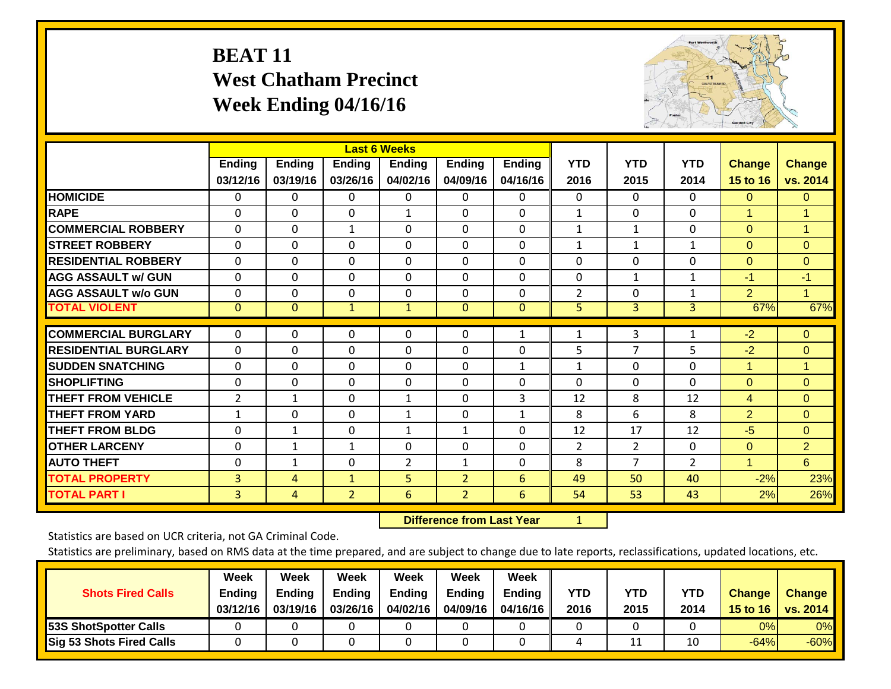# **BEAT 11 West Chatham Precinct Week Ending 04/16/16**



|                             |                |                |                | <b>Last 6 Weeks</b> |                |               |                |                |                |                |                |
|-----------------------------|----------------|----------------|----------------|---------------------|----------------|---------------|----------------|----------------|----------------|----------------|----------------|
|                             | <b>Ending</b>  | <b>Ending</b>  | <b>Ending</b>  | <b>Ending</b>       | <b>Ending</b>  | <b>Ending</b> | <b>YTD</b>     | <b>YTD</b>     | <b>YTD</b>     | Change         | <b>Change</b>  |
|                             | 03/12/16       | 03/19/16       | 03/26/16       | 04/02/16            | 04/09/16       | 04/16/16      | 2016           | 2015           | 2014           | 15 to 16       | vs. 2014       |
| <b>HOMICIDE</b>             | 0              | 0              | 0              | $\Omega$            | $\Omega$       | 0             | $\Omega$       | $\Omega$       | $\Omega$       | $\Omega$       | $\mathbf{0}$   |
| <b>RAPE</b>                 | 0              | $\Omega$       | $\Omega$       | 1                   | $\Omega$       | 0             | $\mathbf{1}$   | $\Omega$       | $\Omega$       | $\mathbf{1}$   |                |
| <b>COMMERCIAL ROBBERY</b>   | 0              | $\Omega$       | $\mathbf{1}$   | 0                   | $\Omega$       | 0             | $\mathbf{1}$   | 1              | $\Omega$       | $\Omega$       | $\mathbf{1}$   |
| <b>STREET ROBBERY</b>       | 0              | $\Omega$       | $\Omega$       | 0                   | $\Omega$       | 0             | 1              | $\mathbf{1}$   | $\mathbf{1}$   | $\Omega$       | $\overline{0}$ |
| <b>RESIDENTIAL ROBBERY</b>  | $\Omega$       | $\mathbf 0$    | $\Omega$       | $\Omega$            | $\Omega$       | 0             | $\Omega$       | $\Omega$       | $\Omega$       | $\Omega$       | $\Omega$       |
| <b>AGG ASSAULT w/ GUN</b>   | $\mathbf 0$    | 0              | 0              | $\mathbf 0$         | $\mathbf 0$    | 0             | $\mathbf 0$    | $\mathbf{1}$   | $\mathbf{1}$   | $-1$           | $-1$           |
| <b>AGG ASSAULT w/o GUN</b>  | 0              | 0              | 0              | 0                   | $\Omega$       | 0             | $\overline{2}$ | $\Omega$       | $\mathbf{1}$   | $\overline{2}$ | 1              |
| <b>TOTAL VIOLENT</b>        | $\overline{0}$ | $\mathbf{0}$   | $\mathbf{1}$   | $\mathbf{1}$        | $\mathbf{0}$   | $\mathbf{0}$  | 5              | 3              | 3              | 67%            | 67%            |
| <b>COMMERCIAL BURGLARY</b>  | 0              | 0              | 0              | 0                   | 0              | $\mathbf{1}$  | $\mathbf 1$    | 3              | 1              | $-2$           | $\overline{0}$ |
|                             |                |                |                |                     |                |               |                |                |                |                |                |
| <b>RESIDENTIAL BURGLARY</b> | $\mathbf 0$    | 0              | 0              | $\mathbf 0$         | $\Omega$       | 0             | 5              | $\overline{7}$ | 5              | $-2$           | $\overline{0}$ |
| <b>SUDDEN SNATCHING</b>     | 0              | 0              | 0              | 0                   | $\Omega$       | $\mathbf{1}$  | $\mathbf{1}$   | $\Omega$       | $\mathbf 0$    | 1              | $\mathbf{1}$   |
| <b>SHOPLIFTING</b>          | $\Omega$       | 0              | 0              | 0                   | $\Omega$       | 0             | $\Omega$       | $\Omega$       | $\Omega$       | $\Omega$       | $\Omega$       |
| <b>THEFT FROM VEHICLE</b>   | $\overline{2}$ | $\mathbf{1}$   | $\Omega$       | $\mathbf{1}$        | $\Omega$       | 3             | 12             | 8              | 12             | $\overline{4}$ | $\overline{0}$ |
| <b>THEFT FROM YARD</b>      | 1              | $\Omega$       | 0              | $\mathbf{1}$        | $\Omega$       | $\mathbf{1}$  | 8              | 6              | 8              | $\overline{2}$ | $\Omega$       |
| <b>THEFT FROM BLDG</b>      | $\Omega$       | $\mathbf{1}$   | 0              | 1                   | $\mathbf{1}$   | 0             | 12             | 17             | 12             | $-5$           | $\Omega$       |
| <b>OTHER LARCENY</b>        | $\mathbf 0$    | $\mathbf{1}$   | $\mathbf{1}$   | $\mathbf 0$         | $\mathbf 0$    | 0             | $\overline{2}$ | $\overline{2}$ | $\mathbf 0$    | $\overline{0}$ | $\overline{2}$ |
| <b>AUTO THEFT</b>           | 0              | $\mathbf{1}$   | 0              | $\overline{2}$      | $\mathbf{1}$   | 0             | 8              | $\overline{7}$ | $\overline{2}$ | $\mathbf{1}$   | $6^{\circ}$    |
| <b>TOTAL PROPERTY</b>       | 3              | 4              | $\mathbf{1}$   | 5                   | $\overline{2}$ | 6             | 49             | 50             | 40             | $-2%$          | 23%            |
| <b>TOTAL PART I</b>         | $\overline{3}$ | $\overline{4}$ | $\overline{2}$ | 6                   | 2 <sup>1</sup> | 6             | 54             | 53             | 43             | 2%             | 26%            |

 **Difference from Last Year**r 1

Statistics are based on UCR criteria, not GA Criminal Code.

| <b>Shots Fired Calls</b>     | Week<br>Ending<br>03/12/16 | Week<br><b>Ending</b><br>03/19/16 | <b>Week</b><br><b>Ending</b><br>03/26/16 | <b>Week</b><br><b>Ending</b><br>04/02/16 | Week<br><b>Ending</b><br>04/09/16 | Week<br>Ending<br>04/16/16 | YTD<br>2016 | YTD<br>2015 | YTD<br>2014 | <b>Change</b><br>15 to 16 | <b>Change</b><br>vs. 2014 |
|------------------------------|----------------------------|-----------------------------------|------------------------------------------|------------------------------------------|-----------------------------------|----------------------------|-------------|-------------|-------------|---------------------------|---------------------------|
| <b>53S ShotSpotter Calls</b> |                            |                                   |                                          |                                          |                                   |                            |             |             |             | 0%                        | 0%                        |
| Sig 53 Shots Fired Calls     |                            |                                   |                                          |                                          |                                   |                            |             | ᆠ           | 10          | $-64%$                    | $-60%$                    |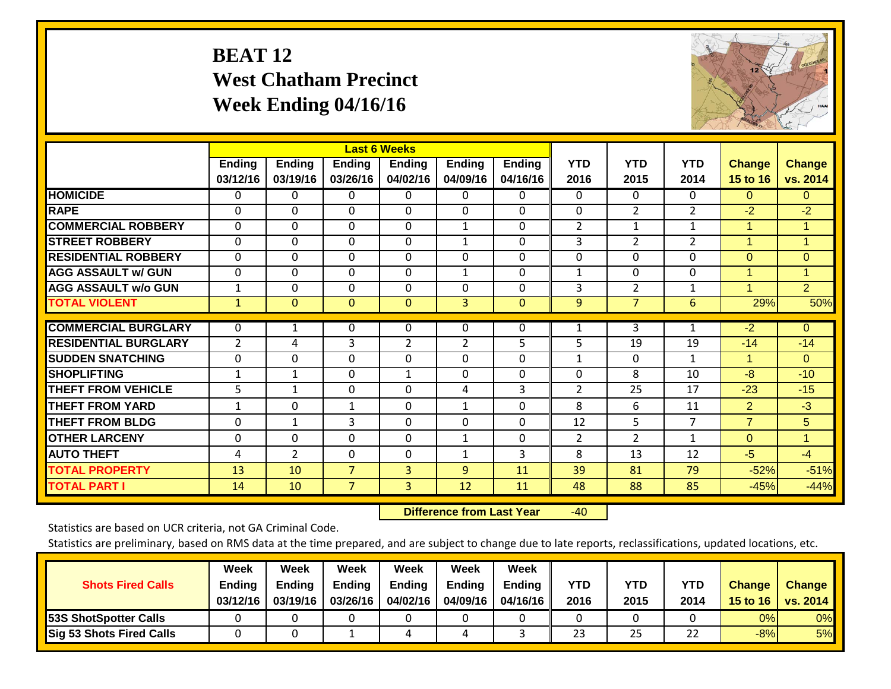# **BEAT 12 West Chatham Precinct Week Ending 04/16/16**



|                             |                |                |                | <b>Last 6 Weeks</b> |               |               |                |                |                |                      |                |
|-----------------------------|----------------|----------------|----------------|---------------------|---------------|---------------|----------------|----------------|----------------|----------------------|----------------|
|                             | Ending         | <b>Ending</b>  | <b>Ending</b>  | <b>Ending</b>       | <b>Ending</b> | <b>Ending</b> | <b>YTD</b>     | <b>YTD</b>     | <b>YTD</b>     | <b>Change</b>        | <b>Change</b>  |
|                             | 03/12/16       | 03/19/16       | 03/26/16       | 04/02/16            | 04/09/16      | 04/16/16      | 2016           | 2015           | 2014           | 15 to 16             | vs. 2014       |
| <b>HOMICIDE</b>             | 0              | 0              | 0              | $\Omega$            | 0             | 0             | $\Omega$       | $\Omega$       | $\Omega$       | $\Omega$             | 0              |
| <b>RAPE</b>                 | $\Omega$       | $\Omega$       | 0              | $\Omega$            | $\Omega$      | $\Omega$      | $\Omega$       | $\overline{2}$ | $\overline{2}$ | $-2$                 | $-2$           |
| <b>COMMERCIAL ROBBERY</b>   | 0              | $\Omega$       | 0              | 0                   | 1             | 0             | $\overline{2}$ | 1              | 1              | $\mathbf 1$          | 1              |
| <b>STREET ROBBERY</b>       | $\Omega$       | $\Omega$       | 0              | $\Omega$            | $\mathbf{1}$  | $\Omega$      | 3              | $\overline{2}$ | $\overline{2}$ | $\blacktriangleleft$ | 1              |
| <b>RESIDENTIAL ROBBERY</b>  | $\mathbf{0}$   | $\Omega$       | $\Omega$       | $\Omega$            | $\Omega$      | $\Omega$      | $\mathbf{0}$   | $\Omega$       | $\Omega$       | $\Omega$             | $\overline{0}$ |
| <b>AGG ASSAULT w/ GUN</b>   | 0              | $\Omega$       | $\Omega$       | 0                   | $\mathbf{1}$  | $\Omega$      | $\mathbf{1}$   | $\Omega$       | $\Omega$       | $\mathbf{1}$         | 1              |
| <b>AGG ASSAULT w/o GUN</b>  | 1              | $\Omega$       | $\Omega$       | $\Omega$            | $\Omega$      | $\Omega$      | 3              | $\overline{2}$ | $\mathbf{1}$   | $\overline{1}$       | $\overline{2}$ |
| <b>TOTAL VIOLENT</b>        | $\mathbf{1}$   | $\Omega$       | $\overline{0}$ | $\mathbf{0}$        | 3             | $\Omega$      | 9              | $\overline{7}$ | 6              | 29%                  | 50%            |
| <b>COMMERCIAL BURGLARY</b>  |                |                | 0              | $\Omega$            | $\mathbf{0}$  | 0             | $\mathbf{1}$   | 3              | 1              | $-2$                 | $\overline{0}$ |
|                             | $\mathbf 0$    | 1              |                |                     |               |               |                |                |                |                      |                |
| <b>RESIDENTIAL BURGLARY</b> | $\overline{2}$ | 4              | 3              | $\overline{2}$      | 2             | 5             | 5              | 19             | 19             | $-14$                | $-14$          |
| <b>SUDDEN SNATCHING</b>     | $\Omega$       | $\Omega$       | 0              | $\Omega$            | $\Omega$      | $\Omega$      | $\mathbf{1}$   | $\Omega$       | $\mathbf{1}$   | 1                    | $\overline{0}$ |
| <b>SHOPLIFTING</b>          | 1              | $\mathbf{1}$   | 0              | 1                   | $\Omega$      | 0             | 0              | 8              | 10             | $-8$                 | $-10$          |
| <b>THEFT FROM VEHICLE</b>   | 5              | $\mathbf{1}$   | 0              | 0                   | 4             | 3             | $\overline{2}$ | 25             | 17             | $-23$                | $-15$          |
| <b>THEFT FROM YARD</b>      | 1              | $\Omega$       | $\mathbf{1}$   | $\Omega$            | $\mathbf{1}$  | $\Omega$      | 8              | 6              | 11             | 2                    | $-3$           |
| <b>THEFT FROM BLDG</b>      | 0              | $\mathbf{1}$   | 3              | $\Omega$            | $\Omega$      | $\Omega$      | 12             | 5.             | 7              | $\overline{7}$       | 5              |
| <b>OTHER LARCENY</b>        | $\Omega$       | $\Omega$       | $\Omega$       | $\Omega$            | 1             | $\Omega$      | 2              | $\overline{2}$ | 1              | $\Omega$             | 1              |
| <b>AUTO THEFT</b>           | 4              | $\overline{2}$ | 0              | $\Omega$            | 1             | 3             | 8              | 13             | 12             | $-5$                 | $-4$           |
| <b>TOTAL PROPERTY</b>       | 13             | 10             | $\overline{7}$ | 3                   | 9             | 11            | 39             | 81             | 79             | $-52%$               | $-51%$         |
| <b>TOTAL PART I</b>         | 14             | 10             | $\overline{7}$ | 3                   | 12            | 11            | 48             | 88             | 85             | $-45%$               | $-44%$         |

 **Difference from Last Year** $-40$ 

Statistics are based on UCR criteria, not GA Criminal Code.

|                                 | Week     | Week          | Week          | <b>Week</b> | Week          | Week          |      |      |      |               |               |
|---------------------------------|----------|---------------|---------------|-------------|---------------|---------------|------|------|------|---------------|---------------|
| <b>Shots Fired Calls</b>        | Ending   | <b>Ending</b> | <b>Ending</b> | Ending      | <b>Ending</b> | <b>Ending</b> | YTD  | YTD  | YTD  | <b>Change</b> | <b>Change</b> |
|                                 | 03/12/16 | 03/19/16      | 03/26/16      | 04/02/16    | 04/09/16      | 04/16/16      | 2016 | 2015 | 2014 | 15 to 16      | vs. 2014      |
| <b>53S ShotSpotter Calls</b>    |          |               |               |             |               |               |      |      |      | 0%I           | 0%            |
| <b>Sig 53 Shots Fired Calls</b> |          |               |               |             | 4             |               | 23   | 25   | 22   | $-8%$         | 5%            |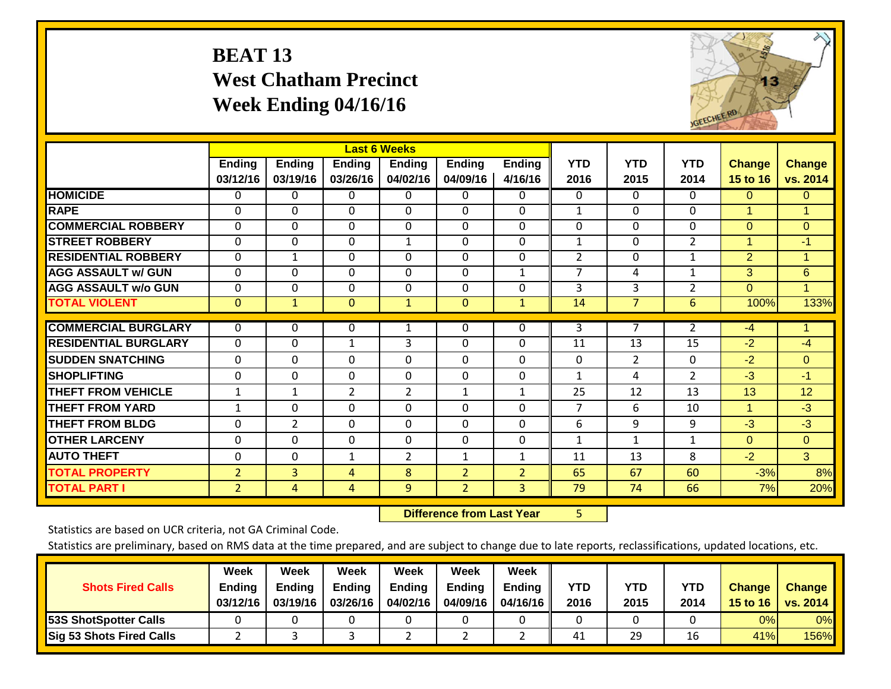# **BEAT 13 West Chatham Precinct Week Ending 04/16/16**



|                             |                |                |                | <b>Last 6 Weeks</b> |                |                |                 |                |                |             |                |
|-----------------------------|----------------|----------------|----------------|---------------------|----------------|----------------|-----------------|----------------|----------------|-------------|----------------|
|                             | Ending         | <b>Ending</b>  | Ending         | <b>Ending</b>       | <b>Ending</b>  | <b>Ending</b>  | <b>YTD</b>      | <b>YTD</b>     | <b>YTD</b>     | Change      | <b>Change</b>  |
|                             | 03/12/16       | 03/19/16       | 03/26/16       | 04/02/16            | 04/09/16       | 4/16/16        | 2016            | 2015           | 2014           | 15 to 16    | vs. 2014       |
| <b>HOMICIDE</b>             | 0              | 0              | 0              | 0                   | 0              | 0              | $\Omega$        | $\Omega$       | 0              | $\Omega$    | $\Omega$       |
| <b>RAPE</b>                 | $\Omega$       | $\Omega$       | 0              | $\Omega$            | $\Omega$       | 0              | $\mathbf{1}$    | 0              | $\Omega$       | 1           |                |
| <b>COMMERCIAL ROBBERY</b>   | $\Omega$       | $\Omega$       | $\Omega$       | $\Omega$            | $\Omega$       | 0              | $\Omega$        | $\Omega$       | $\Omega$       | $\Omega$    | $\Omega$       |
| <b>STREET ROBBERY</b>       | $\mathbf 0$    | $\mathbf 0$    | $\Omega$       | $\mathbf{1}$        | $\Omega$       | 0              | $\mathbf{1}$    | $\Omega$       | $\overline{2}$ | 1           | $-1$           |
| <b>RESIDENTIAL ROBBERY</b>  | $\Omega$       | $\mathbf{1}$   | $\Omega$       | $\Omega$            | $\Omega$       | 0              | 2               | $\Omega$       | $\mathbf{1}$   | 2           | 1              |
| <b>AGG ASSAULT w/ GUN</b>   | $\mathbf 0$    | $\Omega$       | $\Omega$       | $\mathbf 0$         | $\Omega$       | $\mathbf{1}$   | $\overline{7}$  | 4              | $\mathbf{1}$   | 3           | $6\phantom{1}$ |
| <b>AGG ASSAULT w/o GUN</b>  | $\Omega$       | $\Omega$       | $\Omega$       | $\Omega$            | $\Omega$       | 0              | 3               | 3              | $\overline{2}$ | $\Omega$    |                |
| <b>TOTAL VIOLENT</b>        | $\overline{0}$ | $\mathbf{1}$   | $\mathbf{0}$   | $\mathbf{1}$        | $\mathbf{0}$   | $\mathbf{1}$   | $\overline{14}$ | $\overline{7}$ | 6              | 100%        | 133%           |
| <b>COMMERCIAL BURGLARY</b>  | 0              | 0              | 0              |                     | $\mathbf{0}$   | 0              | 3               | 7              | $\overline{2}$ | $-4$        |                |
|                             |                |                |                | 1                   |                |                |                 |                |                |             |                |
| <b>RESIDENTIAL BURGLARY</b> | 0              | $\Omega$       | $\mathbf{1}$   | 3                   | $\Omega$       | 0              | 11              | 13             | 15             | $-2$        | $-4$           |
| <b>ISUDDEN SNATCHING</b>    | $\Omega$       | $\Omega$       | 0              | $\Omega$            | $\Omega$       | $\Omega$       | $\Omega$        | $\overline{2}$ | $\Omega$       | $-2$        | $\Omega$       |
| <b>SHOPLIFTING</b>          | $\Omega$       | $\Omega$       | $\Omega$       | $\Omega$            | $\Omega$       | 0              | $\mathbf{1}$    | 4              | $\overline{2}$ | $-3$        | $-1$           |
| <b>THEFT FROM VEHICLE</b>   | $\mathbf{1}$   | $\mathbf{1}$   | $\overline{2}$ | $\overline{2}$      | $\mathbf{1}$   | $\mathbf{1}$   | 25              | 12             | 13             | 13          | 12             |
| <b>THEFT FROM YARD</b>      | 1              | 0              | 0              | 0                   | $\Omega$       | 0              | $\overline{7}$  | 6              | 10             | $\mathbf 1$ | $-3$           |
| <b>THEFT FROM BLDG</b>      | $\Omega$       | $\overline{2}$ | 0              | $\Omega$            | $\Omega$       | 0              | 6               | 9              | 9              | $-3$        | $-3$           |
| <b>OTHER LARCENY</b>        | 0              | 0              | 0              | 0                   | $\Omega$       | 0              | $\mathbf{1}$    | 1              | $\mathbf{1}$   | $\Omega$    | $\overline{0}$ |
| <b>AUTO THEFT</b>           | $\Omega$       | 0              | $\mathbf{1}$   | $\overline{2}$      | 1              | $\mathbf{1}$   | 11              | 13             | 8              | $-2$        | 3              |
| <b>TOTAL PROPERTY</b>       | $\overline{2}$ | 3              | 4              | 8                   | $\overline{2}$ | $\overline{2}$ | 65              | 67             | 60             | $-3%$       | 8%             |
| <b>TOTAL PART I</b>         | $\overline{2}$ | $\overline{4}$ | 4              | 9                   | $\overline{2}$ | 3              | 79              | 74             | 66             | 7%          | 20%            |

 **Difference from Last Year**r 5

Statistics are based on UCR criteria, not GA Criminal Code.

|                                 | Week     | Week          | <b>Week</b>   | Week     | Week          | Week          |      |      |      |               |               |
|---------------------------------|----------|---------------|---------------|----------|---------------|---------------|------|------|------|---------------|---------------|
| <b>Shots Fired Calls</b>        | Ending   | <b>Ending</b> | <b>Ending</b> | Ending   | <b>Ending</b> | <b>Ending</b> | YTD  | YTD  | YTD  | <b>Change</b> | <b>Change</b> |
|                                 | 03/12/16 | 03/19/16      | 03/26/16      | 04/02/16 | 04/09/16      | 04/16/16      | 2016 | 2015 | 2014 | 15 to 16      | vs. 2014      |
| <b>53S ShotSpotter Calls</b>    |          |               |               |          |               |               |      |      |      | 0%I           | 0%            |
| <b>Sig 53 Shots Fired Calls</b> |          |               |               |          |               |               | 41   | 29   | 16   | 41%           | 156%          |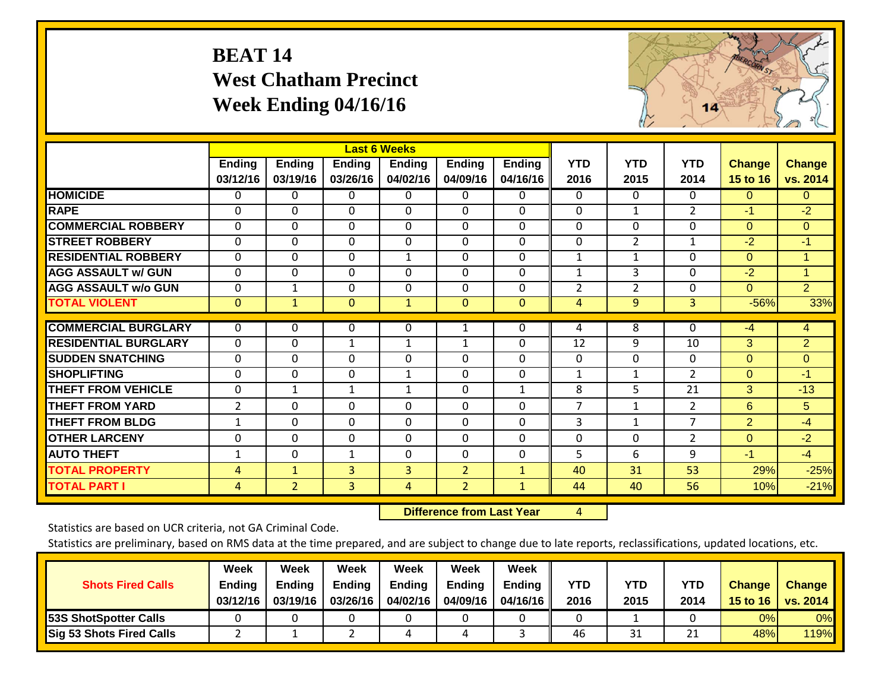# **BEAT 14 West Chatham Precinct Week Ending 04/16/16**



|                             |                |                |              | <b>Last 6 Weeks</b> |                |               |                |                |                |                |                |
|-----------------------------|----------------|----------------|--------------|---------------------|----------------|---------------|----------------|----------------|----------------|----------------|----------------|
|                             | Ending         | <b>Ending</b>  | Ending       | <b>Ending</b>       | <b>Ending</b>  | <b>Ending</b> | <b>YTD</b>     | <b>YTD</b>     | <b>YTD</b>     | <b>Change</b>  | <b>Change</b>  |
|                             | 03/12/16       | 03/19/16       | 03/26/16     | 04/02/16            | 04/09/16       | 04/16/16      | 2016           | 2015           | 2014           | 15 to 16       | vs. 2014       |
| <b>HOMICIDE</b>             | 0              | $\Omega$       | 0            | 0                   | 0              | $\mathbf{0}$  | $\Omega$       | $\Omega$       | $\Omega$       | $\Omega$       | $\mathbf{0}$   |
| <b>RAPE</b>                 | 0              | $\Omega$       | $\Omega$     | 0                   | $\Omega$       | $\Omega$      | 0              | 1              | $\overline{2}$ | $-1$           | $-2$           |
| <b>COMMERCIAL ROBBERY</b>   | 0              | $\Omega$       | $\Omega$     | 0                   | $\Omega$       | $\Omega$      | $\Omega$       | 0              | $\Omega$       | $\Omega$       | $\overline{0}$ |
| <b>STREET ROBBERY</b>       | 0              | $\Omega$       | 0            | $\Omega$            | $\Omega$       | $\Omega$      | $\Omega$       | $\overline{2}$ | 1              | $-2$           | $-1$           |
| <b>RESIDENTIAL ROBBERY</b>  | $\Omega$       | $\Omega$       | $\Omega$     | 1                   | $\Omega$       | $\Omega$      | $\mathbf{1}$   | 1              | $\Omega$       | $\Omega$       | $\mathbf{1}$   |
| <b>AGG ASSAULT w/ GUN</b>   | 0              | $\Omega$       | $\Omega$     | 0                   | $\Omega$       | $\Omega$      | $\mathbf{1}$   | 3              | 0              | $-2$           | 1              |
| <b>AGG ASSAULT w/o GUN</b>  | 0              | $\mathbf 1$    | $\mathbf 0$  | 0                   | $\Omega$       | $\mathbf 0$   | $\overline{2}$ | $\overline{2}$ | 0              | $\mathbf{0}$   | $\overline{2}$ |
| <b>TOTAL VIOLENT</b>        | $\mathbf 0$    | $\mathbf{1}$   | $\mathbf{0}$ | $\mathbf{1}$        | $\mathbf{0}$   | $\mathbf{0}$  | $\overline{4}$ | 9              | $\overline{3}$ | $-56%$         | 33%            |
| <b>COMMERCIAL BURGLARY</b>  | 0              | $\Omega$       | 0            | 0                   | 1              | 0             | 4              | 8              | $\Omega$       | $-4$           | 4              |
| <b>RESIDENTIAL BURGLARY</b> | $\mathbf{0}$   | $\mathbf{0}$   | $\mathbf{1}$ | 1                   | 1              | $\Omega$      | 12             | 9              | 10             | 3              | $\overline{2}$ |
| <b>SUDDEN SNATCHING</b>     | 0              | $\Omega$       | 0            | $\Omega$            | $\Omega$       | $\Omega$      | $\Omega$       | $\Omega$       | $\mathbf{0}$   | $\Omega$       | $\Omega$       |
| <b>SHOPLIFTING</b>          | 0              | $\Omega$       | $\Omega$     | 1                   | $\Omega$       | $\mathbf 0$   | $\mathbf{1}$   | 1              | $\overline{2}$ | $\Omega$       | $-1$           |
| <b>THEFT FROM VEHICLE</b>   | 0              | 1              | $\mathbf{1}$ | $\mathbf{1}$        | $\Omega$       | 1             | 8              | 5              | 21             | 3              | $-13$          |
| <b>THEFT FROM YARD</b>      | $\overline{2}$ | $\mathbf{0}$   | $\Omega$     | $\Omega$            | $\Omega$       | $\Omega$      | $\overline{7}$ | $\mathbf{1}$   | $\overline{2}$ | 6              | 5              |
| <b>THEFT FROM BLDG</b>      | $\mathbf{1}$   | $\Omega$       | $\Omega$     | $\Omega$            | $\Omega$       | $\Omega$      | 3              | $\mathbf{1}$   | 7              | $\overline{2}$ | $-4$           |
| <b>OTHER LARCENY</b>        | 0              | $\Omega$       | 0            | $\Omega$            | $\Omega$       | $\Omega$      | 0              | $\Omega$       | $\overline{2}$ | $\Omega$       | $-2$           |
| <b>AUTO THEFT</b>           | 1              | $\Omega$       | $\mathbf{1}$ | $\Omega$            | $\Omega$       | $\Omega$      | 5              | 6              | 9              | $-1$           | $-4$           |
| <b>TOTAL PROPERTY</b>       | $\overline{4}$ | $\mathbf{1}$   | 3            | 3                   | $\overline{2}$ | $\mathbf{1}$  | 40             | 31             | 53             | 29%            | $-25%$         |
| <b>TOTAL PART I</b>         | 4              | 2 <sup>1</sup> | 3            | 4                   | $\overline{2}$ | $\mathbf{1}$  | 44             | 40             | 56             | 10%            | $-21%$         |

 **Difference from Last Year**

4

Statistics are based on UCR criteria, not GA Criminal Code.

| <b>Shots Fired Calls</b>        | Week<br>Ending<br>03/12/16 | Week<br><b>Ending</b><br>03/19/16 | <b>Week</b><br><b>Ending</b><br>03/26/16 | Week<br><b>Ending</b><br>04/02/16 | Week<br><b>Ending</b><br>04/09/16 | Week<br><b>Ending</b><br>04/16/16 | YTD<br>2016 | YTD<br>2015 | YTD<br>2014 | <b>Change</b><br>15 to 16 | <b>Change</b><br>vs. 2014 |
|---------------------------------|----------------------------|-----------------------------------|------------------------------------------|-----------------------------------|-----------------------------------|-----------------------------------|-------------|-------------|-------------|---------------------------|---------------------------|
| <b>53S ShotSpotter Calls</b>    |                            |                                   |                                          |                                   |                                   |                                   |             |             |             | 0%I                       | 0%                        |
| <b>Sig 53 Shots Fired Calls</b> |                            |                                   |                                          | 4                                 |                                   |                                   | 46          | 31          | 21          | 48%                       | 119%                      |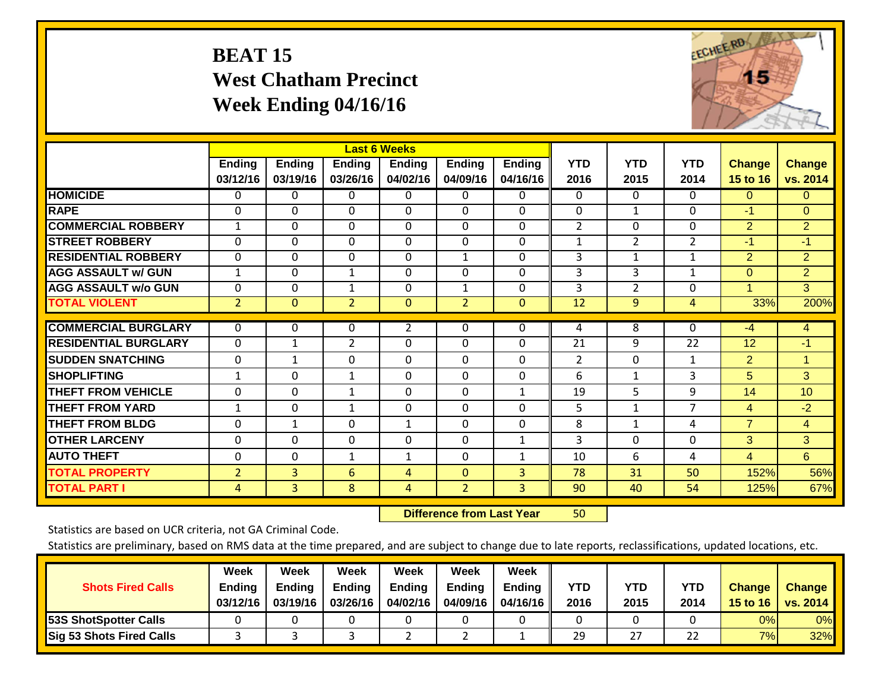# **BEAT 15 West Chatham Precinct Week Ending 04/16/16**



|                             |                    |                           |                    | <b>Last 6 Weeks</b>       |                    |                           |                    |                    |                    |                    |                           |
|-----------------------------|--------------------|---------------------------|--------------------|---------------------------|--------------------|---------------------------|--------------------|--------------------|--------------------|--------------------|---------------------------|
|                             | Ending<br>03/12/16 | <b>Ending</b><br>03/19/16 | Ending<br>03/26/16 | <b>Ending</b><br>04/02/16 | Ending<br>04/09/16 | <b>Ending</b><br>04/16/16 | <b>YTD</b><br>2016 | <b>YTD</b><br>2015 | <b>YTD</b><br>2014 | Change<br>15 to 16 | <b>Change</b><br>vs. 2014 |
| <b>HOMICIDE</b>             | 0                  | $\Omega$                  | 0                  | $\mathbf 0$               | 0                  | 0                         | $\mathbf 0$        | $\mathbf{0}$       | $\Omega$           | $\Omega$           | 0                         |
| <b>RAPE</b>                 | $\Omega$           | $\Omega$                  | $\Omega$           | $\Omega$                  | $\Omega$           | $\Omega$                  | $\Omega$           | $\mathbf{1}$       | 0                  | $-1$               | $\overline{0}$            |
| <b>COMMERCIAL ROBBERY</b>   | $\mathbf{1}$       | $\Omega$                  | $\Omega$           | $\Omega$                  | $\Omega$           | $\Omega$                  | $\overline{2}$     | $\Omega$           | 0                  | $\overline{2}$     | $\overline{2}$            |
| <b>STREET ROBBERY</b>       | $\mathbf 0$        | $\Omega$                  | 0                  | 0                         | $\Omega$           | $\mathbf 0$               | $\mathbf{1}$       | $\overline{2}$     | $\overline{2}$     | $-1$               | $-1$                      |
| <b>RESIDENTIAL ROBBERY</b>  | $\Omega$           | $\Omega$                  | $\Omega$           | $\Omega$                  | 1                  | $\Omega$                  | 3                  | $\mathbf{1}$       | $\mathbf{1}$       | 2                  | $\overline{2}$            |
| <b>AGG ASSAULT w/ GUN</b>   | $\mathbf{1}$       | $\Omega$                  | 1                  | 0                         | $\mathbf{0}$       | $\mathbf 0$               | 3                  | 3                  | $\mathbf{1}$       | $\Omega$           | $\overline{2}$            |
| <b>AGG ASSAULT w/o GUN</b>  | 0                  | 0                         | 1                  | 0                         | $\mathbf{1}$       | 0                         | 3                  | $\overline{2}$     | 0                  | $\overline{1}$     | 3                         |
| <b>TOTAL VIOLENT</b>        | $\overline{2}$     | $\mathbf{0}$              | $\overline{2}$     | $\mathbf 0$               | $\overline{2}$     | $\Omega$                  | $\overline{12}$    | 9                  | 4                  | 33%                | 200%                      |
| <b>COMMERCIAL BURGLARY</b>  | $\Omega$           | $\Omega$                  | 0                  | $\overline{2}$            | $\mathbf{0}$       | 0                         | 4                  | 8                  | $\Omega$           | $-4$               | $\overline{4}$            |
| <b>RESIDENTIAL BURGLARY</b> | $\Omega$           | 1                         | $\overline{2}$     | $\Omega$                  | 0                  | $\Omega$                  | 21                 | 9                  | 22                 | 12                 | $-1$                      |
| <b>SUDDEN SNATCHING</b>     | 0                  | $\mathbf{1}$              | 0                  | $\Omega$                  | $\Omega$           | $\Omega$                  | $\overline{2}$     | 0                  | $\mathbf{1}$       | $\overline{2}$     | $\mathbf{1}$              |
| <b>SHOPLIFTING</b>          | $\mathbf{1}$       | $\Omega$                  | $\mathbf{1}$       | $\Omega$                  | $\Omega$           | $\Omega$                  | 6                  | $\mathbf{1}$       | 3                  | 5                  | 3                         |
| <b>THEFT FROM VEHICLE</b>   | $\mathbf{0}$       | $\Omega$                  | 1                  | $\Omega$                  | $\mathbf{0}$       | $\mathbf{1}$              | 19                 | 5                  | 9                  | 14                 | 10 <sup>°</sup>           |
| <b>THEFT FROM YARD</b>      | 1                  | $\Omega$                  | 1                  | $\Omega$                  | $\Omega$           | $\Omega$                  | 5                  | $\mathbf{1}$       | 7                  | 4                  | $-2$                      |
| <b>THEFT FROM BLDG</b>      | 0                  | 1                         | 0                  | $\mathbf{1}$              | 0                  | $\Omega$                  | 8                  | $\mathbf{1}$       | 4                  | $\overline{7}$     | $\overline{4}$            |
| <b>OTHER LARCENY</b>        | $\Omega$           | $\mathbf 0$               | $\Omega$           | 0                         | $\Omega$           | $\mathbf{1}$              | 3                  | $\Omega$           | 0                  | 3                  | 3                         |
| <b>AUTO THEFT</b>           | 0                  | $\Omega$                  | 1                  | 1                         | $\Omega$           | 1                         | 10                 | 6                  | 4                  | 4                  | 6                         |
| <b>TOTAL PROPERTY</b>       | $\overline{2}$     | 3                         | 6                  | 4                         | $\Omega$           | 3                         | 78                 | 31                 | 50                 | 152%               | 56%                       |
| <b>TOTAL PART I</b>         | 4                  | $\overline{3}$            | 8                  | 4                         | $\overline{2}$     | 3 <sup>1</sup>            | 90                 | 40                 | 54                 | 125%               | 67%                       |

 **Difference from Last Year**r 50

Statistics are based on UCR criteria, not GA Criminal Code.

|                                 | Week     | Week          | <b>Week</b>   | Week     | Week          | Week          |      |      |      |               |               |
|---------------------------------|----------|---------------|---------------|----------|---------------|---------------|------|------|------|---------------|---------------|
| <b>Shots Fired Calls</b>        | Ending   | <b>Ending</b> | <b>Ending</b> | Ending   | <b>Ending</b> | <b>Ending</b> | YTD  | YTD  | YTD  | <b>Change</b> | <b>Change</b> |
|                                 | 03/12/16 | 03/19/16      | 03/26/16      | 04/02/16 | 04/09/16      | 04/16/16      | 2016 | 2015 | 2014 | 15 to 16      | vs. 2014      |
| <b>53S ShotSpotter Calls</b>    |          |               |               |          |               |               |      |      |      | $0\%$         | 0%            |
| <b>Sig 53 Shots Fired Calls</b> |          |               |               |          |               |               | 29   | 27   | 22   | 7%            | 32%           |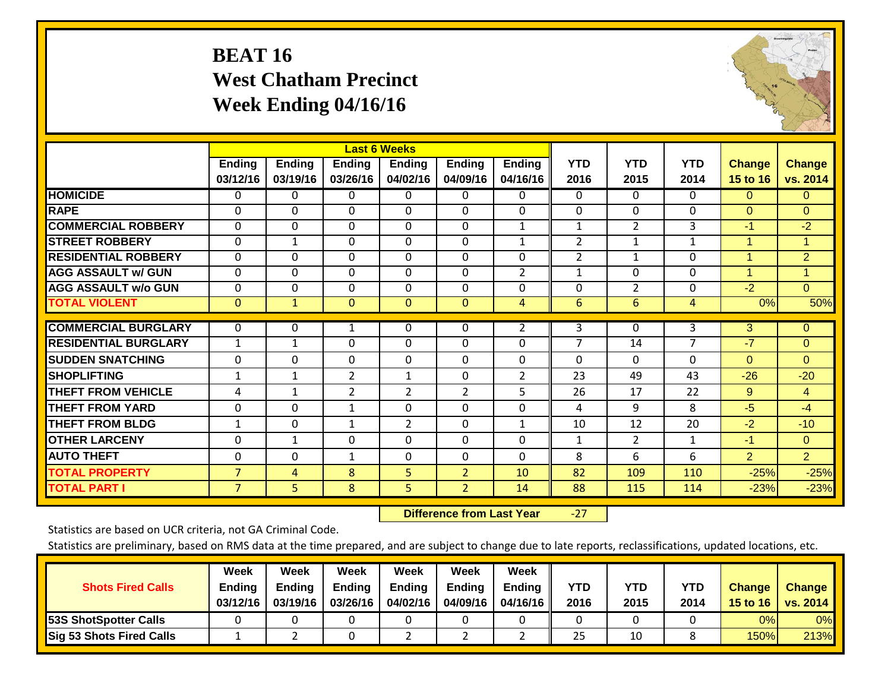# **BEAT 16 West Chatham Precinct Week Ending 04/16/16**



|                             |                |               |                | <b>Last 6 Weeks</b> |                |                |                |                |            |                |                |
|-----------------------------|----------------|---------------|----------------|---------------------|----------------|----------------|----------------|----------------|------------|----------------|----------------|
|                             | Ending         | <b>Ending</b> | Ending         | <b>Ending</b>       | <b>Ending</b>  | Ending         | <b>YTD</b>     | <b>YTD</b>     | <b>YTD</b> | <b>Change</b>  | <b>Change</b>  |
|                             | 03/12/16       | 03/19/16      | 03/26/16       | 04/02/16            | 04/09/16       | 04/16/16       | 2016           | 2015           | 2014       | 15 to 16       | vs. 2014       |
| <b>HOMICIDE</b>             | 0              | 0             | 0              | 0                   | $\Omega$       | 0              | 0              | $\Omega$       | $\Omega$   | $\Omega$       | $\overline{0}$ |
| <b>RAPE</b>                 | $\Omega$       | $\Omega$      | $\Omega$       | $\Omega$            | $\Omega$       | 0              | $\mathbf{0}$   | $\Omega$       | $\Omega$   | $\Omega$       | $\Omega$       |
| <b>COMMERCIAL ROBBERY</b>   | $\Omega$       | $\Omega$      | $\Omega$       | $\Omega$            | $\Omega$       | 1              | 1              | $\overline{2}$ | 3          | $-1$           | $-2$           |
| <b>STREET ROBBERY</b>       | 0              | $\mathbf{1}$  | $\Omega$       | 0                   | $\Omega$       | 1              | $\overline{2}$ | 1              | 1          | 1              |                |
| <b>RESIDENTIAL ROBBERY</b>  | 0              | $\Omega$      | 0              | 0                   | $\Omega$       | $\Omega$       | $\overline{2}$ | $\mathbf{1}$   | $\Omega$   | 1              | $\overline{2}$ |
| <b>AGG ASSAULT w/ GUN</b>   | $\Omega$       | $\Omega$      | 0              | $\Omega$            | $\Omega$       | $\overline{2}$ | $\mathbf{1}$   | $\Omega$       | $\Omega$   | $\mathbf{1}$   | 1              |
| <b>AGG ASSAULT w/o GUN</b>  | $\Omega$       | $\Omega$      | $\Omega$       | $\Omega$            | $\Omega$       | $\Omega$       | $\mathbf{0}$   | 2              | $\Omega$   | $-2$           | $\overline{0}$ |
| <b>TOTAL VIOLENT</b>        | $\overline{0}$ | $\mathbf{1}$  | $\overline{0}$ | $\overline{0}$      | $\mathbf{0}$   | 4              | 6              | 6              | 4          | 0%             | 50%            |
| <b>COMMERCIAL BURGLARY</b>  | $\Omega$       |               |                |                     | $\Omega$       |                | 3              | $\Omega$       | 3          | 3              | $\Omega$       |
|                             |                | 0             | 1              | 0                   |                | $\overline{2}$ |                |                |            |                |                |
| <b>RESIDENTIAL BURGLARY</b> | $\mathbf{1}$   | $\mathbf{1}$  | $\Omega$       | $\Omega$            | $\Omega$       | $\Omega$       | $\overline{7}$ | 14             | 7          | $-7$           | $\Omega$       |
| <b>ISUDDEN SNATCHING</b>    | $\pmb{0}$      | $\Omega$      | $\Omega$       | $\Omega$            | $\Omega$       | 0              | $\Omega$       | $\Omega$       | $\Omega$   | $\Omega$       | $\Omega$       |
| <b>SHOPLIFTING</b>          | 1              | $\mathbf{1}$  | $\overline{2}$ | 1                   | $\Omega$       | 2              | 23             | 49             | 43         | $-26$          | $-20$          |
| <b>THEFT FROM VEHICLE</b>   | 4              | 1             | 2              | 2                   | $\overline{2}$ | 5              | 26             | 17             | 22         | 9              | $\overline{4}$ |
| <b>THEFT FROM YARD</b>      | 0              | $\Omega$      | 1              | $\Omega$            | $\Omega$       | 0              | 4              | 9              | 8          | $-5$           | $-4$           |
| <b>THEFT FROM BLDG</b>      | 1              | $\Omega$      | 1              | 2                   | $\Omega$       | $\mathbf{1}$   | 10             | 12             | 20         | $-2$           | $-10$          |
| <b>OTHER LARCENY</b>        | 0              | $\mathbf{1}$  | 0              | 0                   | $\Omega$       | 0              | 1              | 2              | 1          | $-1$           | $\mathbf{0}$   |
| <b>AUTO THEFT</b>           | 0              | $\Omega$      | 1              | $\Omega$            | $\Omega$       | 0              | 8              | 6              | 6          | $\overline{2}$ | $\overline{2}$ |
| <b>TOTAL PROPERTY</b>       | $\overline{7}$ | 4             | 8              | 5                   | $\overline{2}$ | 10             | 82             | 109            | 110        | $-25%$         | $-25%$         |
| <b>TOTAL PART I</b>         | $\overline{7}$ | 5             | 8              | 5                   | $\overline{2}$ | 14             | 88             | 115            | 114        | $-23%$         | $-23%$         |

 **Difference from Last Year**‐27

Statistics are based on UCR criteria, not GA Criminal Code.

| <b>Shots Fired Calls</b>     | Week<br>Ending<br>03/12/16 | Week<br><b>Ending</b><br>03/19/16 | <b>Week</b><br><b>Ending</b><br>03/26/16 | Week<br><b>Ending</b><br>04/02/16 | Week<br><b>Ending</b><br>04/09/16 | Week<br><b>Ending</b><br>04/16/16 | YTD<br>2016 | YTD<br>2015 | <b>YTD</b><br>2014 | Change<br>15 to 16 | <b>Change</b><br>vs. 2014 |
|------------------------------|----------------------------|-----------------------------------|------------------------------------------|-----------------------------------|-----------------------------------|-----------------------------------|-------------|-------------|--------------------|--------------------|---------------------------|
| <b>53S ShotSpotter Calls</b> |                            |                                   |                                          |                                   |                                   |                                   |             |             |                    | $0\%$              | 0%                        |
| Sig 53 Shots Fired Calls     |                            |                                   |                                          |                                   |                                   |                                   | 25          | 10          |                    | 150%               | 213%                      |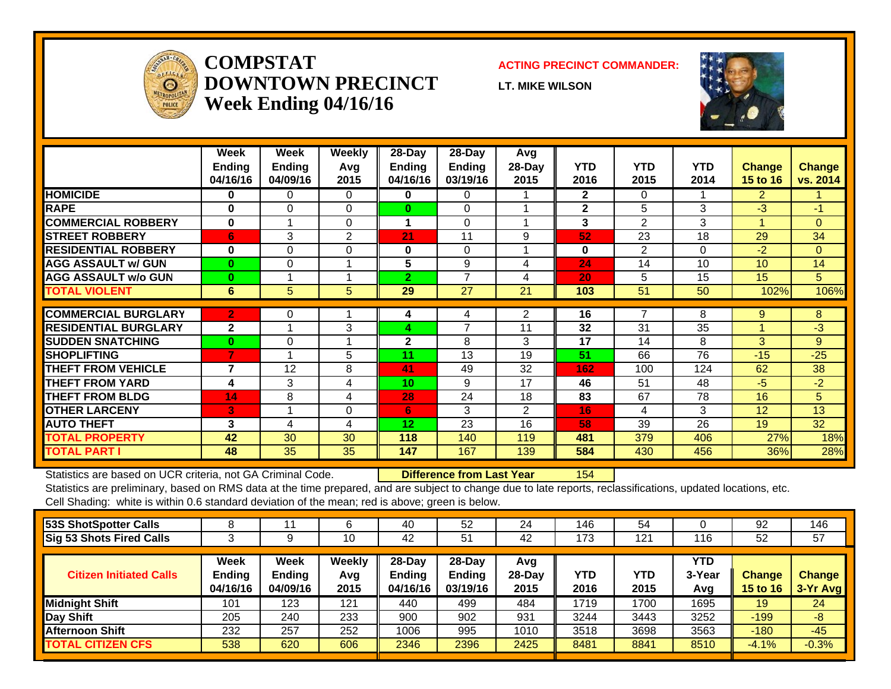

#### **COMPSTATDOWNTOWN PRECINCTWeek Ending 04/16/16**

#### **ACTING PRECINCT COMMANDER:**

**LT. MIKE WILSON**



|                             | Week<br><b>Ending</b><br>04/16/16 | Week<br><b>Ending</b><br>04/09/16 | Weekly<br>Avq<br>2015 | $28$ -Day<br><b>Ending</b><br>04/16/16 | $28$ -Day<br><b>Ending</b><br>03/19/16 | Avg<br>28-Day<br>2015 | <b>YTD</b><br>2016 | <b>YTD</b><br>2015 | <b>YTD</b><br>2014 | <b>Change</b><br><b>15 to 16</b> | <b>Change</b><br>vs. 2014 |
|-----------------------------|-----------------------------------|-----------------------------------|-----------------------|----------------------------------------|----------------------------------------|-----------------------|--------------------|--------------------|--------------------|----------------------------------|---------------------------|
| <b>HOMICIDE</b>             | 0                                 | 0                                 | 0                     | 0                                      | 0                                      |                       | $\overline{2}$     | 0                  |                    | $\overline{2}$                   |                           |
| <b>RAPE</b>                 | $\bf{0}$                          | $\Omega$                          | $\Omega$              | $\bf{0}$                               | $\Omega$                               |                       | $\mathbf{2}$       | 5                  | 3                  | $-3$                             | $-1$                      |
| <b>COMMERCIAL ROBBERY</b>   | $\bf{0}$                          |                                   | $\Omega$              | 1                                      | $\Omega$                               | 4                     | 3                  | $\overline{2}$     | 3                  | 1                                | $\Omega$                  |
| <b>STREET ROBBERY</b>       | 6                                 | 3                                 | 2                     | 21                                     | 11                                     | 9                     | 52                 | 23                 | 18                 | 29                               | 34                        |
| <b>RESIDENTIAL ROBBERY</b>  | $\bf{0}$                          | $\Omega$                          | $\Omega$              | 0                                      | $\Omega$                               |                       | $\bf{0}$           | $\overline{2}$     | $\Omega$           | $-2$                             | $\Omega$                  |
| <b>AGG ASSAULT w/ GUN</b>   | $\bf{0}$                          | $\Omega$                          |                       | 5                                      | 9                                      | 4                     | 24                 | 14                 | 10                 | 10 <sup>1</sup>                  | 14                        |
| <b>AGG ASSAULT w/o GUN</b>  | $\bf{0}$                          |                                   |                       | $\overline{2}$                         | 7                                      | 4                     | 20                 | 5                  | 15                 | 15                               | 5                         |
| <b>TOTAL VIOLENT</b>        | 6                                 | 5                                 | 5                     | 29                                     | 27                                     | 21                    | 103                | 51                 | 50                 | 102%                             | 106%                      |
|                             |                                   |                                   |                       |                                        |                                        |                       |                    |                    |                    |                                  |                           |
| <b>COMMERCIAL BURGLARY</b>  | $\mathbf{2}$                      | 0                                 |                       | 4                                      | 4                                      | 2                     | 16                 | 7                  | 8                  | 9                                | 8                         |
| <b>RESIDENTIAL BURGLARY</b> | $\mathbf{2}$                      |                                   | 3                     | 4                                      | 7                                      | 11                    | 32                 | 31                 | 35                 |                                  | $-3$                      |
| <b>SUDDEN SNATCHING</b>     | $\bf{0}$                          | $\Omega$                          |                       | $\mathbf{2}$                           | 8                                      | 3                     | 17                 | 14                 | 8                  | 3                                | 9                         |
| <b>SHOPLIFTING</b>          | $\overline{7}$                    |                                   | 5                     | 11                                     | 13                                     | 19                    | 51                 | 66                 | 76                 | $-15$                            | $-25$                     |
| <b>THEFT FROM VEHICLE</b>   | 7                                 | 12                                | 8                     | 41                                     | 49                                     | 32                    | 162                | 100                | 124                | 62                               | 38                        |
| <b>THEFT FROM YARD</b>      | 4                                 | 3                                 | 4                     | 10                                     | 9                                      | 17                    | 46                 | 51                 | 48                 | $-5$                             | $-2$                      |
| <b>THEFT FROM BLDG</b>      | 14                                | 8                                 | 4                     | 28                                     | 24                                     | 18                    | 83                 | 67                 | 78                 | 16                               | 5                         |
| <b>OTHER LARCENY</b>        | 3                                 | $\overline{\mathbf{A}}$           | $\Omega$              | 6                                      | 3                                      | $\overline{2}$        | 16                 | 4                  | 3                  | 12 <sup>2</sup>                  | 13                        |
| <b>AUTO THEFT</b>           | 3                                 | 4                                 | 4                     | 12                                     | 23                                     | 16                    | 58                 | 39                 | 26                 | 19                               | 32                        |
| <b>TOTAL PROPERTY</b>       | 42                                | 30                                | 30                    | 118                                    | 140                                    | 119                   | 481                | 379                | 406                | 27%                              | 18%                       |
| <b>TOTAL PART I</b>         | 48                                | 35                                | 35                    | 147                                    | 167                                    | 139                   | 584                | 430                | 456                | 36%                              | 28%                       |

Statistics are based on UCR criteria, not GA Criminal Code. **Difference from Last Year** 154

Statistics are preliminary, based on RMS data at the time prepared, and are subject to change due to late reports, reclassifications, updated locations, etc. Cell Shading: white is within 0.6 standard deviation of the mean; red is above; green is below.

| 53S ShotSpotter Calls           |                                          |                                          | 6                     | 40                                  | 52                                  | 24                      | 146                | 54          |                      | 92                        | 146                       |
|---------------------------------|------------------------------------------|------------------------------------------|-----------------------|-------------------------------------|-------------------------------------|-------------------------|--------------------|-------------|----------------------|---------------------------|---------------------------|
| <b>Sig 53 Shots Fired Calls</b> |                                          |                                          | 10                    | 42                                  | 51                                  | 42                      | 173                | 121         | 116                  | 52                        | 57                        |
| <b>Citizen Initiated Calls</b>  | <b>Week</b><br><b>Ending</b><br>04/16/16 | <b>Week</b><br><b>Ending</b><br>04/09/16 | Weekly<br>Avg<br>2015 | 28-Day<br><b>Ending</b><br>04/16/16 | 28-Day<br><b>Ending</b><br>03/19/16 | Avg<br>$28-Dav$<br>2015 | <b>YTD</b><br>2016 | YTD<br>2015 | YTD<br>3-Year<br>Avg | Change<br><b>15 to 16</b> | <b>Change</b><br>3-Yr Avg |
| <b>Midnight Shift</b>           | 101                                      | 123                                      | 121                   | 440                                 | 499                                 | 484                     | 1719               | 1700        | 1695                 | 19                        | 24                        |
| <b>Day Shift</b>                | 205                                      | 240                                      | 233                   | 900                                 | 902                                 | 931                     | 3244               | 3443        | 3252                 | $-199$                    | $-8$                      |
| <b>Afternoon Shift</b>          | 232                                      | 257                                      | 252                   | 1006                                | 995                                 | 1010                    | 3518               | 3698        | 3563                 | $-180$                    | $-45$                     |
| <b>TOTAL CITIZEN CFS</b>        | 538                                      | 620                                      | 606                   | 2346                                | 2396                                | 2425                    | 8481               | 8841        | 8510                 | $-4.1%$                   | $-0.3%$                   |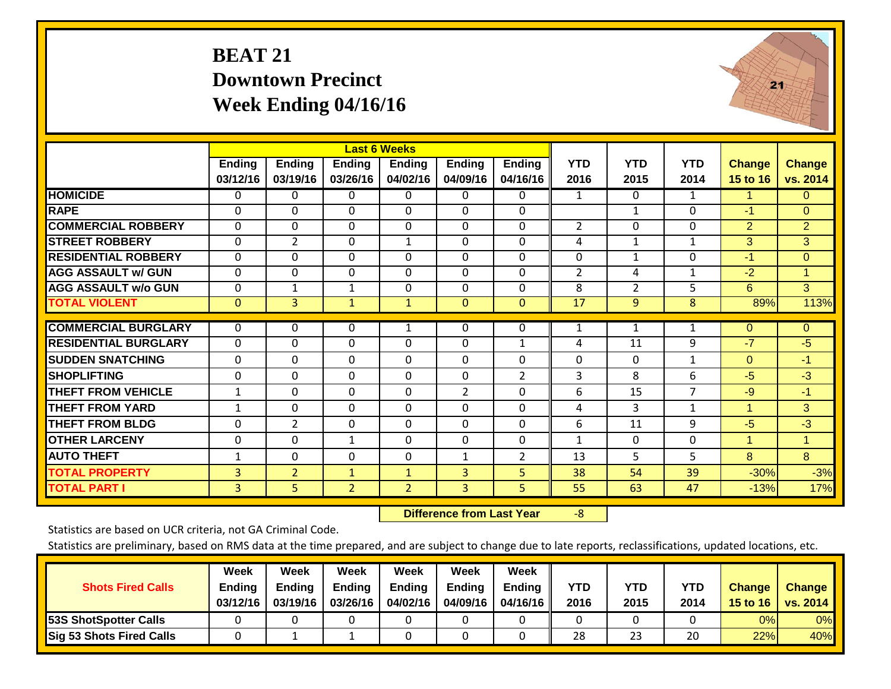# **BEAT 21 Downtown Precinct Week Ending 04/16/16**



|                             |                |                |                | <b>Last 6 Weeks</b> |                |                |                 |                |                |                      |                      |
|-----------------------------|----------------|----------------|----------------|---------------------|----------------|----------------|-----------------|----------------|----------------|----------------------|----------------------|
|                             | Ending         | <b>Ending</b>  | <b>Ending</b>  | <b>Ending</b>       | <b>Ending</b>  | <b>Ending</b>  | <b>YTD</b>      | <b>YTD</b>     | <b>YTD</b>     | <b>Change</b>        | <b>Change</b>        |
|                             | 03/12/16       | 03/19/16       | 03/26/16       | 04/02/16            | 04/09/16       | 04/16/16       | 2016            | 2015           | 2014           | 15 to 16             | vs. 2014             |
| <b>HOMICIDE</b>             | 0              | $\Omega$       | 0              | 0                   | $\mathbf{0}$   | $\Omega$       | 1               | $\mathbf{0}$   | $\mathbf{1}$   | 1                    | $\overline{0}$       |
| <b>RAPE</b>                 | $\Omega$       | $\Omega$       | $\Omega$       | $\Omega$            | $\Omega$       | $\Omega$       |                 | $\mathbf{1}$   | $\Omega$       | $-1$                 | $\overline{0}$       |
| <b>COMMERCIAL ROBBERY</b>   | 0              | $\Omega$       | $\Omega$       | 0                   | $\Omega$       | $\Omega$       | $\overline{2}$  | $\Omega$       | $\Omega$       | 2                    | 2 <sup>1</sup>       |
| <b>STREET ROBBERY</b>       | 0              | $\overline{2}$ | $\Omega$       | $\mathbf{1}$        | $\Omega$       | $\mathbf 0$    | 4               | 1              | 1              | 3                    | 3                    |
| <b>RESIDENTIAL ROBBERY</b>  | $\Omega$       | $\Omega$       | 0              | $\Omega$            | $\Omega$       | $\Omega$       | $\Omega$        | 1              | $\Omega$       | $-1$                 | $\overline{0}$       |
| <b>AGG ASSAULT w/ GUN</b>   | 0              | $\Omega$       | $\Omega$       | $\Omega$            | $\Omega$       | $\Omega$       | 2               | 4              | $\mathbf{1}$   | $-2$                 | $\blacktriangleleft$ |
| <b>AGG ASSAULT w/o GUN</b>  | 0              | $\mathbf{1}$   | $\mathbf{1}$   | $\mathbf 0$         | $\mathbf 0$    | $\mathbf 0$    | 8               | $\overline{2}$ | 5              | 6                    | 3                    |
| <b>TOTAL VIOLENT</b>        | $\overline{0}$ | $\overline{3}$ | $\mathbf{1}$   | $\mathbf{1}$        | $\mathbf{0}$   | $\overline{0}$ | $\overline{17}$ | $\overline{9}$ | $\overline{8}$ | 89%                  | 113%                 |
|                             |                |                |                |                     |                |                |                 |                |                |                      |                      |
| <b>COMMERCIAL BURGLARY</b>  | 0              | $\mathbf{0}$   | 0              | 1                   | $\Omega$       | 0              | 1               | 1              | $\mathbf{1}$   | $\mathbf{0}$         | $\overline{0}$       |
| <b>RESIDENTIAL BURGLARY</b> | $\Omega$       | $\mathbf{0}$   | $\Omega$       | $\Omega$            | $\Omega$       | 1              | 4               | 11             | 9              | $-7$                 | $-5$                 |
| <b>SUDDEN SNATCHING</b>     | 0              | $\Omega$       | $\Omega$       | 0                   | $\Omega$       | $\Omega$       | $\Omega$        | 0              | $\mathbf{1}$   | $\Omega$             | $-1$                 |
| <b>SHOPLIFTING</b>          | $\Omega$       | $\Omega$       | $\Omega$       | $\Omega$            | $\Omega$       | $\overline{2}$ | 3               | 8              | 6              | $-5$                 | $-3$                 |
| <b>THEFT FROM VEHICLE</b>   | 1              | $\Omega$       | $\Omega$       | $\Omega$            | $\overline{2}$ | $\Omega$       | 6               | 15             | 7              | $-9$                 | $-1$                 |
| <b>THEFT FROM YARD</b>      | 1              | $\mathbf{0}$   | $\Omega$       | $\Omega$            | $\Omega$       | $\Omega$       | 4               | 3              | $\mathbf{1}$   | 1                    | 3                    |
| <b>THEFT FROM BLDG</b>      | $\Omega$       | $\overline{2}$ | $\Omega$       | $\Omega$            | $\Omega$       | $\Omega$       | 6               | 11             | 9              | $-5$                 | $-3$                 |
| <b>OTHER LARCENY</b>        | 0              | $\mathbf 0$    | 1              | 0                   | $\Omega$       | $\mathbf 0$    | 1               | 0              | $\mathbf 0$    | $\blacktriangleleft$ | 1                    |
| <b>AUTO THEFT</b>           | 1              | $\Omega$       | $\Omega$       | $\Omega$            | $\mathbf{1}$   | $\overline{2}$ | 13              | 5              | 5              | 8                    | 8                    |
| <b>TOTAL PROPERTY</b>       | 3              | $\overline{2}$ | $\mathbf{1}$   | $\mathbf{1}$        | 3              | 5              | 38              | 54             | 39             | $-30%$               | $-3%$                |
| <b>TOTAL PART I</b>         | 3              | 5.             | $\overline{2}$ | $\overline{2}$      | $\overline{3}$ | 5 <sup>1</sup> | 55              | 63             | 47             | $-13%$               | 17%                  |

 **Difference from Last Year**r -8

Statistics are based on UCR criteria, not GA Criminal Code.

| <b>Shots Fired Calls</b>        | Week<br>Ending<br>03/12/16 | Week<br><b>Ending</b><br>03/19/16 | Week<br><b>Ending</b><br>03/26/16 | Week<br><b>Ending</b><br>04/02/16 | Week<br><b>Ending</b><br>04/09/16 | <b>Week</b><br><b>Ending</b><br>04/16/16 | YTD<br>2016 | YTD<br>2015 | <b>YTD</b><br>2014 | <b>Change</b><br>15 to 16 | <b>Change</b><br>vs. 2014 |
|---------------------------------|----------------------------|-----------------------------------|-----------------------------------|-----------------------------------|-----------------------------------|------------------------------------------|-------------|-------------|--------------------|---------------------------|---------------------------|
| <b>53S ShotSpotter Calls</b>    |                            |                                   |                                   |                                   |                                   |                                          |             |             |                    | 0%                        | 0%                        |
| <b>Sig 53 Shots Fired Calls</b> |                            |                                   |                                   |                                   |                                   |                                          | 28          | 23          | 20                 | 22%                       | 40%                       |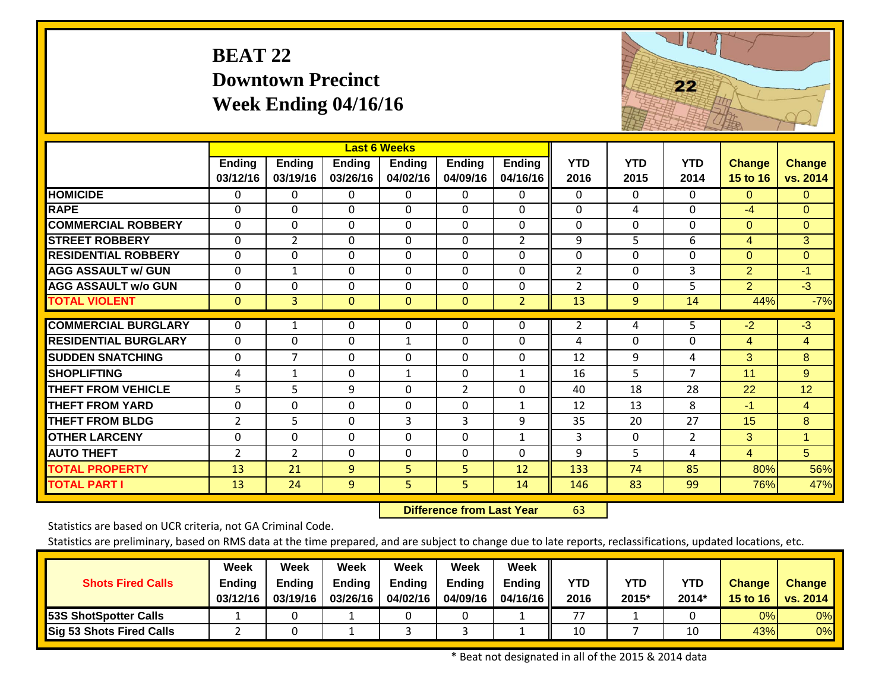# **BEAT 22 Downtown Precinct Week Ending 04/16/16**



|                             |                |                |                | <b>Last 6 Weeks</b> |                                  |                |                |             |                |                |                |
|-----------------------------|----------------|----------------|----------------|---------------------|----------------------------------|----------------|----------------|-------------|----------------|----------------|----------------|
|                             | Ending         | <b>Ending</b>  | <b>Ending</b>  | <b>Ending</b>       | <b>Ending</b>                    | <b>Ending</b>  | <b>YTD</b>     | <b>YTD</b>  | <b>YTD</b>     | <b>Change</b>  | <b>Change</b>  |
|                             | 03/12/16       | 03/19/16       | 03/26/16       | 04/02/16            | 04/09/16                         | 04/16/16       | 2016           | 2015        | 2014           | 15 to 16       | vs. 2014       |
| <b>HOMICIDE</b>             | 0              | 0              | 0              | 0                   | 0                                | 0              | 0              | $\Omega$    | $\Omega$       | $\Omega$       | $\Omega$       |
| <b>RAPE</b>                 | $\Omega$       | $\Omega$       | $\Omega$       | $\mathbf{0}$        | $\mathbf{0}$                     | $\Omega$       | $\Omega$       | 4           | $\Omega$       | $-4$           | $\Omega$       |
| <b>COMMERCIAL ROBBERY</b>   | $\Omega$       | $\Omega$       | 0              | $\mathbf{0}$        | $\Omega$                         | $\Omega$       | $\Omega$       | $\mathbf 0$ | $\Omega$       | $\Omega$       | $\overline{0}$ |
| <b>STREET ROBBERY</b>       | 0              | $\overline{2}$ | $\Omega$       | 0                   | $\Omega$                         | $\overline{2}$ | 9              | 5           | 6              | $\overline{4}$ | 3              |
| <b>RESIDENTIAL ROBBERY</b>  | 0              | $\Omega$       | 0              | 0                   | $\Omega$                         | $\Omega$       | $\Omega$       | 0           | $\Omega$       | $\Omega$       | $\overline{0}$ |
| <b>AGG ASSAULT w/ GUN</b>   | 0              | $\mathbf{1}$   | 0              | 0                   | $\Omega$                         | $\Omega$       | $\overline{2}$ | $\Omega$    | 3              | $\overline{2}$ | $-1$           |
| <b>AGG ASSAULT w/o GUN</b>  | 0              | 0              | 0              | $\mathbf 0$         | $\Omega$                         | $\Omega$       | $\overline{2}$ | $\mathbf 0$ | 5              | $\overline{2}$ | $\overline{3}$ |
| <b>TOTAL VIOLENT</b>        | $\mathbf{0}$   | 3 <sup>1</sup> | $\overline{0}$ | $\mathbf 0$         | $\overline{0}$                   | $\overline{2}$ | 13             | 9           | 14             | 44%            | $-7%$          |
| <b>COMMERCIAL BURGLARY</b>  |                |                |                |                     |                                  |                |                |             |                |                |                |
|                             | $\mathbf 0$    | 1              | 0              | 0                   | $\mathbf{0}$                     | 0              | $\overline{2}$ | 4           | 5              | $-2$           | $-3$           |
| <b>RESIDENTIAL BURGLARY</b> | 0              | $\Omega$       | 0              | $\mathbf{1}$        | $\Omega$                         | $\Omega$       | 4              | 0           | $\Omega$       | $\overline{4}$ | $\overline{4}$ |
| <b>SUDDEN SNATCHING</b>     | 0              | $\overline{7}$ | 0              | 0                   | $\mathbf{0}$                     | $\Omega$       | 12             | 9           | 4              | 3              | 8              |
| <b>SHOPLIFTING</b>          | 4              | 1              | $\Omega$       | $\mathbf{1}$        | $\mathbf{0}$                     | $\mathbf{1}$   | 16             | 5.          | 7              | 11             | 9              |
| <b>THEFT FROM VEHICLE</b>   | 5              | 5              | 9              | 0                   | $\overline{2}$                   | $\Omega$       | 40             | 18          | 28             | 22             | 12             |
| <b>THEFT FROM YARD</b>      | 0              | $\Omega$       | 0              | $\mathbf{0}$        | $\Omega$                         | $\mathbf{1}$   | 12             | 13          | 8              | $-1$           | $\overline{4}$ |
| <b>THEFT FROM BLDG</b>      | 2              | 5              | $\Omega$       | 3                   | 3                                | 9              | 35             | 20          | 27             | 15             | 8              |
| <b>OTHER LARCENY</b>        | 0              | $\Omega$       | $\Omega$       | $\Omega$            | $\Omega$                         | $\mathbf{1}$   | 3              | 0           | $\overline{2}$ | 3              | $\mathbf{1}$   |
| <b>AUTO THEFT</b>           | $\overline{2}$ | $\overline{2}$ | 0              | $\mathbf{0}$        | $\mathbf{0}$                     | $\overline{0}$ | 9              | 5           | 4              | $\overline{4}$ | 5 <sup>1</sup> |
| <b>TOTAL PROPERTY</b>       | 13             | 21             | 9              | 5                   | 5                                | 12             | 133            | 74          | 85             | 80%            | 56%            |
| <b>TOTAL PART I</b>         | 13             | 24             | 9              | 5                   | 5                                | 14             | 146            | 83          | 99             | 76%            | 47%            |
|                             |                |                |                |                     | <b>Difference from Last Year</b> |                | 63             |             |                |                |                |

 **Difference from Last Year**

Statistics are based on UCR criteria, not GA Criminal Code.

Statistics are preliminary, based on RMS data at the time prepared, and are subject to change due to late reports, reclassifications, updated locations, etc.

| <b>Shots Fired Calls</b>        | <b>Week</b><br><b>Ending</b><br>03/12/16 | Week<br><b>Ending</b><br>03/19/16 | <b>Week</b><br><b>Ending</b><br>03/26/16 | Week<br><b>Ending</b><br>04/02/16 | Week<br><b>Ending</b><br>04/09/16 | <b>Week</b><br><b>Ending</b><br>04/16/16 | YTD<br>2016 | <b>YTD</b><br>2015* | <b>YTD</b><br>2014* | <b>Change</b><br>15 to 16 | <b>Change</b><br><b>vs. 2014</b> |
|---------------------------------|------------------------------------------|-----------------------------------|------------------------------------------|-----------------------------------|-----------------------------------|------------------------------------------|-------------|---------------------|---------------------|---------------------------|----------------------------------|
| <b>53S ShotSpotter Calls</b>    |                                          |                                   |                                          |                                   |                                   |                                          | 77          |                     |                     | 0%                        | 0%                               |
| <b>Sig 53 Shots Fired Calls</b> |                                          |                                   |                                          |                                   |                                   |                                          | 10          |                     | 10                  | 43%                       | 0%                               |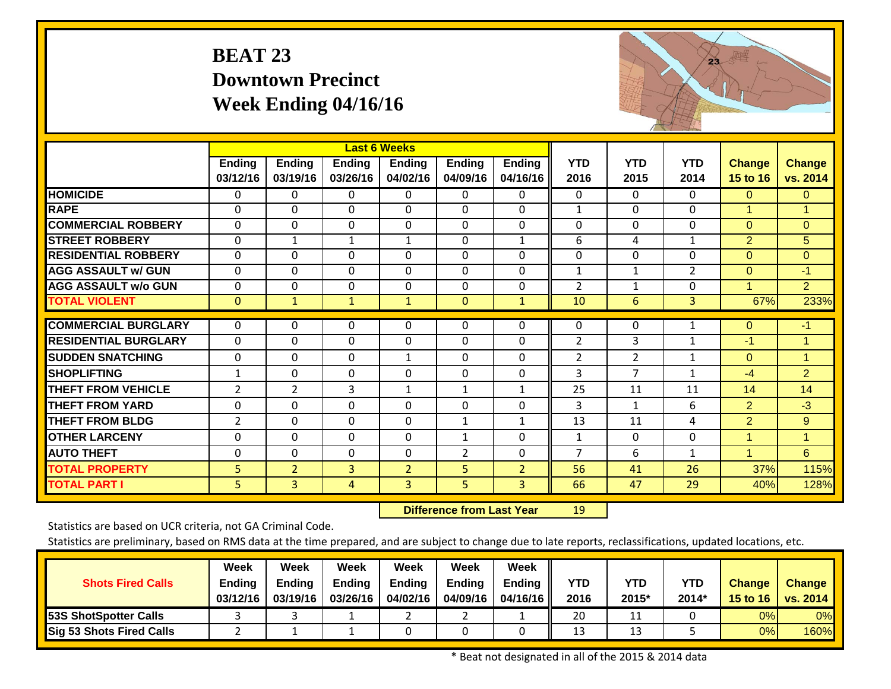# **BEAT 23 Downtown Precinct Week Ending 04/16/16**



|                             |                |                |                | <b>Last 6 Weeks</b> |                                  |                |                |                |                |                |                |
|-----------------------------|----------------|----------------|----------------|---------------------|----------------------------------|----------------|----------------|----------------|----------------|----------------|----------------|
|                             | <b>Ending</b>  | <b>Ending</b>  | <b>Ending</b>  | <b>Ending</b>       | <b>Ending</b>                    | <b>Ending</b>  | <b>YTD</b>     | <b>YTD</b>     | <b>YTD</b>     | <b>Change</b>  | <b>Change</b>  |
|                             | 03/12/16       | 03/19/16       | 03/26/16       | 04/02/16            | 04/09/16                         | 04/16/16       | 2016           | 2015           | 2014           | 15 to 16       | vs. 2014       |
| <b>HOMICIDE</b>             | 0              | $\Omega$       | $\Omega$       | $\mathbf{0}$        | $\Omega$                         | 0              | 0              | $\Omega$       | $\Omega$       | $\mathbf{0}$   | $\mathbf{0}$   |
| <b>RAPE</b>                 | $\Omega$       | $\Omega$       | $\Omega$       | $\mathbf 0$         | $\mathbf{0}$                     | $\Omega$       | $\mathbf{1}$   | $\Omega$       | $\Omega$       | $\mathbf{1}$   | $\mathbf{1}$   |
| <b>COMMERCIAL ROBBERY</b>   | 0              | $\Omega$       | $\Omega$       | 0                   | $\mathbf{0}$                     | $\Omega$       | $\Omega$       | $\Omega$       | $\Omega$       | $\Omega$       | $\overline{0}$ |
| <b>STREET ROBBERY</b>       | 0              | $\mathbf{1}$   | $\mathbf{1}$   | $\mathbf{1}$        | $\Omega$                         | $\mathbf{1}$   | 6              | 4              | $\mathbf{1}$   | $\overline{2}$ | 5 <sup>5</sup> |
| <b>RESIDENTIAL ROBBERY</b>  | 0              | $\Omega$       | $\Omega$       | 0                   | $\Omega$                         | $\Omega$       | 0              | 0              | $\Omega$       | $\Omega$       | $\overline{0}$ |
| <b>AGG ASSAULT w/ GUN</b>   | 0              | $\Omega$       | $\Omega$       | 0                   | $\Omega$                         | 0              | $\mathbf{1}$   | $\mathbf{1}$   | $\overline{2}$ | $\mathbf{0}$   | $-1$           |
| <b>AGG ASSAULT w/o GUN</b>  | 0              | $\Omega$       | 0              | 0                   | $\mathbf{0}$                     | 0              | $\overline{2}$ | $\mathbf{1}$   | 0              | 1              | 2 <sup>1</sup> |
| <b>TOTAL VIOLENT</b>        | $\mathbf{0}$   | $\mathbf{1}$   | $\mathbf{1}$   | $\mathbf{1}$        | $\overline{0}$                   | $\mathbf{1}$   | 10             | $6\phantom{1}$ | $\overline{3}$ | 67%            | 233%           |
|                             |                |                |                |                     |                                  |                |                |                |                |                |                |
| <b>COMMERCIAL BURGLARY</b>  | $\Omega$       | $\Omega$       | $\Omega$       | $\Omega$            | $\mathbf{0}$                     | 0              | $\Omega$       | $\Omega$       | 1              | $\Omega$       | $-1$           |
| <b>RESIDENTIAL BURGLARY</b> | $\overline{0}$ | $\mathbf 0$    | $\Omega$       | $\mathbf 0$         | $\mathbf{0}$                     | $\Omega$       | $\overline{2}$ | 3              | 1              | $-1$           | $\mathbf{1}$   |
| <b>SUDDEN SNATCHING</b>     | 0              | $\mathbf 0$    | $\mathbf{0}$   | $\mathbf{1}$        | $\mathbf 0$                      | $\Omega$       | $\overline{2}$ | $\overline{2}$ | $\mathbf{1}$   | $\Omega$       | $\mathbf{1}$   |
| <b>SHOPLIFTING</b>          | $\mathbf{1}$   | $\overline{0}$ | $\Omega$       | $\Omega$            | $\mathbf 0$                      | $\Omega$       | 3              | $\overline{7}$ | $\mathbf{1}$   | $-4$           | $\overline{2}$ |
| <b>THEFT FROM VEHICLE</b>   | $\overline{2}$ | $\overline{2}$ | 3              | 1                   | $\mathbf{1}$                     | $\mathbf{1}$   | 25             | 11             | 11             | 14             | 14             |
| <b>THEFT FROM YARD</b>      | 0              | $\mathbf 0$    | 0              | 0                   | $\mathbf{0}$                     | $\Omega$       | $\overline{3}$ | $\mathbf{1}$   | 6              | $\overline{2}$ | $-3$           |
| <b>THEFT FROM BLDG</b>      | $\overline{2}$ | $\Omega$       | $\Omega$       | $\Omega$            | $\mathbf{1}$                     | $\mathbf{1}$   | 13             | 11             | 4              | $\overline{2}$ | 9 <sup>°</sup> |
| <b>OTHER LARCENY</b>        | $\mathbf 0$    | 0              | 0              | 0                   | 1                                | $\Omega$       | $\mathbf{1}$   | $\Omega$       | $\mathbf{0}$   | 1              | $\mathbf{1}$   |
| <b>AUTO THEFT</b>           | 0              | $\Omega$       | $\Omega$       | 0                   | $\overline{2}$                   | $\Omega$       | $\overline{7}$ | 6              | 1              | 1              | $6^{\circ}$    |
| <b>TOTAL PROPERTY</b>       | 5              | $\overline{2}$ | $\overline{3}$ | $\overline{2}$      | 5                                | $\overline{2}$ | 56             | 41             | 26             | 37%            | 115%           |
| <b>TOTAL PART I</b>         | 5              | 3              | $\overline{4}$ | 3                   | 5 <sup>1</sup>                   | 3              | 66             | 47             | 29             | 40%            | 128%           |
|                             |                |                |                |                     | <b>Difference from Last Year</b> |                | 19             |                |                |                |                |

 **Difference from Last Year**

Statistics are based on UCR criteria, not GA Criminal Code.

Statistics are preliminary, based on RMS data at the time prepared, and are subject to change due to late reports, reclassifications, updated locations, etc.

| <b>Shots Fired Calls</b>        | Week<br><b>Ending</b><br>03/12/16 | Week<br><b>Ending</b><br>03/19/16 | <b>Week</b><br><b>Ending</b><br>03/26/16 | Week<br><b>Ending</b><br>04/02/16 | Week<br><b>Ending</b><br>04/09/16 | <b>Week</b><br><b>Ending</b><br>04/16/16 | YTD<br>2016 | <b>YTD</b><br>2015* | <b>YTD</b><br>2014* | <b>Change</b><br>15 to 16 | <b>Change</b><br><b>vs. 2014</b> |
|---------------------------------|-----------------------------------|-----------------------------------|------------------------------------------|-----------------------------------|-----------------------------------|------------------------------------------|-------------|---------------------|---------------------|---------------------------|----------------------------------|
| <b>53S ShotSpotter Calls</b>    |                                   |                                   |                                          |                                   |                                   |                                          | 20          | ⊥⊥                  |                     | 0%                        | 0%                               |
| <b>Sig 53 Shots Fired Calls</b> |                                   |                                   |                                          |                                   |                                   |                                          | 13          | 13                  |                     | 0%                        | 160%                             |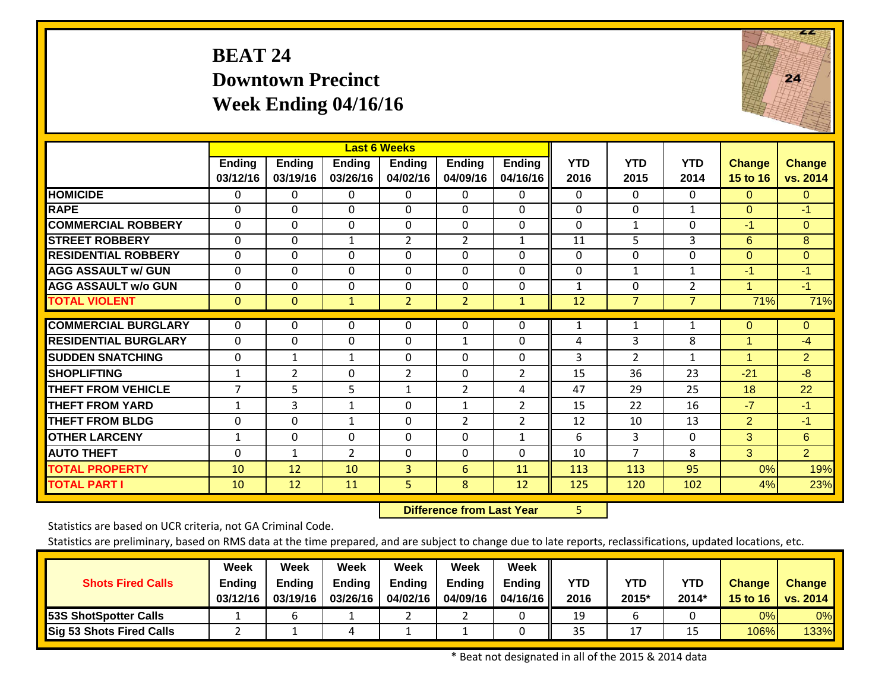# **BEAT 24 Downtown Precinct Week Ending 04/16/16**



|                             |                |                |                | <b>Last 6 Weeks</b> |                                  |                |              |                |                |                      |                        |
|-----------------------------|----------------|----------------|----------------|---------------------|----------------------------------|----------------|--------------|----------------|----------------|----------------------|------------------------|
|                             | <b>Ending</b>  | <b>Ending</b>  | Ending         | <b>Ending</b>       | <b>Ending</b>                    | <b>Ending</b>  | <b>YTD</b>   | <b>YTD</b>     | <b>YTD</b>     | <b>Change</b>        | <b>Change</b>          |
|                             | 03/12/16       | 03/19/16       | 03/26/16       | 04/02/16            | 04/09/16                         | 04/16/16       | 2016         | 2015           | 2014           | 15 to 16             | vs. 2014               |
| <b>HOMICIDE</b>             | 0              | $\Omega$       | 0              | 0                   | $\Omega$                         | 0              | $\Omega$     | $\Omega$       | 0              | $\Omega$             | $\overline{0}$         |
| <b>RAPE</b>                 | 0              | $\Omega$       | $\mathbf{0}$   | 0                   | $\Omega$                         | $\Omega$       | $\Omega$     | $\Omega$       | 1              | $\Omega$             | $-1$                   |
| <b>COMMERCIAL ROBBERY</b>   | 0              | $\Omega$       | $\mathbf{0}$   | 0                   | $\Omega$                         | $\Omega$       | $\mathbf{0}$ | $\mathbf{1}$   | $\Omega$       | $-1$                 | $\overline{0}$         |
| <b>STREET ROBBERY</b>       | 0              | $\Omega$       | $\mathbf{1}$   | $\overline{2}$      | $\overline{2}$                   | $\mathbf{1}$   | 11           | 5              | 3              | 6                    | 8                      |
| <b>RESIDENTIAL ROBBERY</b>  | 0              | $\Omega$       | $\Omega$       | 0                   | $\Omega$                         | $\Omega$       | $\Omega$     | $\Omega$       | $\Omega$       | $\Omega$             | $\overline{0}$         |
| <b>AGG ASSAULT w/ GUN</b>   | 0              | $\Omega$       | $\mathbf{0}$   | 0                   | $\Omega$                         | $\Omega$       | $\mathbf 0$  | $\mathbf{1}$   | $\mathbf{1}$   | $-1$                 | $-1$                   |
| <b>AGG ASSAULT w/o GUN</b>  | $\mathbf 0$    | $\Omega$       | $\Omega$       | $\mathbf 0$         | $\mathbf 0$                      | 0              | $\mathbf{1}$ | $\mathbf 0$    | $\overline{2}$ | 1                    | $-1$                   |
| <b>TOTAL VIOLENT</b>        | $\overline{0}$ | $\mathbf{0}$   | $\mathbf{1}$   | $\overline{2}$      | 2 <sup>1</sup>                   | $\mathbf{1}$   | 12           | $\overline{7}$ | $\overline{7}$ | 71%                  | 71%                    |
| <b>COMMERCIAL BURGLARY</b>  | $\mathbf{0}$   | $\mathbf{0}$   | 0              |                     | $\Omega$                         | 0              | 1            |                |                | $\Omega$             |                        |
| <b>RESIDENTIAL BURGLARY</b> | $\mathbf{0}$   | $\Omega$       | $\Omega$       | 0                   | $\mathbf{1}$                     | $\Omega$       | 4            | $\mathbf{1}$   | 1<br>8         | 1                    | $\overline{0}$<br>$-4$ |
|                             |                |                |                | 0                   |                                  |                |              | 3              |                |                      |                        |
| <b>SUDDEN SNATCHING</b>     | $\mathbf 0$    | $\mathbf{1}$   | $\mathbf{1}$   | $\mathbf 0$         | $\mathbf 0$                      | 0              | 3            | $\overline{2}$ | $\mathbf{1}$   | $\blacktriangleleft$ | 2 <sup>1</sup>         |
| <b>SHOPLIFTING</b>          | $\mathbf{1}$   | $\overline{2}$ | $\Omega$       | $\overline{2}$      | $\Omega$                         | $\overline{2}$ | 15           | 36             | 23             | $-21$                | $-8$                   |
| <b>THEFT FROM VEHICLE</b>   | $\overline{7}$ | 5              | 5              | $\mathbf{1}$        | $\overline{2}$                   | 4              | 47           | 29             | 25             | 18                   | 22                     |
| <b>THEFT FROM YARD</b>      | $\mathbf{1}$   | 3              | $\mathbf{1}$   | $\mathbf 0$         | $\mathbf{1}$                     | $\overline{2}$ | 15           | 22             | 16             | $-7$                 | $-1$                   |
| <b>THEFT FROM BLDG</b>      | 0              | $\Omega$       | $\mathbf{1}$   | 0                   | $\overline{2}$                   | $\overline{2}$ | 12           | 10             | 13             | $\overline{2}$       | $-1$                   |
| <b>OTHER LARCENY</b>        | $\mathbf{1}$   | $\Omega$       | 0              | $\Omega$            | $\Omega$                         | $\mathbf{1}$   | 6            | 3              | $\Omega$       | 3                    | 6                      |
| <b>AUTO THEFT</b>           | $\Omega$       | 1              | $\overline{2}$ | $\Omega$            | $\Omega$                         | $\Omega$       | 10           | $\overline{7}$ | 8              | 3                    | $\overline{2}$         |
| <b>TOTAL PROPERTY</b>       | 10             | 12             | 10             | 3                   | 6                                | 11             | 113          | 113            | 95             | 0%                   | 19%                    |
| <b>TOTAL PART I</b>         | 10             | 12             | 11             | 5                   | 8                                | 12             | 125          | 120            | 102            | 4%                   | 23%                    |
|                             |                |                |                |                     | <b>Difference from Last Year</b> |                | 5            |                |                |                      |                        |

 **Difference from Last Year**

Statistics are based on UCR criteria, not GA Criminal Code.

Statistics are preliminary, based on RMS data at the time prepared, and are subject to change due to late reports, reclassifications, updated locations, etc.

| <b>Shots Fired Calls</b>        | Week<br><b>Ending</b><br>03/12/16 | Week<br><b>Ending</b><br>03/19/16 | <b>Week</b><br><b>Ending</b><br>03/26/16 | Week<br><b>Ending</b><br>04/02/16 | Week<br><b>Ending</b><br>04/09/16 | <b>Week</b><br><b>Ending</b><br>04/16/16 | YTD<br>2016 | <b>YTD</b><br>2015* | <b>YTD</b><br>$2014*$ | <b>Change</b><br>15 to 16 | <b>Change</b><br><b>vs. 2014</b> |
|---------------------------------|-----------------------------------|-----------------------------------|------------------------------------------|-----------------------------------|-----------------------------------|------------------------------------------|-------------|---------------------|-----------------------|---------------------------|----------------------------------|
| <b>53S ShotSpotter Calls</b>    |                                   |                                   |                                          |                                   |                                   |                                          | 19          |                     |                       | 0%                        | 0%                               |
| <b>Sig 53 Shots Fired Calls</b> |                                   |                                   | ப                                        |                                   |                                   |                                          | 35          | ∸                   |                       | 106%                      | 133%                             |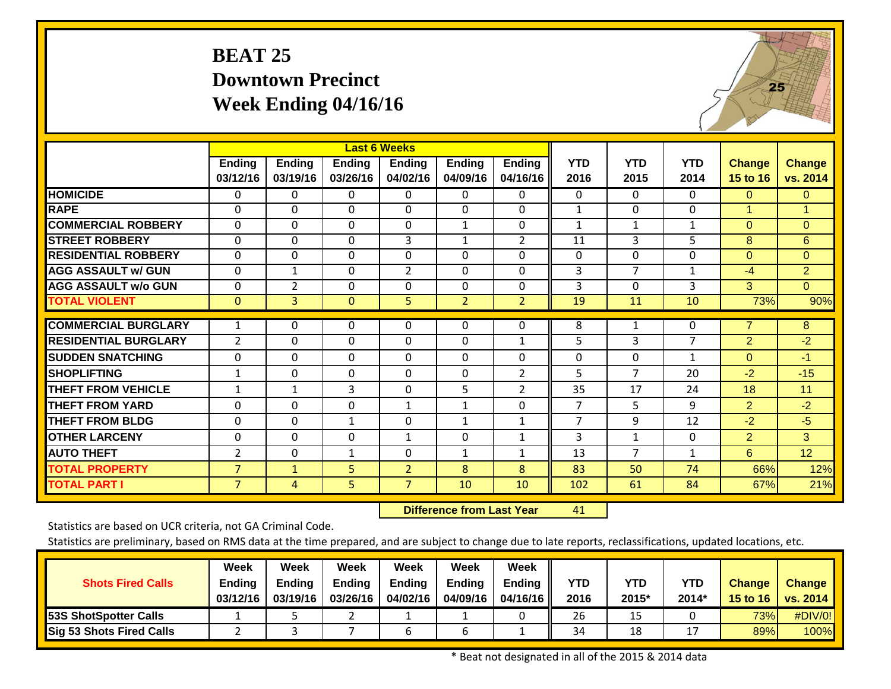# **BEAT 25 Downtown Precinct Week Ending 04/16/16**



|                             |                |                |                | <b>Last 6 Weeks</b> |                                  |                |                |                |                |                |                |
|-----------------------------|----------------|----------------|----------------|---------------------|----------------------------------|----------------|----------------|----------------|----------------|----------------|----------------|
|                             | <b>Ending</b>  | <b>Ending</b>  | Ending         | <b>Ending</b>       | <b>Ending</b>                    | <b>Ending</b>  | <b>YTD</b>     | <b>YTD</b>     | <b>YTD</b>     | Change         | <b>Change</b>  |
|                             | 03/12/16       | 03/19/16       | 03/26/16       | 04/02/16            | 04/09/16                         | 04/16/16       | 2016           | 2015           | 2014           | 15 to 16       | vs. 2014       |
| <b>HOMICIDE</b>             | 0              | $\Omega$       | 0              | 0                   | $\Omega$                         | 0              | $\Omega$       | $\Omega$       | 0              | $\Omega$       | $\mathbf{0}$   |
| <b>RAPE</b>                 | 0              | $\Omega$       | $\mathbf{0}$   | $\Omega$            | $\mathbf 0$                      | $\Omega$       | $\mathbf{1}$   | $\Omega$       | $\Omega$       | $\mathbf{1}$   | $\mathbf{1}$   |
| <b>COMMERCIAL ROBBERY</b>   | 0              | $\Omega$       | $\mathbf{0}$   | 0                   | $\mathbf{1}$                     | $\Omega$       | 1              | $\mathbf{1}$   | $\mathbf{1}$   | $\mathbf{0}$   | $\overline{0}$ |
| <b>STREET ROBBERY</b>       | 0              | $\Omega$       | $\mathbf{0}$   | 3                   | $\mathbf{1}$                     | $\overline{2}$ | 11             | 3              | 5              | 8              | 6              |
| <b>RESIDENTIAL ROBBERY</b>  | $\mathbf 0$    | $\Omega$       | $\Omega$       | 0                   | $\Omega$                         | $\Omega$       | $\Omega$       | $\Omega$       | 0              | $\mathbf{0}$   | $\overline{0}$ |
| <b>AGG ASSAULT w/ GUN</b>   | $\mathbf 0$    | $\mathbf{1}$   | $\mathbf{0}$   | $\overline{2}$      | $\Omega$                         | $\Omega$       | 3              | $\overline{7}$ | $\mathbf{1}$   | $-4$           | $\overline{2}$ |
| <b>AGG ASSAULT w/o GUN</b>  | $\mathbf 0$    | $\overline{2}$ | $\Omega$       | $\mathbf 0$         | $\mathbf{0}$                     | $\mathbf 0$    | 3              | $\Omega$       | 3              | 3              | $\overline{0}$ |
| <b>TOTAL VIOLENT</b>        | $\mathbf{0}$   | 3              | $\overline{0}$ | 5                   | 2 <sup>1</sup>                   | $\overline{2}$ | 19             | 11             | 10             | 73%            | 90%            |
| <b>COMMERCIAL BURGLARY</b>  |                |                |                |                     |                                  |                |                |                |                |                |                |
|                             | 1              | $\mathbf{0}$   | 0              | 0                   | $\Omega$                         | $\Omega$       | 8              | $\mathbf{1}$   | $\Omega$       | 7              | $\overline{8}$ |
| <b>RESIDENTIAL BURGLARY</b> | $\overline{2}$ | $\Omega$       | $\Omega$       | 0                   | $\mathbf{0}$                     | $\mathbf{1}$   | 5              | 3              | $\overline{7}$ | $\overline{2}$ | $-2$           |
| <b>ISUDDEN SNATCHING</b>    | $\mathbf 0$    | $\mathbf 0$    | 0              | $\mathbf 0$         | $\mathbf 0$                      | $\mathbf{0}$   | $\mathbf 0$    | $\mathbf 0$    | $\mathbf{1}$   | $\Omega$       | $-1$           |
| <b>SHOPLIFTING</b>          | $\mathbf{1}$   | $\Omega$       | $\Omega$       | 0                   | $\Omega$                         | $\overline{2}$ | 5              | $\overline{7}$ | 20             | $-2$           | $-15$          |
| <b>THEFT FROM VEHICLE</b>   | $\mathbf{1}$   | $\mathbf{1}$   | 3              | $\mathbf 0$         | 5                                | $\overline{2}$ | 35             | 17             | 24             | 18             | 11             |
| <b>THEFT FROM YARD</b>      | 0              | 0              | 0              | $\mathbf{1}$        | $\mathbf{1}$                     | 0              | $\overline{7}$ | 5              | 9              | $\overline{2}$ | $-2$           |
| <b>THEFT FROM BLDG</b>      | 0              | $\Omega$       | $\mathbf{1}$   | 0                   | $\mathbf{1}$                     | $\mathbf{1}$   | $\overline{7}$ | 9              | 12             | $-2$           | $-5$           |
| <b>OTHER LARCENY</b>        | $\mathbf 0$    | $\Omega$       | 0              | $\mathbf{1}$        | $\Omega$                         | $\mathbf{1}$   | $\overline{3}$ | $\mathbf{1}$   | $\Omega$       | $\overline{2}$ | 3              |
| <b>AUTO THEFT</b>           | $\overline{2}$ | $\mathbf 0$    | 1              | 0                   | 1                                | $\mathbf{1}$   | 13             | $\overline{7}$ | 1              | 6              | 12             |
| <b>TOTAL PROPERTY</b>       | $\overline{7}$ | $\mathbf{1}$   | 5              | $\overline{2}$      | 8                                | 8              | 83             | 50             | 74             | 66%            | 12%            |
| <b>TOTAL PART I</b>         | $\overline{7}$ | 4              | 5              | $\overline{7}$      | 10                               | 10             | 102            | 61             | 84             | 67%            | 21%            |
|                             |                |                |                |                     | <b>Difference from Last Year</b> |                | 41             |                |                |                |                |

 **Difference from Last Year**

Statistics are based on UCR criteria, not GA Criminal Code.

Statistics are preliminary, based on RMS data at the time prepared, and are subject to change due to late reports, reclassifications, updated locations, etc.

| <b>Shots Fired Calls</b>        | Week<br>Ending<br>03/12/16 | Week<br><b>Ending</b><br>03/19/16 | Week<br><b>Ending</b><br>03/26/16 | Week<br><b>Ending</b><br>04/02/16 | Week<br><b>Endina</b><br>04/09/16 | <b>Week</b><br><b>Ending</b><br>04/16/16 L | YTD<br>2016 | <b>YTD</b><br>2015* | <b>YTD</b><br>2014* | <b>Change</b><br>15 to $16$ | <b>Change</b><br>vs. 2014 |
|---------------------------------|----------------------------|-----------------------------------|-----------------------------------|-----------------------------------|-----------------------------------|--------------------------------------------|-------------|---------------------|---------------------|-----------------------------|---------------------------|
| <b>53S ShotSpotter Calls</b>    |                            |                                   |                                   |                                   |                                   |                                            | 26          | ∸                   |                     | 73%                         | #DIV/0!                   |
| <b>Sig 53 Shots Fired Calls</b> |                            |                                   |                                   |                                   |                                   |                                            | 34          | 18                  |                     | 89%                         | 100%                      |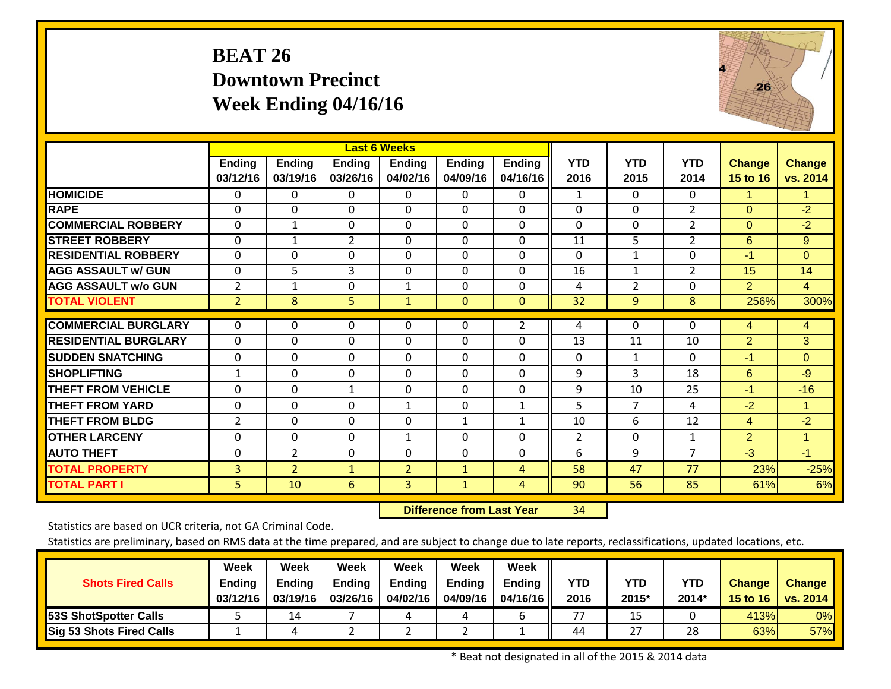# **BEAT 26 Downtown Precinct Week Ending 04/16/16**



|                             |                           |                           |                           | <b>Last 6 Weeks</b>       |                                  |                           |                    |                    |                    |                    |                           |
|-----------------------------|---------------------------|---------------------------|---------------------------|---------------------------|----------------------------------|---------------------------|--------------------|--------------------|--------------------|--------------------|---------------------------|
|                             | <b>Ending</b><br>03/12/16 | <b>Ending</b><br>03/19/16 | <b>Ending</b><br>03/26/16 | <b>Ending</b><br>04/02/16 | <b>Ending</b><br>04/09/16        | <b>Ending</b><br>04/16/16 | <b>YTD</b><br>2016 | <b>YTD</b><br>2015 | <b>YTD</b><br>2014 | Change<br>15 to 16 | <b>Change</b><br>vs. 2014 |
| <b>HOMICIDE</b>             | $\Omega$                  | $\Omega$                  | 0                         | $\Omega$                  | $\Omega$                         | 0                         | $\mathbf{1}$       | $\Omega$           | $\Omega$           | $\mathbf{1}$       | 1.                        |
| <b>RAPE</b>                 | $\Omega$                  | $\Omega$                  | $\Omega$                  | $\Omega$                  | $\Omega$                         | $\Omega$                  | $\Omega$           | $\Omega$           | $\overline{2}$     | $\mathbf{0}$       | $-2$                      |
| <b>COMMERCIAL ROBBERY</b>   | $\mathbf 0$               | $\mathbf{1}$              | $\mathbf{0}$              | 0                         | $\Omega$                         | $\Omega$                  | $\mathbf 0$        | $\mathbf 0$        | $\overline{2}$     | $\Omega$           | $-2$                      |
| <b>STREET ROBBERY</b>       | 0                         | 1                         | $\overline{2}$            | 0                         | $\mathbf{0}$                     | $\Omega$                  | 11                 | 5                  | $\overline{2}$     | 6                  | $9^{\circ}$               |
| <b>RESIDENTIAL ROBBERY</b>  | $\mathbf 0$               | $\overline{0}$            | $\mathbf{0}$              | 0                         | $\mathbf 0$                      | $\Omega$                  | 0                  | $\mathbf{1}$       | $\mathbf{0}$       | $-1$               | $\overline{0}$            |
| <b>AGG ASSAULT w/ GUN</b>   | $\mathbf 0$               | 5                         | 3                         | $\mathbf 0$               | $\mathbf{0}$                     | $\Omega$                  | 16                 | $\mathbf{1}$       | $\overline{2}$     | 15                 | 14                        |
| <b>AGG ASSAULT w/o GUN</b>  | $\overline{2}$            | $\mathbf{1}$              | $\mathbf 0$               | $\mathbf{1}$              | $\mathbf 0$                      | $\overline{0}$            | 4                  | $\overline{2}$     | $\mathbf 0$        | 2                  | $\overline{4}$            |
| <b>TOTAL VIOLENT</b>        | $\overline{2}$            | 8                         | 5                         | $\mathbf{1}$              | $\overline{0}$                   | $\mathbf{0}$              | 32                 | 9                  | 8                  | 256%               | 300%                      |
| <b>COMMERCIAL BURGLARY</b>  | $\mathbf{0}$              | 0                         | 0                         | 0                         | $\mathbf 0$                      | $\overline{2}$            | 4                  | $\Omega$           | 0                  | 4                  | $\overline{4}$            |
| <b>RESIDENTIAL BURGLARY</b> | $\mathbf 0$               | $\mathbf 0$               | $\mathbf{0}$              | 0                         | $\mathbf{0}$                     | $\mathbf 0$               | 13                 | 11                 | 10                 | $\overline{2}$     | 3                         |
| <b>SUDDEN SNATCHING</b>     | 0                         | $\mathbf 0$               | $\mathbf{0}$              | 0                         | $\mathbf 0$                      | $\mathbf 0$               | $\Omega$           | $\mathbf{1}$       | $\mathbf{0}$       | $-1$               | $\overline{0}$            |
| <b>SHOPLIFTING</b>          | $\mathbf{1}$              | $\overline{0}$            | $\Omega$                  | $\Omega$                  | $\Omega$                         | $\Omega$                  | 9                  | 3                  | 18                 | 6                  | $-9$                      |
| <b>THEFT FROM VEHICLE</b>   | 0                         | $\mathbf 0$               | $\mathbf{1}$              | 0                         | $\mathbf{0}$                     | 0                         | 9                  | 10                 | 25                 | $-1$               | $-16$                     |
| <b>THEFT FROM YARD</b>      | 0                         | $\Omega$                  | $\Omega$                  | 1                         | $\mathbf{0}$                     | $\mathbf{1}$              | 5                  | $\overline{7}$     | 4                  | $-2$               | $\mathbf{1}$              |
| <b>THEFT FROM BLDG</b>      | $\overline{2}$            | $\Omega$                  | $\Omega$                  | 0                         | $\mathbf{1}$                     | $\mathbf{1}$              | 10                 | 6                  | 12                 | $\overline{4}$     | $-2$                      |
| <b>IOTHER LARCENY</b>       | 0                         | $\Omega$                  | 0                         | $\mathbf{1}$              | $\Omega$                         | 0                         | 2                  | $\Omega$           | $\mathbf{1}$       | $\overline{2}$     | $\mathbf{1}$              |
| <b>AUTO THEFT</b>           | 0                         | $\overline{2}$            | $\mathbf{0}$              | 0                         | $\mathbf{0}$                     | $\Omega$                  | 6                  | 9                  | $\overline{7}$     | $-3$               | $-1$                      |
| <b>TOTAL PROPERTY</b>       | $\overline{3}$            | $\overline{2}$            | $\mathbf{1}$              | $\overline{2}$            | $\mathbf{1}$                     | $\overline{4}$            | 58                 | 47                 | 77                 | 23%                | $-25%$                    |
| <b>TOTAL PART I</b>         | 5                         | 10                        | $6\phantom{1}6$           | 3                         | $\mathbf{1}$                     | $\overline{4}$            | 90                 | 56                 | 85                 | 61%                | 6%                        |
|                             |                           |                           |                           |                           | <b>Difference from Last Year</b> |                           | 34                 |                    |                    |                    |                           |

 **Difference from Last Year**

Statistics are based on UCR criteria, not GA Criminal Code.

| <b>Shots Fired Calls</b>        | Week<br><b>Ending</b><br>03/12/16 | Week<br><b>Ending</b><br>03/19/16 | Week<br><b>Ending</b><br>03/26/16 | Week<br><b>Ending</b><br>04/02/16 | Week<br>Endina<br>04/09/16 | <b>Week</b><br><b>Ending</b><br>04/16/16 | YTD<br>2016 | <b>YTD</b><br>2015* | <b>YTD</b><br>2014* | <b>Change</b><br>15 to 16 | <b>Change</b><br>vs. 2014 |
|---------------------------------|-----------------------------------|-----------------------------------|-----------------------------------|-----------------------------------|----------------------------|------------------------------------------|-------------|---------------------|---------------------|---------------------------|---------------------------|
| <b>53S ShotSpotter Calls</b>    |                                   | 14                                |                                   |                                   |                            |                                          | 77          | 15                  |                     | 413%                      | 0%                        |
| <b>Sig 53 Shots Fired Calls</b> |                                   |                                   |                                   |                                   |                            |                                          | 44          | 27                  | 28                  | 63%                       | 57%                       |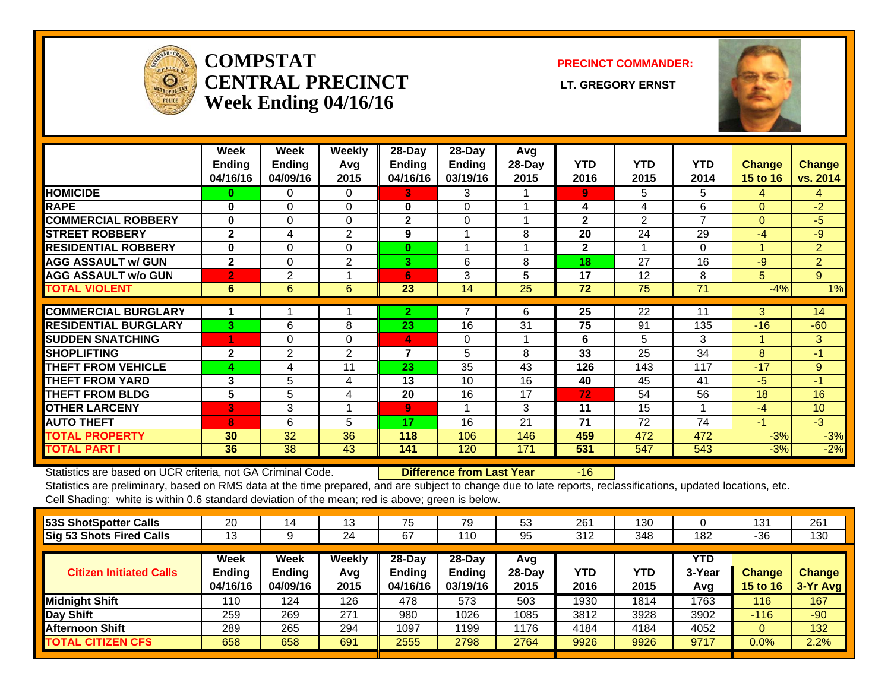

#### **COMPSTATCENTRAL PRECINCT** LT. GREGORY ERNST **Week Ending 04/16/16**

**PRECINCT COMMANDER:**



|                             | Week<br><b>Ending</b><br>04/16/16 | Week<br><b>Ending</b><br>04/09/16 | Weekly<br>Avg<br>2015 | 28-Day<br>Ending<br>04/16/16 | 28-Day<br>Ending<br>03/19/16 | Avg<br>28-Day<br>2015 | YTD<br>2016  | <b>YTD</b><br>2015 | <b>YTD</b><br>2014 | Change<br><b>15 to 16</b> | <b>Change</b><br>vs. 2014 |
|-----------------------------|-----------------------------------|-----------------------------------|-----------------------|------------------------------|------------------------------|-----------------------|--------------|--------------------|--------------------|---------------------------|---------------------------|
| <b>HOMICIDE</b>             | 0                                 | $\Omega$                          | $\Omega$              | 3                            | 3                            |                       | 9            | 5.                 | 5                  | 4                         | 4                         |
| <b>RAPE</b>                 | $\bf{0}$                          | 0                                 | 0                     | 0                            | $\Omega$                     |                       | 4            | 4                  | 6                  | $\Omega$                  | $-2$                      |
| <b>COMMERCIAL ROBBERY</b>   | $\bf{0}$                          | 0                                 | $\Omega$              | $\mathbf{2}$                 | $\Omega$                     |                       | $\mathbf{2}$ | $\overline{2}$     | 7                  | $\Omega$                  | -5                        |
| <b>STREET ROBBERY</b>       | $\mathbf{2}$                      | 4                                 | 2                     | 9                            | 1                            | 8                     | 20           | 24                 | 29                 | -4                        | -9                        |
| <b>RESIDENTIAL ROBBERY</b>  | $\bf{0}$                          | $\Omega$                          | $\Omega$              | $\bf{0}$                     | 1                            |                       | $\mathbf{2}$ | 4                  | $\Omega$           |                           | 2                         |
| <b>AGG ASSAULT w/ GUN</b>   | $\mathbf{2}$                      | $\Omega$                          | 2                     | 3                            | 6                            | 8                     | 18           | 27                 | 16                 | -9                        | $\overline{2}$            |
| <b>AGG ASSAULT w/o GUN</b>  | $\overline{2}$                    | $\overline{2}$                    |                       | 6                            | 3                            | 5                     | 17           | 12                 | 8                  | 5.                        | 9                         |
| <b>TOTAL VIOLENT</b>        | 6                                 | 6                                 | 6                     | 23                           | 14                           | 25                    | 72           | 75                 | 71                 | $-4%$                     | 1%                        |
|                             |                                   |                                   |                       |                              |                              |                       |              |                    |                    |                           |                           |
| <b>COMMERCIAL BURGLARY</b>  |                                   |                                   |                       | $\mathbf{2}$                 | 7                            | 6                     | 25           | 22                 | 11                 | 3                         | 14                        |
| <b>RESIDENTIAL BURGLARY</b> | 3                                 | 6                                 | 8                     | 23                           | 16                           | 31                    | 75           | 91                 | 135                | $-16$                     | $-60$                     |
| <b>SUDDEN SNATCHING</b>     |                                   | $\Omega$                          | $\Omega$              | 4                            | $\Omega$                     |                       | 6            | 5                  | 3                  |                           | 3                         |
| <b>SHOPLIFTING</b>          | $\mathbf{2}$                      | 2                                 | 2                     | $\overline{7}$               | 5                            | 8                     | 33           | 25                 | 34                 | 8                         | $-1$                      |
| <b>THEFT FROM VEHICLE</b>   | 4                                 | 4                                 | 11                    | 23                           | 35                           | 43                    | 126          | 143                | 117                | $-17$                     | 9                         |
| <b>THEFT FROM YARD</b>      | 3                                 | 5                                 | 4                     | 13                           | 10                           | 16                    | 40           | 45                 | 41                 | $-5$                      | $-1$                      |
| <b>THEFT FROM BLDG</b>      | 5                                 | 5                                 | 4                     | 20                           | 16                           | 17                    | 72           | 54                 | 56                 | 18                        | 16                        |
| <b>OTHER LARCENY</b>        | 3                                 | 3                                 |                       | 9                            | 1                            | 3                     | 11           | 15                 |                    | $-4$                      | 10                        |
| <b>AUTO THEFT</b>           | 8                                 | 6                                 | 5                     | 17                           | 16                           | 21                    | 71           | 72                 | 74                 | $-1$                      | $-3$                      |
| <b>TOTAL PROPERTY</b>       | 30                                | 32                                | 36                    | 118                          | 106                          | 146                   | 459          | 472                | 472                | $-3%$                     | $-3%$                     |
| <b>TOTAL PART I</b>         | 36                                | 38                                | 43                    | 141                          | 120                          | 171                   | 531          | 547                | 543                | $-3%$                     | $-2%$                     |

Statistics are based on UCR criteria, not GA Criminal Code. **Difference from Last Year** -16

Statistics are preliminary, based on RMS data at the time prepared, and are subject to change due to late reports, reclassifications, updated locations, etc. Cell Shading: white is within 0.6 standard deviation of the mean; red is above; green is below.

| 53S ShotSpotter Calls          | 20                                | 14                                | 13                    | 75                           | 79                                    | 53                      | 261         | 130         |                             | 131                              | 261                       |
|--------------------------------|-----------------------------------|-----------------------------------|-----------------------|------------------------------|---------------------------------------|-------------------------|-------------|-------------|-----------------------------|----------------------------------|---------------------------|
| Sig 53 Shots Fired Calls       | 13                                |                                   | 24                    | 67                           | 110                                   | 95                      | 312         | 348         | 182                         | $-36$                            | 130                       |
| <b>Citizen Initiated Calls</b> | Week<br><b>Ending</b><br>04/16/16 | Week<br><b>Ending</b><br>04/09/16 | Weekly<br>Avg<br>2015 | 28-Day<br>Ending<br>04/16/16 | $28-Day$<br><b>Ending</b><br>03/19/16 | Avg<br>$28-Day$<br>2015 | YTD<br>2016 | YTD<br>2015 | <b>YTD</b><br>3-Year<br>Avg | <b>Change</b><br><b>15 to 16</b> | <b>Change</b><br>3-Yr Avg |
| <b>Midnight Shift</b>          | 110                               | 124                               | 126                   | 478                          | 573                                   | 503                     | 1930        | 1814        | 1763                        | 116                              | 167                       |
| Day Shift                      | 259                               | 269                               | 271                   | 980                          | 1026                                  | 1085                    | 3812        | 3928        | 3902                        | $-116$                           | $-90$                     |
| <b>Afternoon Shift</b>         | 289                               | 265                               | 294                   | 1097                         | 199                                   | 1176                    | 4184        | 4184        | 4052                        | 0                                | 132                       |
| <b>TOTAL CITIZEN CFS</b>       | 658                               | 658                               | 691                   | 2555                         | 2798                                  | 2764                    | 9926        | 9926        | 9717                        | 0.0%                             | 2.2%                      |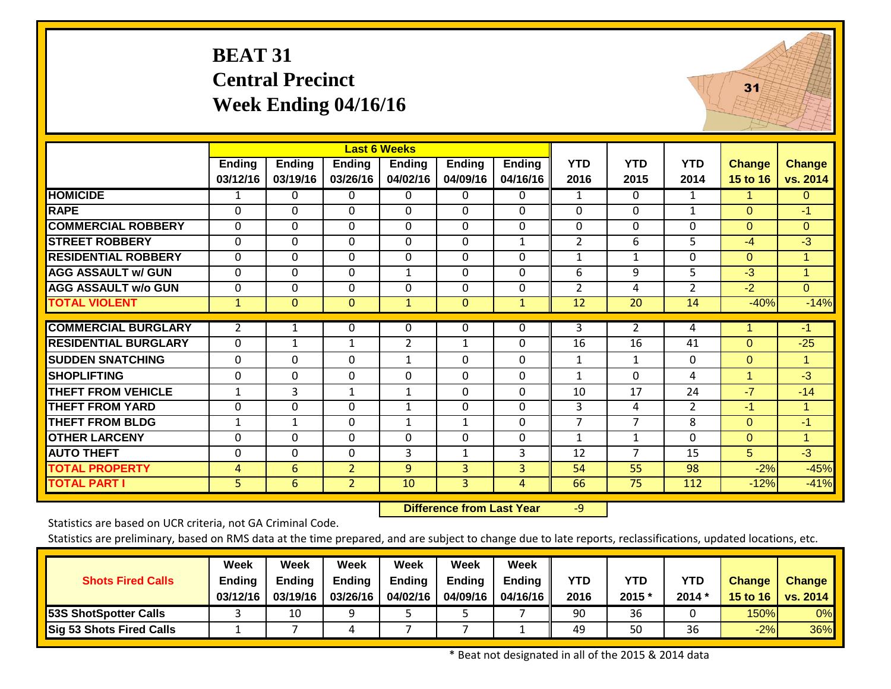# **BEAT 31 Central Precinct Week Ending 04/16/16**



|                             |                |              |                | <b>Last 6 Weeks</b> |               |                |                 |                 |                |               |                      |
|-----------------------------|----------------|--------------|----------------|---------------------|---------------|----------------|-----------------|-----------------|----------------|---------------|----------------------|
|                             | Ending         | Ending       | <b>Ending</b>  | <b>Ending</b>       | <b>Ending</b> | Ending         | <b>YTD</b>      | <b>YTD</b>      | <b>YTD</b>     | <b>Change</b> | <b>Change</b>        |
|                             | 03/12/16       | 03/19/16     | 03/26/16       | 04/02/16            | 04/09/16      | 04/16/16       | 2016            | 2015            | 2014           | 15 to 16      | vs. 2014             |
| <b>HOMICIDE</b>             | 1              | 0            | 0              | 0                   | $\Omega$      | 0              | $\mathbf{1}$    | $\Omega$        | 1              | 1             | $\overline{0}$       |
| <b>RAPE</b>                 | $\Omega$       | $\Omega$     | 0              | $\Omega$            | $\Omega$      | 0              | $\Omega$        | $\Omega$        | $\mathbf{1}$   | $\Omega$      | $-1$                 |
| <b>COMMERCIAL ROBBERY</b>   | 0              | $\Omega$     | 0              | 0                   | $\Omega$      | 0              | $\Omega$        | $\Omega$        | $\Omega$       | $\Omega$      | $\overline{0}$       |
| <b>STREET ROBBERY</b>       | $\Omega$       | $\Omega$     | 0              | $\Omega$            | $\Omega$      | 1              | 2               | 6               | 5              | $-4$          | -3                   |
| <b>RESIDENTIAL ROBBERY</b>  | $\Omega$       | $\Omega$     | 0              | 0                   | $\Omega$      | 0              | $\mathbf{1}$    | 1               | $\Omega$       | $\Omega$      | 1                    |
| <b>AGG ASSAULT w/ GUN</b>   | 0              | $\Omega$     | 0              | $\mathbf{1}$        | $\Omega$      | 0              | 6               | 9               | 5              | $-3$          | $\blacktriangleleft$ |
| <b>AGG ASSAULT w/o GUN</b>  | 0              | $\Omega$     | 0              | 0                   | $\Omega$      | 0              | $\overline{2}$  | 4               | $\overline{2}$ | $-2$          | $\overline{0}$       |
| <b>TOTAL VIOLENT</b>        | $\overline{1}$ | $\mathbf{0}$ | $\overline{0}$ | $\mathbf{1}$        | $\mathbf{0}$  | $\mathbf{1}$   | $\overline{12}$ | $\overline{20}$ | 14             | $-40%$        | $-14%$               |
| <b>COMMERCIAL BURGLARY</b>  | $\overline{2}$ | $\mathbf{1}$ | 0              | 0                   | $\Omega$      | 0              | 3               | $\overline{2}$  | 4              | 1             | -1                   |
|                             |                |              |                |                     |               |                |                 |                 |                |               |                      |
| <b>RESIDENTIAL BURGLARY</b> | $\Omega$       | $\mathbf{1}$ | 1              | $\overline{2}$      | 1             | 0              | 16              | 16              | 41             | $\Omega$      | $-25$                |
| <b>SUDDEN SNATCHING</b>     | 0              | $\Omega$     | 0              | $\mathbf{1}$        | $\Omega$      | 0              | 1               | 1               | $\Omega$       | $\Omega$      | $\mathbf{1}$         |
| <b>SHOPLIFTING</b>          | $\Omega$       | $\Omega$     | 0              | 0                   | $\Omega$      | 0              | $\mathbf{1}$    | $\Omega$        | 4              | $\mathbf{1}$  | $-3$                 |
| <b>THEFT FROM VEHICLE</b>   | $\mathbf 1$    | 3            | 1              | $\mathbf{1}$        | $\mathbf 0$   | 0              | 10              | 17              | 24             | $-7$          | $-14$                |
| <b>THEFT FROM YARD</b>      | 0              | $\Omega$     | 0              | $\mathbf{1}$        | $\Omega$      | 0              | 3               | 4               | $\overline{2}$ | $-1$          |                      |
| <b>THEFT FROM BLDG</b>      | 1              | 1            | 0              | $\mathbf{1}$        | 1             | 0              | 7               | 7               | 8              | $\Omega$      | $-1$                 |
| <b>OTHER LARCENY</b>        | $\Omega$       | $\Omega$     | 0              | $\Omega$            | $\Omega$      | 0              | 1               | 1               | $\Omega$       | $\Omega$      |                      |
| <b>AUTO THEFT</b>           | 0              | $\Omega$     | 0              | 3                   | $\mathbf{1}$  | 3              | 12              | $\overline{7}$  | 15             | 5             | $-3$                 |
| <b>TOTAL PROPERTY</b>       | $\overline{4}$ | 6            | $\overline{2}$ | 9                   | 3             | $\overline{3}$ | 54              | 55              | 98             | $-2%$         | $-45%$               |
| <b>TOTAL PART I</b>         | 5              | 6            | $\overline{2}$ | 10                  | 3             | 4              | 66              | 75              | 112            | $-12%$        | $-41%$               |

 **Difference from Last Year**r -9

Statistics are based on UCR criteria, not GA Criminal Code.

Statistics are preliminary, based on RMS data at the time prepared, and are subject to change due to late reports, reclassifications, updated locations, etc.

| <b>Shots Fired Calls</b>     | Week<br>Ending<br>03/12/16 | Week<br><b>Ending</b><br>03/19/16 | Week<br><b>Ending</b><br>03/26/16 | Week<br><b>Ending</b><br>04/02/16 | Week<br><b>Ending</b><br>04/09/16 | <b>Week</b><br>Ending $\ $<br>04/16/16 II | <b>YTD</b><br>2016 | YTD<br>2015 * | <b>YTD</b><br>$2014*$ | <b>Change</b><br>15 to 16 | <b>Change</b><br>$\vert$ vs. 2014 |
|------------------------------|----------------------------|-----------------------------------|-----------------------------------|-----------------------------------|-----------------------------------|-------------------------------------------|--------------------|---------------|-----------------------|---------------------------|-----------------------------------|
| <b>53S ShotSpotter Calls</b> |                            | 10                                | ດ                                 |                                   |                                   |                                           | 90                 | 36            |                       | 150%                      | 0%                                |
| Sig 53 Shots Fired Calls     |                            |                                   |                                   |                                   |                                   |                                           | 49                 | 50            | 36                    | $-2%$                     | 36%                               |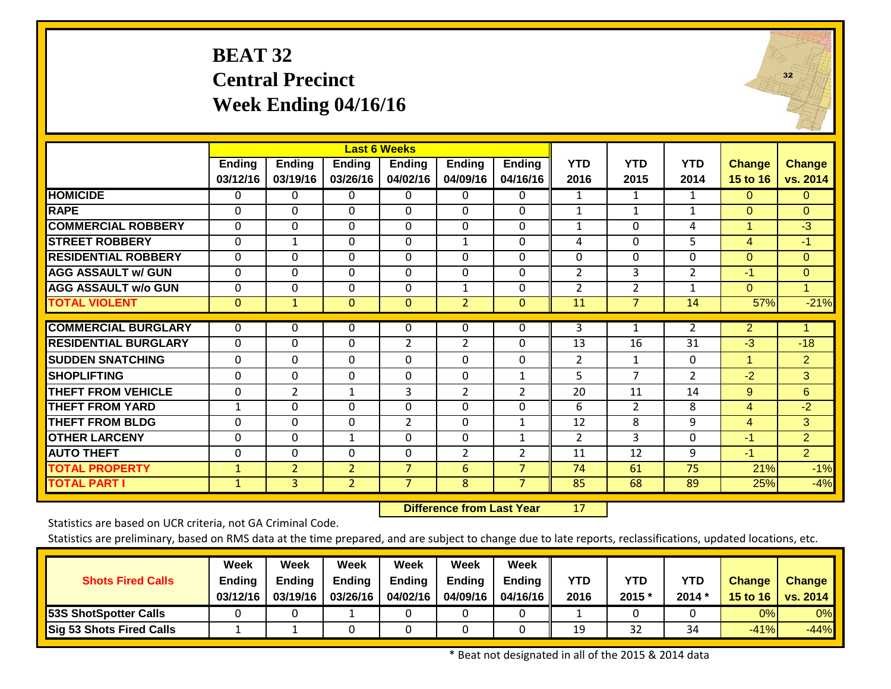### **BEAT 32 Central Precinct Week Ending 04/16/16**



|                             |              |                |                | <b>Last 6 Weeks</b> |                |                |                |                |                 |                |                |
|-----------------------------|--------------|----------------|----------------|---------------------|----------------|----------------|----------------|----------------|-----------------|----------------|----------------|
|                             | Ending       | <b>Ending</b>  | <b>Ending</b>  | <b>Ending</b>       | <b>Ending</b>  | <b>Ending</b>  | <b>YTD</b>     | <b>YTD</b>     | <b>YTD</b>      | <b>Change</b>  | <b>Change</b>  |
|                             | 03/12/16     | 03/19/16       | 03/26/16       | 04/02/16            | 04/09/16       | 04/16/16       | 2016           | 2015           | 2014            | 15 to 16       | vs. 2014       |
| <b>HOMICIDE</b>             | 0            | 0              | 0              | 0                   | $\Omega$       | 0              | 1              | 1              | 1               | $\Omega$       | $\overline{0}$ |
| <b>RAPE</b>                 | $\Omega$     | 0              | 0              | $\Omega$            | $\Omega$       | $\Omega$       | 1              | $\mathbf{1}$   | $\mathbf{1}$    | $\Omega$       | $\Omega$       |
| <b>COMMERCIAL ROBBERY</b>   | $\Omega$     | $\Omega$       | 0              | $\Omega$            | $\Omega$       | $\Omega$       | $\mathbf{1}$   | $\Omega$       | 4               | 1              | $-3$           |
| <b>STREET ROBBERY</b>       | $\Omega$     | $\mathbf{1}$   | 0              | $\Omega$            | $\mathbf{1}$   | $\Omega$       | 4              | $\Omega$       | 5               | $\overline{4}$ | $-1$           |
| <b>RESIDENTIAL ROBBERY</b>  | $\Omega$     | $\Omega$       | $\Omega$       | $\Omega$            | $\Omega$       | 0              | $\Omega$       | $\Omega$       | 0               | $\Omega$       | $\Omega$       |
| <b>AGG ASSAULT w/ GUN</b>   | 0            | $\Omega$       | $\Omega$       | 0                   | $\Omega$       | $\mathbf 0$    | $\overline{2}$ | 3              | $\overline{2}$  | $-1$           | $\Omega$       |
| <b>AGG ASSAULT w/o GUN</b>  | $\Omega$     | $\Omega$       | $\Omega$       | $\Omega$            | 1              | $\Omega$       | $\overline{2}$ | $\overline{2}$ | $\mathbf{1}$    | $\Omega$       | 1              |
| <b>TOTAL VIOLENT</b>        | $\mathbf{0}$ | $\mathbf{1}$   | $\mathbf{0}$   | $\mathbf{0}$        | $\overline{2}$ | $\mathbf{0}$   | 11             | $\overline{7}$ | 14              | 57%            | $-21%$         |
| <b>COMMERCIAL BURGLARY</b>  | $\mathbf{0}$ | 0              | 0              | $\Omega$            | $\Omega$       | 0              | 3              | $\mathbf{1}$   | $\overline{2}$  | $\overline{2}$ | 1              |
| <b>RESIDENTIAL BURGLARY</b> | $\Omega$     | $\Omega$       | 0              | 2                   | $\overline{2}$ | $\Omega$       | 13             | 16             | 31              | $-3$           | $-18$          |
|                             |              |                |                |                     |                |                |                |                |                 |                |                |
| <b>SUDDEN SNATCHING</b>     | 0            | $\Omega$       | $\Omega$       | 0                   | $\Omega$       | $\Omega$       | $\overline{2}$ | 1              | 0               | 1              | $\overline{2}$ |
| <b>SHOPLIFTING</b>          | $\Omega$     | $\Omega$       | $\Omega$       | $\Omega$            | $\Omega$       | 1              | 5              | 7              | $\overline{2}$  | $-2$           | 3              |
| <b>THEFT FROM VEHICLE</b>   | $\mathbf{0}$ | $\overline{2}$ | $\mathbf{1}$   | 3                   | 2              | 2              | 20             | 11             | 14              | 9              | 6              |
| <b>THEFT FROM YARD</b>      | $\mathbf{1}$ | $\Omega$       | 0              | 0                   | $\Omega$       | $\Omega$       | 6              | $\overline{2}$ | 8               | 4              | $-2$           |
| <b>THEFT FROM BLDG</b>      | $\Omega$     | $\Omega$       | $\Omega$       | $\overline{2}$      | $\Omega$       | 1              | 12             | 8              | 9               | 4              | 3              |
| <b>OTHER LARCENY</b>        | 0            | $\Omega$       | $\mathbf{1}$   | $\Omega$            | $\Omega$       | $\mathbf{1}$   | $\overline{2}$ | 3              | $\Omega$        | $-1$           | $\overline{2}$ |
| <b>AUTO THEFT</b>           | $\mathbf 0$  | 0              | 0              | 0                   | $\overline{2}$ | $\overline{2}$ | 11             | 12             | 9               | $-1$           | $\overline{2}$ |
| <b>TOTAL PROPERTY</b>       | $\mathbf{1}$ | $\overline{2}$ | $\overline{2}$ | $\overline{7}$      | 6              | $\overline{7}$ | 74             | 61             | $\overline{75}$ | 21%            | $-1%$          |
| <b>TOTAL PART I</b>         | $\mathbf{1}$ | $\mathbf{3}$   | $\overline{2}$ | $\overline{7}$      | 8              | $\overline{7}$ | 85             | 68             | 89              | 25%            | $-4%$          |

 **Difference from Last Year**r 17

Statistics are based on UCR criteria, not GA Criminal Code.

Statistics are preliminary, based on RMS data at the time prepared, and are subject to change due to late reports, reclassifications, updated locations, etc.

| <b>Shots Fired Calls</b>     | Week<br>Ending<br>03/12/16 | Week<br><b>Ending</b><br>03/19/16 | <b>Week</b><br><b>Ending</b><br>03/26/16 | Week<br><b>Ending</b><br>04/02/16 | Week<br><b>Ending</b><br>04/09/16 | <b>Week</b><br>Ending   <br>04/16/16 II | <b>YTD</b><br>2016 | YTD<br>2015 * | <b>YTD</b><br>$2014*$ | <b>Change</b> | <b>Change</b><br>15 to 16   vs. 2014 |
|------------------------------|----------------------------|-----------------------------------|------------------------------------------|-----------------------------------|-----------------------------------|-----------------------------------------|--------------------|---------------|-----------------------|---------------|--------------------------------------|
| <b>53S ShotSpotter Calls</b> |                            |                                   |                                          |                                   |                                   |                                         |                    |               |                       | 0%            | 0%                                   |
| Sig 53 Shots Fired Calls     |                            |                                   |                                          |                                   |                                   |                                         | 19                 | 32            | 34                    | $-41%$        | $-44%$                               |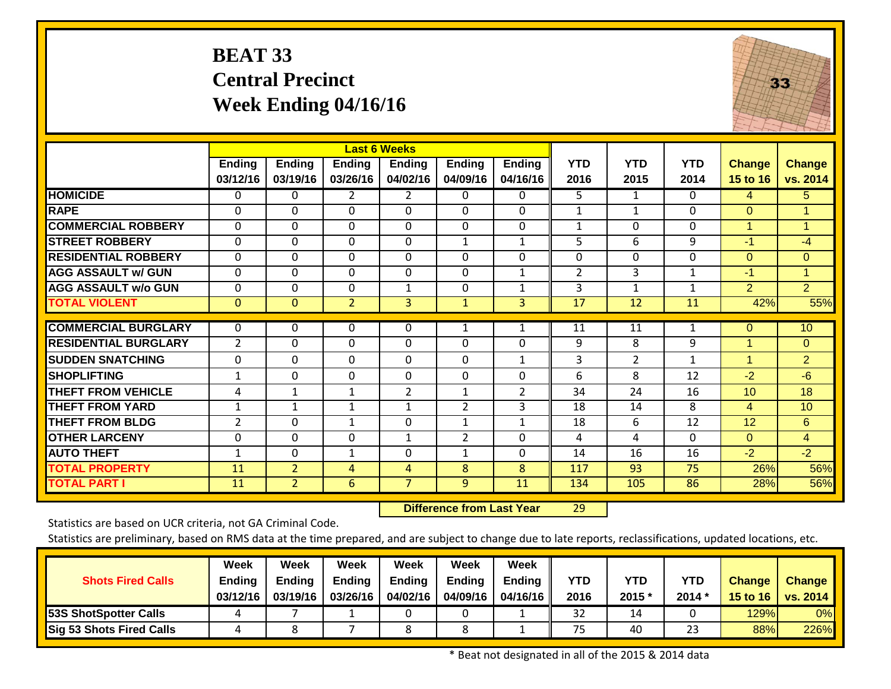# **BEAT 33 Central Precinct Week Ending 04/16/16**



|                             |                |                |                | <b>Last 6 Weeks</b> |                |                |                |                 |                 |                 |                |
|-----------------------------|----------------|----------------|----------------|---------------------|----------------|----------------|----------------|-----------------|-----------------|-----------------|----------------|
|                             | <b>Ending</b>  | <b>Ending</b>  | <b>Ending</b>  | <b>Ending</b>       | <b>Ending</b>  | <b>Ending</b>  | <b>YTD</b>     | <b>YTD</b>      | <b>YTD</b>      | <b>Change</b>   | <b>Change</b>  |
|                             | 03/12/16       | 03/19/16       | 03/26/16       | 04/02/16            | 04/09/16       | 04/16/16       | 2016           | 2015            | 2014            | <b>15 to 16</b> | vs. 2014       |
| <b>HOMICIDE</b>             | 0              | 0              | $\overline{2}$ | $\mathbf{2}$        | $\mathbf{0}$   | 0              | 5              | $\mathbf{1}$    | $\Omega$        | 4               | 5 <sup>5</sup> |
| <b>RAPE</b>                 | $\mathbf{0}$   | $\mathbf 0$    | $\Omega$       | $\Omega$            | $\mathbf 0$    | $\mathbf 0$    | $\mathbf{1}$   | $\mathbf{1}$    | $\mathbf 0$     | $\Omega$        |                |
| <b>COMMERCIAL ROBBERY</b>   | 0              | $\Omega$       | $\Omega$       | 0                   | $\Omega$       | $\Omega$       | $\mathbf{1}$   | 0               | 0               | 1               |                |
| <b>STREET ROBBERY</b>       | $\mathbf 0$    | $\Omega$       | $\Omega$       | $\Omega$            | 1              | 1              | 5              | 6               | 9               | $-1$            | -4             |
| <b>RESIDENTIAL ROBBERY</b>  | $\mathbf{0}$   | $\mathbf 0$    | $\Omega$       | 0                   | $\Omega$       | $\Omega$       | 0              | $\Omega$        | $\Omega$        | $\overline{0}$  | $\overline{0}$ |
| <b>AGG ASSAULT w/ GUN</b>   | 0              | $\Omega$       | $\Omega$       | $\Omega$            | $\Omega$       | $\mathbf{1}$   | $\overline{2}$ | 3               | $\mathbf{1}$    | $-1$            | 1              |
| <b>AGG ASSAULT w/o GUN</b>  | $\mathbf 0$    | $\mathbf 0$    | $\mathbf{0}$   | $\mathbf{1}$        | $\mathbf 0$    | $\mathbf{1}$   | 3              | $\mathbf{1}$    | 1               | $\overline{2}$  | $\overline{2}$ |
| <b>TOTAL VIOLENT</b>        | $\mathbf{0}$   | $\mathbf{0}$   | $\overline{2}$ | $\overline{3}$      | $\mathbf{1}$   | $\overline{3}$ | 17             | $\overline{12}$ | $\overline{11}$ | 42%             | 55%            |
|                             |                |                |                |                     |                |                |                |                 |                 |                 |                |
| <b>COMMERCIAL BURGLARY</b>  | 0              | 0              | 0              | 0                   | 1              | $\mathbf{1}$   | 11             | 11              | 1               | $\mathbf{0}$    | 10             |
| <b>RESIDENTIAL BURGLARY</b> | $\overline{2}$ | $\Omega$       | $\Omega$       | $\Omega$            | $\Omega$       | $\Omega$       | 9              | 8               | 9               | 1               | $\overline{0}$ |
| <b>SUDDEN SNATCHING</b>     | 0              | $\Omega$       | $\Omega$       | $\Omega$            | $\Omega$       | $\mathbf{1}$   | 3              | $\overline{2}$  | $\mathbf{1}$    | 1               | $\overline{2}$ |
| <b>SHOPLIFTING</b>          | $\mathbf{1}$   | $\Omega$       | $\Omega$       | $\Omega$            | $\Omega$       | $\Omega$       | 6              | 8               | 12              | $-2$            | $-6$           |
| <b>THEFT FROM VEHICLE</b>   | 4              | 1              | $\mathbf 1$    | 2                   | $\mathbf 1$    | 2              | 34             | 24              | 16              | 10              | 18             |
| <b>THEFT FROM YARD</b>      | 1              | $\mathbf{1}$   | $\mathbf{1}$   | 1                   | $\overline{2}$ | 3              | 18             | 14              | 8               | 4               | 10             |
| <b>THEFT FROM BLDG</b>      | $\overline{2}$ | $\Omega$       | $\mathbf{1}$   | $\Omega$            | $\mathbf{1}$   | 1              | 18             | 6               | 12              | 12              | 6              |
| <b>OTHER LARCENY</b>        | 0              | $\Omega$       | $\Omega$       | 1                   | 2              | 0              | 4              | 4               | $\Omega$        | $\Omega$        | $\overline{4}$ |
| <b>AUTO THEFT</b>           | $\mathbf{1}$   | $\Omega$       | $\mathbf{1}$   | $\Omega$            | $\mathbf{1}$   | $\Omega$       | 14             | 16              | 16              | $-2$            | $-2$           |
| <b>TOTAL PROPERTY</b>       | 11             | $\overline{2}$ | 4              | $\overline{4}$      | 8              | 8              | 117            | $\overline{93}$ | 75              | 26%             | 56%            |
| <b>TOTAL PART I</b>         | 11             | $\overline{2}$ | 6              | $\overline{7}$      | 9              | 11             | 134            | 105             | 86              | 28%             | 56%            |

 **Difference from Last Year**r 29

Statistics are based on UCR criteria, not GA Criminal Code.

Statistics are preliminary, based on RMS data at the time prepared, and are subject to change due to late reports, reclassifications, updated locations, etc.

| <b>Shots Fired Calls</b>        | <b>Week</b><br>Ending<br>03/12/16 | Week<br><b>Ending</b><br>03/19/16 | Week<br><b>Ending</b><br>03/26/16 | <b>Week</b><br><b>Ending</b><br>04/02/16 | <b>Week</b><br><b>Ending</b><br>04/09/16 | <b>Week</b><br><b>Ending</b><br>04/16/16 II | <b>YTD</b><br>2016 | YTD<br>2015 * | <b>YTD</b><br>$2014*$ | <b>Change</b><br>15 to 16 | <b>Change</b><br>$\vert$ vs. 2014 |
|---------------------------------|-----------------------------------|-----------------------------------|-----------------------------------|------------------------------------------|------------------------------------------|---------------------------------------------|--------------------|---------------|-----------------------|---------------------------|-----------------------------------|
| <b>53S ShotSpotter Calls</b>    |                                   |                                   |                                   |                                          |                                          |                                             | 32                 | 14            |                       | 129%                      | 0%                                |
| <b>Sig 53 Shots Fired Calls</b> |                                   |                                   |                                   |                                          |                                          |                                             | 75                 | 40            | 23                    | 88%                       | 226%                              |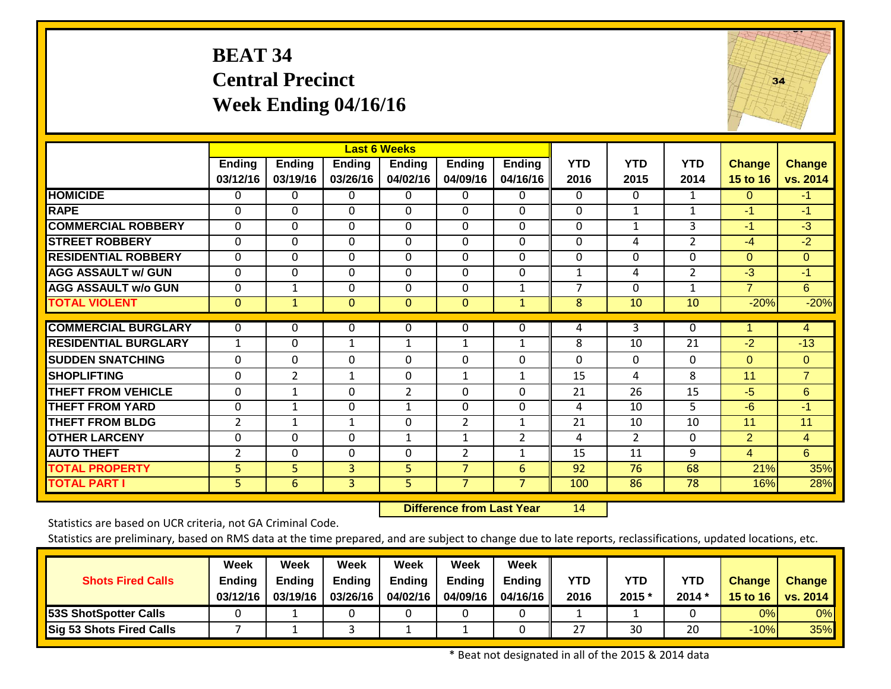# **BEAT 34 Central Precinct Week Ending 04/16/16**



|                             |                |                |                | <b>Last 6 Weeks</b> |                |                |                |                       |                |                 |                |
|-----------------------------|----------------|----------------|----------------|---------------------|----------------|----------------|----------------|-----------------------|----------------|-----------------|----------------|
|                             | <b>Ending</b>  | <b>Ending</b>  | Ending         | <b>Ending</b>       | <b>Ending</b>  | <b>Ending</b>  | <b>YTD</b>     | <b>YTD</b>            | <b>YTD</b>     | <b>Change</b>   | <b>Change</b>  |
|                             | 03/12/16       | 03/19/16       | 03/26/16       | 04/02/16            | 04/09/16       | 04/16/16       | 2016           | 2015                  | 2014           | <b>15 to 16</b> | vs. 2014       |
| <b>HOMICIDE</b>             | 0              | $\Omega$       | $\Omega$       | 0                   | $\mathbf{0}$   | 0              | 0              | $\Omega$              | 1              | $\Omega$        | $-1$           |
| <b>RAPE</b>                 | $\mathbf{0}$   | $\Omega$       | $\Omega$       | $\Omega$            | $\Omega$       | $\Omega$       | $\Omega$       | $\mathbf{1}$          | $\mathbf{1}$   | $-1$            | $-1$           |
| <b>COMMERCIAL ROBBERY</b>   | 0              | $\Omega$       | $\Omega$       | 0                   | $\Omega$       | $\Omega$       | 0              | 1                     | 3              | $-1$            | $-3$           |
| <b>STREET ROBBERY</b>       | $\Omega$       | $\Omega$       | $\Omega$       | $\Omega$            | $\Omega$       | $\Omega$       | $\Omega$       | 4                     | $\overline{2}$ | $-4$            | $-2$           |
| <b>RESIDENTIAL ROBBERY</b>  | $\mathbf{0}$   | $\Omega$       | $\Omega$       | $\Omega$            | $\Omega$       | $\Omega$       | 0              | $\Omega$              | $\Omega$       | $\Omega$        | $\overline{0}$ |
| <b>AGG ASSAULT w/ GUN</b>   | $\mathbf{0}$   | $\Omega$       | $\Omega$       | $\Omega$            | $\Omega$       | $\Omega$       | $\mathbf{1}$   | 4                     | $\overline{2}$ | $-3$            | $-1$           |
| <b>AGG ASSAULT w/o GUN</b>  | $\mathbf{0}$   | $\mathbf{1}$   | $\Omega$       | $\Omega$            | $\Omega$       | 1              | $\overline{7}$ | $\Omega$              | 1              | $\overline{7}$  | $6^{\circ}$    |
| <b>TOTAL VIOLENT</b>        | $\mathbf{0}$   | $\mathbf{1}$   | $\mathbf{0}$   | $\mathbf{0}$        | $\mathbf{0}$   | $\mathbf{1}$   | 8              | 10                    | 10             | $-20%$          | $-20%$         |
| <b>COMMERCIAL BURGLARY</b>  | $\mathbf 0$    | 0              | 0              | 0                   | 0              | 0              | 4              | 3                     | 0              | 1               | $\overline{4}$ |
| <b>RESIDENTIAL BURGLARY</b> |                |                |                |                     |                |                |                |                       |                |                 |                |
|                             | $\mathbf{1}$   | $\Omega$       | 1              | 1                   | $\mathbf{1}$   | $\mathbf{1}$   | 8              | 10                    | 21             | $-2$            | $-13$          |
| <b>SUDDEN SNATCHING</b>     | 0              | $\Omega$       | $\Omega$       | $\Omega$            | $\Omega$       | $\Omega$       | $\Omega$       | $\Omega$              | $\Omega$       | $\Omega$        | $\Omega$       |
| <b>SHOPLIFTING</b>          | 0              | $\overline{2}$ | $\mathbf{1}$   | $\Omega$            | $\mathbf{1}$   | 1              | 15             | 4                     | 8              | 11              | $\overline{7}$ |
| <b>THEFT FROM VEHICLE</b>   | 0              | $\mathbf{1}$   | $\Omega$       | $\overline{2}$      | $\Omega$       | $\Omega$       | 21             | 26                    | 15             | $-5$            | $6\phantom{1}$ |
| <b>THEFT FROM YARD</b>      | 0              | $\mathbf{1}$   | $\Omega$       | 1                   | $\Omega$       | 0              | 4              | 10                    | $\overline{5}$ | $-6$            | $-1$           |
| <b>THEFT FROM BLDG</b>      | $\overline{2}$ | 1              | 1              | $\Omega$            | $\overline{2}$ | $\mathbf{1}$   | 21             | 10                    | 10             | 11              | 11             |
| <b>OTHER LARCENY</b>        | 0              | 0              | $\Omega$       | 1                   | 1              | $\overline{2}$ | 4              | $\mathbf{2}^{\prime}$ | $\Omega$       | $\overline{2}$  | $\overline{4}$ |
| <b>AUTO THEFT</b>           | $\overline{2}$ | $\Omega$       | $\Omega$       | $\Omega$            | 2              | $\mathbf{1}$   | 15             | 11                    | 9              | 4               | 6              |
| <b>TOTAL PROPERTY</b>       | 5 <sup>1</sup> | 5              | $\overline{3}$ | 5                   | $\overline{7}$ | 6              | 92             | 76                    | 68             | 21%             | 35%            |
| <b>TOTAL PART I</b>         | 5.             | 6              | 3              | 5                   | $\overline{7}$ | $\overline{7}$ | 100            | 86                    | 78             | 16%             | 28%            |

 **Difference from Last Year**r 14

Statistics are based on UCR criteria, not GA Criminal Code.

Statistics are preliminary, based on RMS data at the time prepared, and are subject to change due to late reports, reclassifications, updated locations, etc.

| <b>Shots Fired Calls</b>     | Week<br>Ending<br>03/12/16 | Week<br><b>Ending</b><br>03/19/16 | <b>Week</b><br><b>Ending</b><br>03/26/16 | Week<br><b>Ending</b><br>04/02/16 | Week<br><b>Ending</b><br>04/09/16 | <b>Week</b><br>Ending $\ $<br>04/16/16 II | <b>YTD</b><br>2016 | YTD<br>2015 * | <b>YTD</b><br>$2014*$ | <b>Change</b> | <b>Change</b><br>15 to 16   vs. 2014 |
|------------------------------|----------------------------|-----------------------------------|------------------------------------------|-----------------------------------|-----------------------------------|-------------------------------------------|--------------------|---------------|-----------------------|---------------|--------------------------------------|
| <b>53S ShotSpotter Calls</b> |                            |                                   |                                          |                                   |                                   |                                           |                    |               |                       | $0\%$         | 0%                                   |
| Sig 53 Shots Fired Calls     |                            |                                   |                                          |                                   |                                   |                                           | 27                 | 30            | 20                    | $-10%$        | 35%                                  |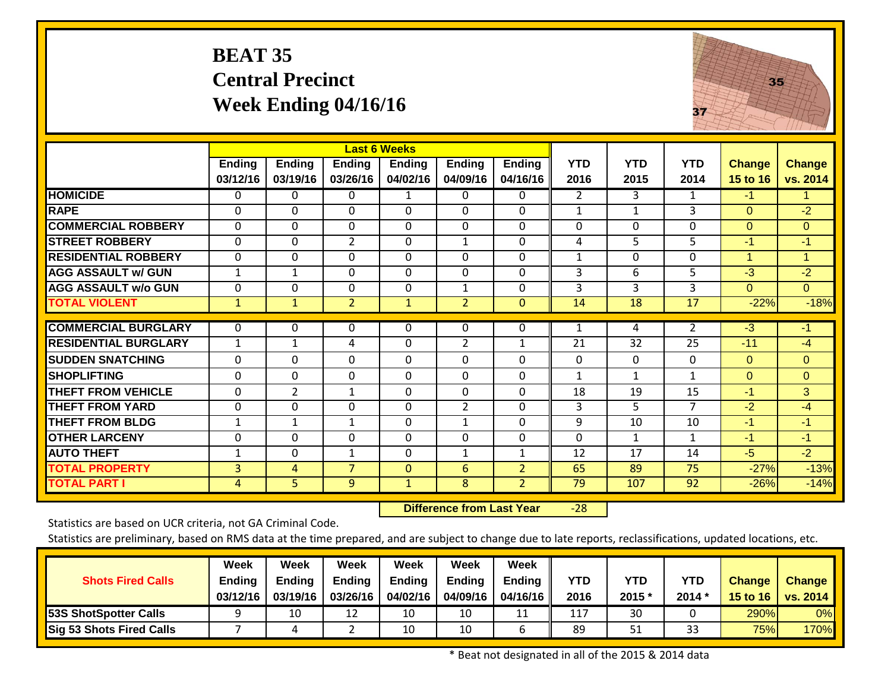# **BEAT 35 Central Precinct Week Ending 04/16/16**



|                             |                |                |                | <b>Last 6 Weeks</b> |                |                |                 |              |                |                |                |
|-----------------------------|----------------|----------------|----------------|---------------------|----------------|----------------|-----------------|--------------|----------------|----------------|----------------|
|                             | Ending         | <b>Ending</b>  | <b>Ending</b>  | <b>Ending</b>       | <b>Ending</b>  | <b>Ending</b>  | <b>YTD</b>      | <b>YTD</b>   | <b>YTD</b>     | <b>Change</b>  | <b>Change</b>  |
|                             | 03/12/16       | 03/19/16       | 03/26/16       | 04/02/16            | 04/09/16       | 04/16/16       | 2016            | 2015         | 2014           | 15 to 16       | vs. 2014       |
| <b>HOMICIDE</b>             | 0              | 0              | 0              | 1                   | 0              | 0              | 2               | $\mathbf{3}$ | 1              | $-1$           |                |
| <b>RAPE</b>                 | $\Omega$       | $\Omega$       | $\Omega$       | $\Omega$            | $\Omega$       | $\Omega$       | $\mathbf{1}$    | 1            | 3              | $\Omega$       | $-2$           |
| <b>COMMERCIAL ROBBERY</b>   | $\Omega$       | $\Omega$       | $\Omega$       | $\Omega$            | $\Omega$       | $\Omega$       | $\Omega$        | 0            | $\Omega$       | $\Omega$       | $\overline{0}$ |
| <b>STREET ROBBERY</b>       | $\Omega$       | $\Omega$       | $\overline{2}$ | $\Omega$            | $\mathbf{1}$   | $\Omega$       | $\overline{4}$  | 5            | 5              | $-1$           | $-1$           |
| <b>RESIDENTIAL ROBBERY</b>  | $\Omega$       | $\Omega$       | $\Omega$       | $\Omega$            | $\Omega$       | $\Omega$       | $\mathbf{1}$    | $\Omega$     | $\Omega$       | $\overline{1}$ | $\mathbf{1}$   |
| <b>AGG ASSAULT w/ GUN</b>   | $\mathbf{1}$   | $\mathbf{1}$   | $\mathbf 0$    | $\mathbf{0}$        | $\Omega$       | $\Omega$       | 3               | 6            | 5              | $-3$           | $-2$           |
| <b>AGG ASSAULT w/o GUN</b>  | $\Omega$       | $\Omega$       | $\Omega$       | $\Omega$            | $\mathbf{1}$   | $\Omega$       | 3               | 3            | 3              | $\Omega$       | $\overline{0}$ |
| <b>TOTAL VIOLENT</b>        | $\mathbf{1}$   | $\mathbf{1}$   | $\overline{2}$ | $\mathbf{1}$        | $\overline{2}$ | $\mathbf{0}$   | $\overline{14}$ | 18           | 17             | $-22%$         | $-18%$         |
| <b>COMMERCIAL BURGLARY</b>  | $\Omega$       | $\Omega$       | 0              | $\Omega$            | $\Omega$       | 0              |                 | 4            | $\overline{2}$ | $-3$           | $-1$           |
|                             |                |                |                |                     |                |                | 1               |              |                |                |                |
| <b>RESIDENTIAL BURGLARY</b> | $\mathbf{1}$   | $\mathbf{1}$   | 4              | $\Omega$            | $\overline{2}$ | $\mathbf{1}$   | 21              | 32           | 25             | $-11$          | $-4$           |
| <b>SUDDEN SNATCHING</b>     | $\Omega$       | 0              | 0              | $\Omega$            | $\Omega$       | $\Omega$       | $\Omega$        | $\Omega$     | $\Omega$       | $\Omega$       | $\Omega$       |
| <b>SHOPLIFTING</b>          | $\Omega$       | 0              | $\Omega$       | $\Omega$            | $\Omega$       | $\Omega$       | $\mathbf{1}$    | 1            | $\mathbf{1}$   | $\Omega$       | $\Omega$       |
| <b>THEFT FROM VEHICLE</b>   | $\mathbf 0$    | $\overline{2}$ | $\mathbf{1}$   | $\mathbf{0}$        | $\Omega$       | $\Omega$       | 18              | 19           | 15             | $-1$           | 3              |
| <b>THEFT FROM YARD</b>      | $\Omega$       | $\mathbf 0$    | 0              | $\mathbf{0}$        | $\overline{2}$ | $\Omega$       | 3               | 5            | $\overline{7}$ | $-2$           | $-4$           |
| <b>THEFT FROM BLDG</b>      | 1              | $\mathbf{1}$   | $\mathbf{1}$   | $\Omega$            | $\mathbf{1}$   | $\Omega$       | 9               | 10           | 10             | $-1$           | $-1$           |
| <b>OTHER LARCENY</b>        | $\Omega$       | $\Omega$       | 0              | $\Omega$            | $\Omega$       | $\Omega$       | $\Omega$        | 1            | $\mathbf{1}$   | -1             | $-1$           |
| <b>AUTO THEFT</b>           | 1              | $\Omega$       | 1              | $\Omega$            | 1              | 1              | 12              | 17           | 14             | $-5$           | $-2$           |
| <b>TOTAL PROPERTY</b>       | $\overline{3}$ | 4              | $\overline{7}$ | $\mathbf{0}$        | 6              | $\overline{2}$ | 65              | 89           | 75             | $-27%$         | $-13%$         |
| <b>TOTAL PART I</b>         | 4              | 5              | 9              | $\mathbf{1}$        | 8              | $\overline{2}$ | 79              | 107          | 92             | $-26%$         | $-14%$         |

 **Difference from Last Year**‐28

Statistics are based on UCR criteria, not GA Criminal Code.

Statistics are preliminary, based on RMS data at the time prepared, and are subject to change due to late reports, reclassifications, updated locations, etc.

| <b>Shots Fired Calls</b>        | Week<br>Ending<br>03/12/16 | Week<br><b>Ending</b><br>03/19/16 | <b>Week</b><br><b>Ending</b><br>03/26/16 | <b>Week</b><br><b>Ending</b><br>04/02/16 | Week<br><b>Ending</b><br>04/09/16 | <b>Week</b><br>Ending $\ $<br>04/16/16 | <b>YTD</b><br>2016 | YTD<br>2015 * | YTD<br>$2014*$ | <b>Change</b><br>15 to $16$ | <b>Change</b><br>$\vert$ vs. 2014 |
|---------------------------------|----------------------------|-----------------------------------|------------------------------------------|------------------------------------------|-----------------------------------|----------------------------------------|--------------------|---------------|----------------|-----------------------------|-----------------------------------|
| <b>53S ShotSpotter Calls</b>    |                            | 10                                |                                          | 10                                       | 10                                | 11                                     | 117                | 30            |                | 290%                        | 0%                                |
| <b>Sig 53 Shots Fired Calls</b> |                            |                                   |                                          | 10                                       | 10                                |                                        | 89                 | 51            | 33             | 75%                         | 170%                              |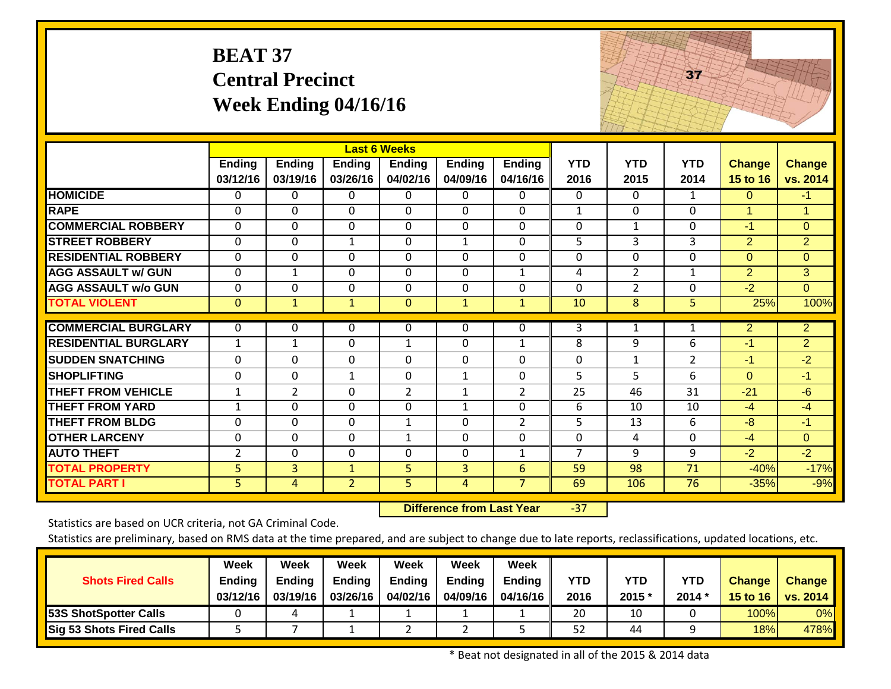# **BEAT 37 Central Precinct Week Ending 04/16/16**



|                             |                |                |                | <b>Last 6 Weeks</b> |                |                |                |                |                 |                |                |
|-----------------------------|----------------|----------------|----------------|---------------------|----------------|----------------|----------------|----------------|-----------------|----------------|----------------|
|                             | <b>Ending</b>  | <b>Ending</b>  | Ending         | <b>Ending</b>       | <b>Ending</b>  | Ending         | <b>YTD</b>     | <b>YTD</b>     | <b>YTD</b>      | <b>Change</b>  | <b>Change</b>  |
|                             | 03/12/16       | 03/19/16       | 03/26/16       | 04/02/16            | 04/09/16       | 04/16/16       | 2016           | 2015           | 2014            | 15 to 16       | vs. 2014       |
| <b>HOMICIDE</b>             | 0              | 0              | 0              | $\Omega$            | $\Omega$       | 0              | $\mathbf{0}$   | $\Omega$       | 1               | $\Omega$       | $-1$           |
| <b>RAPE</b>                 | $\Omega$       | $\Omega$       | $\Omega$       | $\Omega$            | $\Omega$       | 0              | $\mathbf{1}$   | $\Omega$       | $\Omega$        | $\mathbf 1$    | 1              |
| <b>COMMERCIAL ROBBERY</b>   | $\mathbf 0$    | $\Omega$       | $\Omega$       | $\mathbf 0$         | $\Omega$       | 0              | 0              | $\mathbf{1}$   | $\Omega$        | $-1$           | $\overline{0}$ |
| <b>STREET ROBBERY</b>       | $\mathbf 0$    | $\mathbf 0$    | $\mathbf{1}$   | $\mathbf 0$         | $\mathbf{1}$   | 0              | 5              | 3              | 3               | 2              | $\overline{2}$ |
| <b>RESIDENTIAL ROBBERY</b>  | 0              | $\mathbf 0$    | $\Omega$       | 0                   | $\Omega$       | 0              | 0              | $\Omega$       | $\Omega$        | $\mathbf{0}$   | $\overline{0}$ |
| <b>AGG ASSAULT w/ GUN</b>   | 0              | $\mathbf{1}$   | $\Omega$       | 0                   | $\Omega$       | $\mathbf{1}$   | 4              | $\overline{2}$ | $\mathbf{1}$    | $\overline{2}$ | 3              |
| <b>AGG ASSAULT w/o GUN</b>  | $\mathbf 0$    | $\mathbf{0}$   | $\Omega$       | 0                   | $\Omega$       | 0              | $\mathbf{0}$   | $\overline{2}$ | 0               | $-2$           | $\overline{0}$ |
| <b>TOTAL VIOLENT</b>        | $\mathbf{0}$   | $\mathbf{1}$   | $\mathbf{1}$   | $\mathbf{0}$        | $\mathbf{1}$   | $\mathbf{1}$   | 10             | 8              | 5               | 25%            | 100%           |
|                             |                |                |                |                     |                |                |                |                |                 |                |                |
| <b>COMMERCIAL BURGLARY</b>  | $\Omega$       | $\mathbf{0}$   | 0              | 0                   | $\mathbf{0}$   | $\Omega$       | 3              | 1              | $\mathbf{1}$    | $\overline{2}$ | $\overline{2}$ |
| <b>RESIDENTIAL BURGLARY</b> | $\mathbf 1$    | $\mathbf{1}$   | 0              | $\mathbf{1}$        | $\mathbf 0$    | $\mathbf{1}$   | 8              | 9              | 6               | $-1$           | $\overline{2}$ |
| <b>SUDDEN SNATCHING</b>     | 0              | $\Omega$       | $\Omega$       | 0                   | $\Omega$       | 0              | $\mathbf{0}$   | 1              | $\overline{2}$  | $-1$           | $-2$           |
| <b>SHOPLIFTING</b>          | 0              | $\Omega$       | $\mathbf{1}$   | 0                   | 1              | 0              | 5              | 5.             | 6               | $\Omega$       | $-1$           |
| <b>THEFT FROM VEHICLE</b>   | $\mathbf 1$    | $\overline{2}$ | 0              | $\overline{2}$      | $\mathbf{1}$   | $\overline{2}$ | 25             | 46             | 31              | $-21$          | $-6$           |
| <b>THEFT FROM YARD</b>      | $\mathbf{1}$   | $\Omega$       | $\Omega$       | 0                   | $\mathbf{1}$   | 0              | 6              | 10             | 10              | $-4$           | $-4$           |
| <b>THEFT FROM BLDG</b>      | $\pmb{0}$      | $\Omega$       | $\Omega$       | $\mathbf{1}$        | $\Omega$       | $\overline{2}$ | 5              | 13             | 6               | $-8$           | $-1$           |
| <b>OTHER LARCENY</b>        | 0              | $\Omega$       | $\Omega$       | $\mathbf{1}$        | $\Omega$       | 0              | $\mathbf{0}$   | 4              | $\Omega$        | $-4$           | $\Omega$       |
| <b>AUTO THEFT</b>           | $\overline{2}$ | $\mathbf{0}$   | $\Omega$       | 0                   | $\Omega$       | $\mathbf{1}$   | $\overline{7}$ | 9              | 9               | $-2$           | $-2$           |
| <b>TOTAL PROPERTY</b>       | $\overline{5}$ | $\overline{3}$ | $\mathbf{1}$   | 5                   | $\overline{3}$ | $6\phantom{1}$ | 59             | 98             | $\overline{71}$ | $-40%$         | $-17%$         |
| <b>TOTAL PART I</b>         | 5              | 4              | $\overline{2}$ | 5                   | $\overline{4}$ | $\overline{7}$ | 69             | 106            | 76              | $-35%$         | $-9%$          |

 **Difference from Last Year**‐37

Statistics are based on UCR criteria, not GA Criminal Code.

Statistics are preliminary, based on RMS data at the time prepared, and are subject to change due to late reports, reclassifications, updated locations, etc.

| <b>Shots Fired Calls</b>     | Week<br>Ending<br>03/12/16 | Week<br><b>Ending</b><br>03/19/16 | <b>Week</b><br><b>Ending</b><br>03/26/16 | Week<br><b>Ending</b><br>04/02/16 | Week<br><b>Ending</b><br>04/09/16 | <b>Week</b><br>Ending $\ $<br>04/16/16 II | <b>YTD</b><br>2016 | YTD<br>2015 * | <b>YTD</b><br>$2014*$ | <b>Change</b> | <b>Change</b><br>15 to 16   vs. 2014 |
|------------------------------|----------------------------|-----------------------------------|------------------------------------------|-----------------------------------|-----------------------------------|-------------------------------------------|--------------------|---------------|-----------------------|---------------|--------------------------------------|
| <b>53S ShotSpotter Calls</b> |                            |                                   |                                          |                                   |                                   |                                           | 20                 | 10            |                       | 100%          | 0%                                   |
| Sig 53 Shots Fired Calls     |                            |                                   |                                          |                                   |                                   |                                           | 52                 | 44            |                       | 18%           | 478%                                 |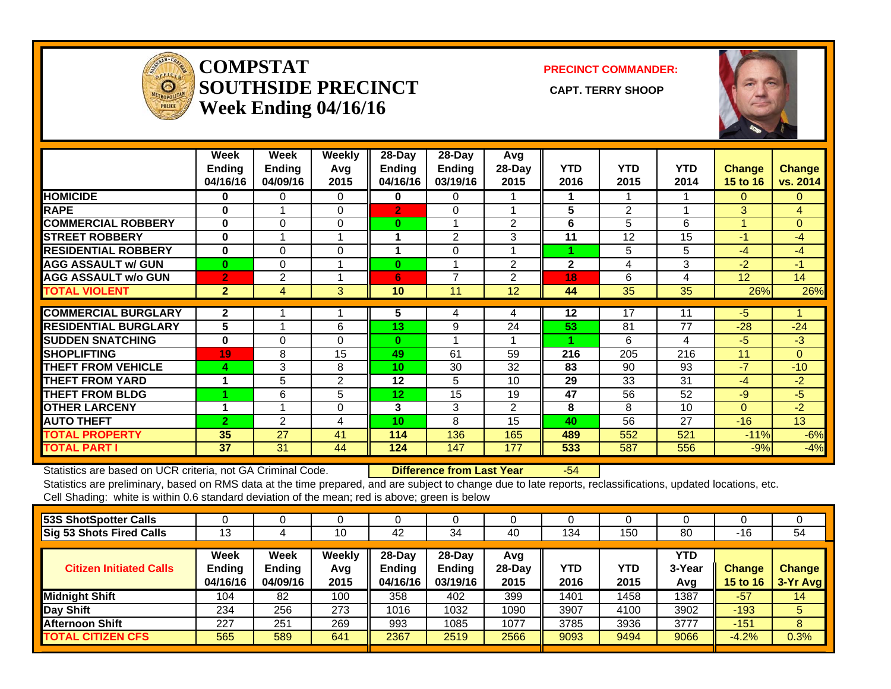

#### **COMPSTATSOUTHSIDE PRECINCT** CAPT. TERRY SHOOP **Week Ending 04/16/16**

**PRECINCT COMMANDER:**



|                             | Week<br><b>Ending</b><br>04/16/16 | Week<br><b>Ending</b><br>04/09/16 | Weekly<br>Avg<br>2015 | 28-Day<br>Endina<br>04/16/16 | $28-Day$<br><b>Ending</b><br>03/19/16 | Avg<br>28-Day<br>2015 | <b>YTD</b><br>2016 | <b>YTD</b><br>2015 | <b>YTD</b><br>2014 | <b>Change</b><br><b>15 to 16</b> | <b>Change</b><br>vs. 2014 |
|-----------------------------|-----------------------------------|-----------------------------------|-----------------------|------------------------------|---------------------------------------|-----------------------|--------------------|--------------------|--------------------|----------------------------------|---------------------------|
| <b>HOMICIDE</b>             | 0                                 | 0                                 | $\Omega$              | 0                            | 0                                     |                       |                    |                    |                    | 0                                | 0                         |
| <b>RAPE</b>                 | $\bf{0}$                          |                                   | 0                     | $\overline{2}$               | 0                                     |                       | 5                  | $\overline{2}$     |                    | 3                                | 4                         |
| <b>COMMERCIAL ROBBERY</b>   | $\bf{0}$                          | $\Omega$                          | 0                     | $\bf{0}$                     | 1                                     | 2                     | 6                  | 5                  | 6                  | $\overline{\mathbf{A}}$          | $\overline{0}$            |
| <b>ISTREET ROBBERY</b>      | $\bf{0}$                          |                                   | 1                     | 1                            | 2                                     | 3                     | 11                 | 12                 | 15                 | $-1$                             | $-4$                      |
| <b>RESIDENTIAL ROBBERY</b>  | $\bf{0}$                          | 0                                 | 0                     | 1                            | 0                                     |                       | 1                  | 5                  | 5                  | $-4$                             | $-4$                      |
| <b>AGG ASSAULT w/ GUN</b>   | $\bf{0}$                          | 0                                 | 1                     | $\bf{0}$                     | 4                                     | $\overline{2}$        | $\mathbf{2}$       | 4                  | 3                  | $-2$                             | $-1$                      |
| <b>AGG ASSAULT w/o GUN</b>  | $\overline{2}$                    | 2                                 |                       | 6                            | 7                                     | 2                     | 18                 | 6                  | 4                  | 12                               | 14                        |
| <b>TOTAL VIOLENT</b>        | $\overline{2}$                    | 4                                 | 3                     | 10                           | 11                                    | 12                    | 44                 | 35                 | 35                 | 26%                              | 26%                       |
|                             |                                   |                                   |                       |                              |                                       |                       |                    |                    |                    |                                  |                           |
| <b>COMMERCIAL BURGLARY</b>  | $\mathbf{2}$                      |                                   |                       | 5                            | 4                                     | 4                     | 12                 | 17                 | 11                 | $-5$                             |                           |
| <b>RESIDENTIAL BURGLARY</b> | 5                                 |                                   | 6                     | 13                           | 9                                     | 24                    | 53                 | 81                 | 77                 | $-28$                            | $-24$                     |
| <b>ISUDDEN SNATCHING</b>    | $\bf{0}$                          | 0                                 | 0                     | 0                            | 4                                     |                       | 4                  | 6                  | 4                  | $-5$                             | $-3$                      |
| <b>ISHOPLIFTING</b>         | 19                                | 8                                 | 15                    | 49                           | 61                                    | 59                    | 216                | 205                | 216                | 11                               | $\Omega$                  |
| <b>THEFT FROM VEHICLE</b>   | 4                                 | 3                                 | 8                     | 10                           | 30                                    | 32                    | 83                 | 90                 | 93                 | $-7$                             | $-10$                     |
| <b>THEFT FROM YARD</b>      | 1                                 | 5                                 | 2                     | 12                           | 5                                     | 10                    | 29                 | 33                 | 31                 | $-4$                             | $-2$                      |
| <b>THEFT FROM BLDG</b>      |                                   | 6                                 | 5                     | 12 <sub>2</sub>              | 15                                    | 19                    | 47                 | 56                 | 52                 | $-9$                             | $-5$                      |
| <b>OTHER LARCENY</b>        | 1                                 |                                   | 0                     | 3                            | 3                                     | $\overline{2}$        | 8                  | 8                  | 10                 | $\Omega$                         | $-2$                      |
| <b>AUTO THEFT</b>           | $\overline{2}$                    | 2                                 | 4                     | 10 <sup>1</sup>              | 8                                     | 15                    | 40                 | 56                 | 27                 | $-16$                            | 13                        |
| <b>TOTAL PROPERTY</b>       | 35                                | 27                                | 41                    | 114                          | 136                                   | 165                   | 489                | 552                | 521                | $-11%$                           | $-6%$                     |
| <b>TOTAL PART I</b>         | 37                                | 31                                | 44                    | 124                          | 147                                   | 177                   | 533                | 587                | 556                | $-9%$                            | $-4%$                     |

Statistics are based on UCR criteria, not GA Criminal Code. **Difference from Last Year** -54

Statistics are preliminary, based on RMS data at the time prepared, and are subject to change due to late reports, reclassifications, updated locations, etc. Cell Shading: white is within 0.6 standard deviation of the mean; red is above; green is below

|                                   |                                          | υ                     |                                         |                                     |                          |             |             |                      |                           |                           |
|-----------------------------------|------------------------------------------|-----------------------|-----------------------------------------|-------------------------------------|--------------------------|-------------|-------------|----------------------|---------------------------|---------------------------|
| 13                                |                                          | 10                    | 42                                      | 34                                  | 40                       | 134         | 150         | 80                   | -16                       | 54                        |
| Week<br><b>Ending</b><br>04/16/16 | <b>Week</b><br><b>Ending</b><br>04/09/16 | Weekly<br>Avg<br>2015 | $28 - Day$<br><b>Endina</b><br>04/16/16 | 28-Day<br><b>Ending</b><br>03/19/16 | Avg<br>$28$ -Day<br>2015 | YTD<br>2016 | YTD<br>2015 | YTD<br>3-Year<br>Avg | <b>Change</b><br>15 to 16 | <b>Change</b><br>3-Yr Avg |
| 104                               | 82                                       | 100                   | 358                                     | 402                                 | 399                      | 1401        | 1458        | 1387                 | $-57$                     | 14                        |
| 234                               | 256                                      | 273                   | 1016                                    | 1032                                | 1090                     | 3907        | 4100        | 3902                 | $-193$                    | 5.                        |
| 227                               | 251                                      | 269                   | 993                                     | 1085                                | 1077                     | 3785        | 3936        | 3777                 | $-151$                    | 8                         |
| 565                               | 589                                      | 641                   | 2367                                    | 2519                                | 2566                     | 9093        | 9494        | 9066                 | $-4.2%$                   | 0.3%                      |
|                                   |                                          |                       |                                         |                                     |                          |             |             |                      |                           |                           |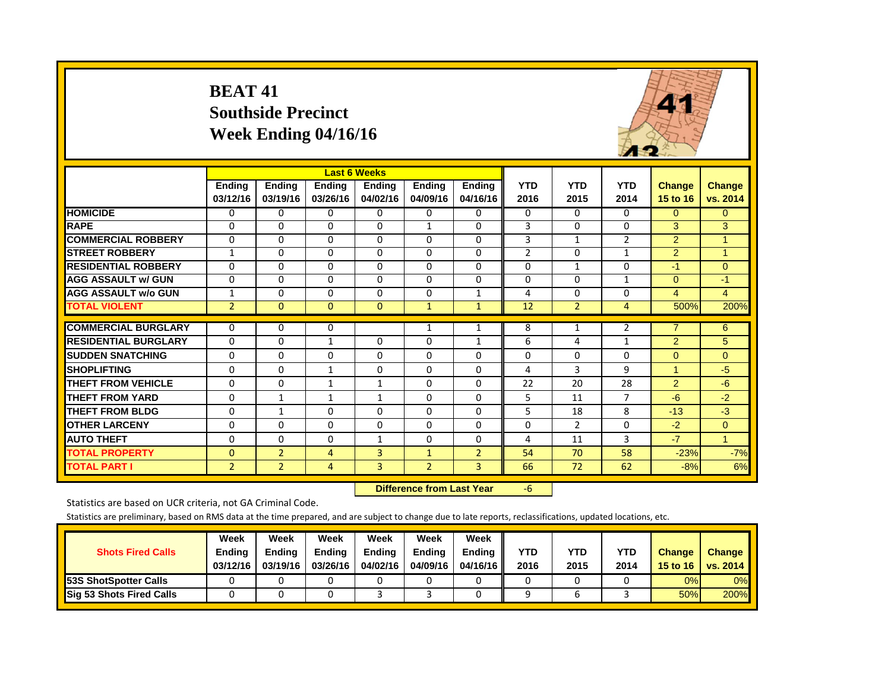#### **BEAT 41 Southside Precinct Week Ending 04/16/16**



|                             |                           |                           |                           | <b>Last 6 Weeks</b>       |                           |                           |                    |                    |                    |                           |                           |
|-----------------------------|---------------------------|---------------------------|---------------------------|---------------------------|---------------------------|---------------------------|--------------------|--------------------|--------------------|---------------------------|---------------------------|
|                             | <b>Ending</b><br>03/12/16 | <b>Ending</b><br>03/19/16 | <b>Ending</b><br>03/26/16 | <b>Ending</b><br>04/02/16 | <b>Ending</b><br>04/09/16 | <b>Ending</b><br>04/16/16 | <b>YTD</b><br>2016 | <b>YTD</b><br>2015 | <b>YTD</b><br>2014 | <b>Change</b><br>15 to 16 | <b>Change</b><br>vs. 2014 |
| <b>HOMICIDE</b>             | 0                         | 0                         | $\Omega$                  | 0                         | 0                         | 0                         | 0                  | $\Omega$           | $\Omega$           | $\Omega$                  | $\Omega$                  |
| <b>RAPE</b>                 | $\Omega$                  | $\Omega$                  | $\Omega$                  | $\Omega$                  | $\mathbf{1}$              | 0                         | 3                  | $\Omega$           | $\Omega$           | 3                         | 3                         |
| <b>COMMERCIAL ROBBERY</b>   | $\Omega$                  | $\Omega$                  | $\Omega$                  | 0                         | $\Omega$                  | 0                         | 3                  | $\mathbf{1}$       | 2                  | $\overline{2}$            | 1                         |
| <b>STREET ROBBERY</b>       | $\mathbf{1}$              | $\Omega$                  | $\Omega$                  | 0                         | $\Omega$                  | 0                         | $\overline{2}$     | $\Omega$           | $\mathbf{1}$       | $\overline{2}$            | $\overline{1}$            |
| <b>RESIDENTIAL ROBBERY</b>  | $\Omega$                  | $\Omega$                  | $\Omega$                  | $\Omega$                  | $\Omega$                  | $\Omega$                  | $\Omega$           | 1                  | $\Omega$           | $-1$                      | $\Omega$                  |
| <b>AGG ASSAULT w/ GUN</b>   | $\Omega$                  | $\Omega$                  | $\Omega$                  | 0                         | $\Omega$                  | $\Omega$                  | 0                  | $\Omega$           | 1                  | $\overline{0}$            | $-1$                      |
| <b>AGG ASSAULT w/o GUN</b>  | $\mathbf{1}$              | $\mathbf 0$               | $\Omega$                  | 0                         | $\mathbf 0$               | 1                         | 4                  | $\Omega$           | $\Omega$           | $\overline{4}$            | $\overline{4}$            |
| <b>TOTAL VIOLENT</b>        | $\overline{2}$            | $\Omega$                  | $\Omega$                  | $\Omega$                  | $\mathbf{1}$              | $\mathbf{1}$              | 12                 | $\overline{2}$     | 4                  | 500%                      | 200%                      |
|                             |                           |                           |                           |                           |                           |                           |                    |                    |                    |                           |                           |
| <b>COMMERCIAL BURGLARY</b>  | $\Omega$                  | 0                         | 0                         |                           | $\mathbf{1}$              |                           | 8                  | 1                  | 2                  | 7                         | 6                         |
| <b>RESIDENTIAL BURGLARY</b> | $\Omega$                  | $\Omega$                  | 1                         | $\Omega$                  | $\Omega$                  | 1                         | 6                  | 4                  | 1                  | $\overline{2}$            | 5                         |
| <b>SUDDEN SNATCHING</b>     | $\mathbf 0$               | 0                         | $\Omega$                  | $\mathbf 0$               | 0                         | $\Omega$                  | 0                  | $\Omega$           | $\Omega$           | $\overline{0}$            | $\Omega$                  |
| <b>SHOPLIFTING</b>          | $\Omega$                  | $\Omega$                  | 1                         | $\Omega$                  | $\Omega$                  | 0                         | 4                  | 3                  | 9                  | 1                         | $-5$                      |
| <b>THEFT FROM VEHICLE</b>   | $\Omega$                  | $\Omega$                  | 1                         | 1                         | $\Omega$                  | $\Omega$                  | 22                 | 20                 | 28                 | $\overline{2}$            | $-6$                      |
| <b>THEFT FROM YARD</b>      | 0                         | $\mathbf{1}$              | 1                         | $\mathbf{1}$              | $\Omega$                  | 0                         | 5                  | 11                 | $\overline{7}$     | $-6$                      | $-2$                      |
| <b>THEFT FROM BLDG</b>      | 0                         | 1                         | $\Omega$                  | $\Omega$                  | $\Omega$                  | $\Omega$                  | 5                  | 18                 | 8                  | $-13$                     | $-3$                      |
| <b>OTHER LARCENY</b>        | $\Omega$                  | $\Omega$                  | $\Omega$                  | $\Omega$                  | $\Omega$                  | $\Omega$                  | $\Omega$           | $\overline{2}$     | $\Omega$           | $-2$                      | $\Omega$                  |
| <b>AUTO THEFT</b>           | $\Omega$                  | $\Omega$                  | $\Omega$                  | 1                         | 0                         | $\Omega$                  | 4                  | 11                 | 3                  | $-7$                      | $\blacktriangleleft$      |
| <b>TOTAL PROPERTY</b>       | $\Omega$                  | $\overline{2}$            | 4                         | 3                         | $\mathbf{1}$              | $\overline{2}$            | 54                 | 70                 | 58                 | $-23%$                    | $-7%$                     |
| <b>TOTAL PART I</b>         | $\overline{2}$            | $\overline{2}$            | 4                         | $\overline{3}$            | $\overline{2}$            | $\overline{3}$            | 66                 | 72                 | 62                 | $-8%$                     | 6%                        |

 **Difference from Last Year**‐6

Statistics are based on UCR criteria, not GA Criminal Code.

| <b>Shots Fired Calls</b>        | Week<br><b>Ending</b><br>03/12/16 | Week<br><b>Endina</b><br>03/19/16 | Week<br>Ending<br>03/26/16 | Week<br><b>Endina</b><br>04/02/16 | Week<br><b>Endina</b><br>04/09/16 | Week<br><b>Ending</b><br>04/16/16 | YTD<br>2016 | YTD<br>2015 | <b>YTD</b><br>2014 | <b>Change</b><br>15 to 16 | <b>Change</b><br>vs. 2014 |
|---------------------------------|-----------------------------------|-----------------------------------|----------------------------|-----------------------------------|-----------------------------------|-----------------------------------|-------------|-------------|--------------------|---------------------------|---------------------------|
| <b>53S ShotSpotter Calls</b>    |                                   |                                   |                            |                                   |                                   |                                   |             |             |                    | $0\%$                     | 0%                        |
| <b>Sig 53 Shots Fired Calls</b> |                                   |                                   |                            |                                   |                                   |                                   |             |             |                    | 50%                       | 200%                      |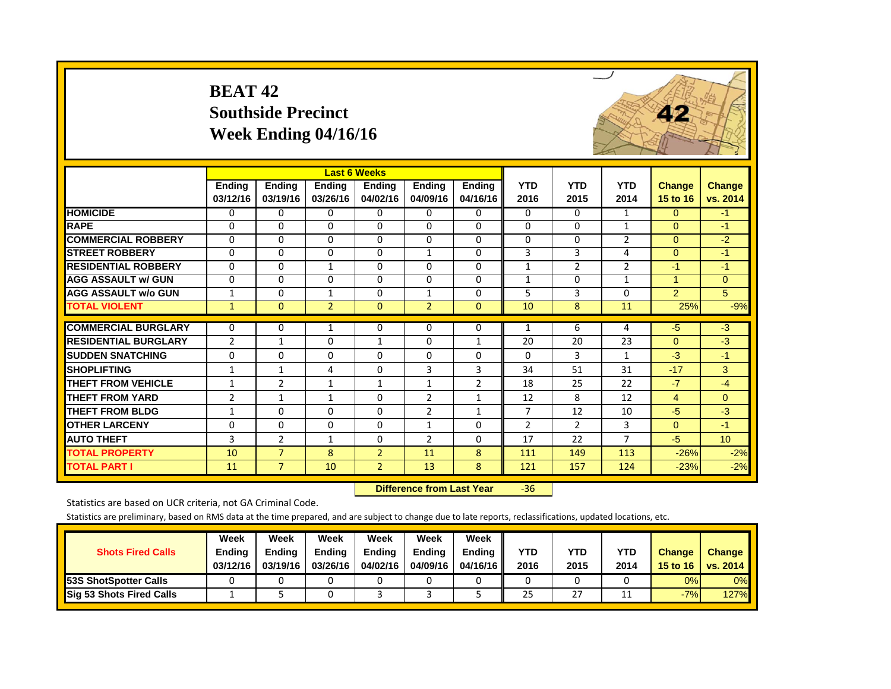|                             | <b>BEAT 42</b>            | <b>Southside Precinct</b> | Week Ending 04/16/16      |                           |                    |                    |                    |                    |                    |                           |                           |
|-----------------------------|---------------------------|---------------------------|---------------------------|---------------------------|--------------------|--------------------|--------------------|--------------------|--------------------|---------------------------|---------------------------|
|                             |                           |                           |                           | <b>Last 6 Weeks</b>       |                    |                    |                    |                    |                    |                           |                           |
|                             | <b>Endina</b><br>03/12/16 | Ending<br>03/19/16        | <b>Endina</b><br>03/26/16 | <b>Ending</b><br>04/02/16 | Ending<br>04/09/16 | Ending<br>04/16/16 | <b>YTD</b><br>2016 | <b>YTD</b><br>2015 | <b>YTD</b><br>2014 | <b>Change</b><br>15 to 16 | <b>Change</b><br>vs. 2014 |
| <b>HOMICIDE</b>             | $\Omega$                  | $\Omega$                  | 0                         | $\mathbf 0$               | 0                  | $\Omega$           | $\Omega$           | $\Omega$           | $\mathbf{1}$       | $\Omega$                  | $-1$                      |
| <b>RAPE</b>                 | $\Omega$                  | $\Omega$                  | $\Omega$                  | $\Omega$                  | $\Omega$           | $\Omega$           | $\Omega$           | $\Omega$           | $\mathbf{1}$       | $\Omega$                  | $-1$                      |
| <b>COMMERCIAL ROBBERY</b>   | $\Omega$                  | $\Omega$                  | $\Omega$                  | $\Omega$                  | $\Omega$           | $\Omega$           | $\Omega$           | $\Omega$           | $\overline{2}$     | $\Omega$                  | $-2$                      |
| <b>STREET ROBBERY</b>       | $\Omega$                  | $\Omega$                  | $\Omega$                  | $\Omega$                  | $\mathbf{1}$       | $\Omega$           | 3                  | 3                  | 4                  | $\Omega$                  | $-1$                      |
| <b>RESIDENTIAL ROBBERY</b>  | $\Omega$                  | $\Omega$                  | $\mathbf{1}$              | $\Omega$                  | $\Omega$           | $\Omega$           | $\mathbf{1}$       | $\overline{2}$     | $\overline{2}$     | -1                        | $-1$                      |
| <b>AGG ASSAULT w/ GUN</b>   | $\mathbf 0$               | $\Omega$                  | $\mathbf 0$               | $\mathbf 0$               | $\Omega$           | $\Omega$           | $\mathbf{1}$       | $\Omega$           | $\mathbf{1}$       | $\mathbf{1}$              | $\overline{0}$            |
| <b>AGG ASSAULT w/o GUN</b>  | $\mathbf{1}$              | $\Omega$                  | $\mathbf{1}$              | $\Omega$                  | $\mathbf{1}$       | $\Omega$           | 5                  | 3                  | $\Omega$           | $\overline{2}$            | $\overline{5}$            |
| <b>TOTAL VIOLENT</b>        | $\mathbf{1}$              | $\mathbf{0}$              | $\overline{2}$            | $\theta$                  | $\overline{2}$     | $\Omega$           | 10                 | 8                  | 11                 | 25%                       | $-9%$                     |
| <b>COMMERCIAL BURGLARY</b>  | 0                         | $\Omega$                  | 1                         | $\Omega$                  | $\Omega$           | $\Omega$           | $\mathbf{1}$       | 6                  | 4                  | $-5$                      | $-3$                      |
| <b>RESIDENTIAL BURGLARY</b> | $\overline{2}$            | $\mathbf{1}$              | $\Omega$                  | $\mathbf{1}$              | $\Omega$           | $\mathbf{1}$       | 20                 | 20                 | 23                 | $\Omega$                  | $-3$                      |
| <b>SUDDEN SNATCHING</b>     | 0                         | $\Omega$                  | $\Omega$                  | 0                         | $\Omega$           | $\Omega$           | 0                  | 3                  | $\mathbf{1}$       | $-3$                      | $-1$                      |
| <b>SHOPLIFTING</b>          | $\mathbf{1}$              | $\mathbf{1}$              | 4                         | $\Omega$                  | 3                  | 3                  | 34                 | 51                 | 31                 | $-17$                     | 3                         |
| <b>THEFT FROM VEHICLE</b>   | 1                         | $\overline{2}$            | $\mathbf{1}$              | $\mathbf{1}$              | $\mathbf{1}$       | $\overline{2}$     | 18                 | 25                 | 22                 | $-7$                      | $-4$                      |
| <b>THEFT FROM YARD</b>      | $\overline{2}$            | $\mathbf{1}$              | $\mathbf{1}$              | $\Omega$                  | $\overline{2}$     | $\mathbf{1}$       | 12                 | 8                  | 12                 | $\overline{4}$            | $\overline{0}$            |
| <b>THEFT FROM BLDG</b>      | $\mathbf{1}$              | $\Omega$                  | $\Omega$                  | $\mathbf 0$               | $\overline{2}$     | $\mathbf{1}$       | $\overline{7}$     | 12                 | 10                 | $-5$                      | $-3$                      |
| <b>OTHER LARCENY</b>        | $\Omega$                  | $\Omega$                  | $\Omega$                  | $\Omega$                  | $\mathbf{1}$       | $\Omega$           | $\overline{2}$     | $\overline{2}$     | 3                  | $\Omega$                  | $-1$                      |
| <b>AUTO THEFT</b>           | 3                         | $\overline{2}$            | $\mathbf{1}$              | $\mathbf 0$               | $\overline{2}$     | $\Omega$           | 17                 | 22                 | $\overline{7}$     | $-5$                      | 10                        |
| <b>TOTAL PROPERTY</b>       | 10                        | $\overline{7}$            | 8                         | $\overline{2}$            | 11                 | 8                  | 111                | 149                | 113                | $-26%$                    | $-2%$                     |
| <b>TOTAL PART I</b>         | 11                        | $\overline{7}$            | 10                        | $\overline{2}$            | 13                 | 8                  | 121                | 157                | 124                | $-23%$                    | $-2%$                     |

 **Difference from Last Year**r -36

Statistics are based on UCR criteria, not GA Criminal Code.

| <b>Shots Fired Calls</b>        | Week<br><b>Ending</b><br>03/12/16 | Week<br>Ending<br>03/19/16 | Week<br><b>Ending</b><br>03/26/16 | Week<br><b>Endina</b><br>04/02/16 | Week<br>Endina<br>04/09/16 | Week<br><b>Ending</b><br>04/16/16 | <b>YTD</b><br>2016 | YTD<br>2015 | <b>YTD</b><br>2014 | <b>Change</b><br>15 to 16 | Change<br>vs. 2014 |
|---------------------------------|-----------------------------------|----------------------------|-----------------------------------|-----------------------------------|----------------------------|-----------------------------------|--------------------|-------------|--------------------|---------------------------|--------------------|
| <b>53S ShotSpotter Calls</b>    |                                   |                            |                                   |                                   |                            |                                   |                    |             |                    | 0%                        | 0%                 |
| <b>Sig 53 Shots Fired Calls</b> |                                   |                            |                                   |                                   |                            |                                   | 25                 | 27          | ᆠ                  | $-7%$                     | 127%               |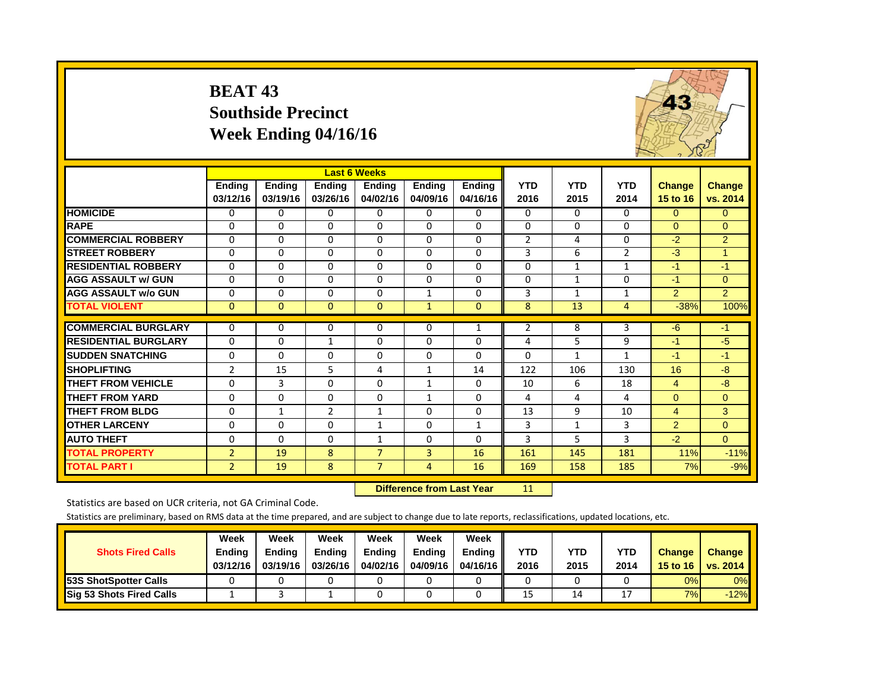|                             | <b>BEAT 43</b>            | <b>Southside Precinct</b><br>Week Ending 04/16/16 |                           |                           |                           |                           |                    |                    |                    | 43                        |                           |
|-----------------------------|---------------------------|---------------------------------------------------|---------------------------|---------------------------|---------------------------|---------------------------|--------------------|--------------------|--------------------|---------------------------|---------------------------|
|                             |                           |                                                   | <b>Last 6 Weeks</b>       |                           |                           |                           |                    |                    |                    |                           |                           |
|                             | <b>Ending</b><br>03/12/16 | <b>Ending</b><br>03/19/16                         | <b>Ending</b><br>03/26/16 | <b>Ending</b><br>04/02/16 | <b>Ending</b><br>04/09/16 | <b>Ending</b><br>04/16/16 | <b>YTD</b><br>2016 | <b>YTD</b><br>2015 | <b>YTD</b><br>2014 | <b>Change</b><br>15 to 16 | <b>Change</b><br>vs. 2014 |
| <b>HOMICIDE</b>             | $\Omega$                  | $\Omega$                                          | 0                         | 0                         | $\Omega$                  | 0                         | $\Omega$           | $\Omega$           | $\Omega$           | $\Omega$                  | $\Omega$                  |
| <b>RAPE</b>                 | $\Omega$                  | $\Omega$                                          | $\Omega$                  | $\Omega$                  | $\Omega$                  | $\Omega$                  | $\Omega$           | $\Omega$           | $\Omega$           | $\Omega$                  | $\Omega$                  |
| <b>COMMERCIAL ROBBERY</b>   | $\Omega$                  | $\Omega$                                          | $\Omega$                  | $\Omega$                  | $\Omega$                  | $\Omega$                  | $\overline{2}$     | 4                  | $\Omega$           | $-2$                      | 2                         |
| <b>STREET ROBBERY</b>       | $\Omega$                  | $\Omega$                                          | $\Omega$                  | $\Omega$                  | $\Omega$                  | $\Omega$                  | 3                  | 6                  | $\overline{2}$     | $-3$                      | $\mathbf{1}$              |
| <b>RESIDENTIAL ROBBERY</b>  | $\Omega$                  | $\Omega$                                          | $\Omega$                  | $\Omega$                  | $\Omega$                  | $\Omega$                  | $\Omega$           | $\mathbf{1}$       | $\mathbf{1}$       | $-1$                      | $-1$                      |
| <b>AGG ASSAULT w/ GUN</b>   | 0                         | $\Omega$                                          | 0                         | 0                         | $\Omega$                  | $\Omega$                  | 0                  | $\mathbf{1}$       | $\Omega$           | $-1$                      | $\Omega$                  |
| <b>AGG ASSAULT w/o GUN</b>  | $\Omega$                  | $\Omega$                                          | $\Omega$                  | $\Omega$                  | $\mathbf{1}$              | $\Omega$                  | 3                  | $\mathbf{1}$       | $\mathbf{1}$       | $\mathcal{P}$             | $\mathcal{P}$             |
| <b>TOTAL VIOLENT</b>        | $\Omega$                  | $\Omega$                                          | $\Omega$                  | $\Omega$                  | $\mathbf{1}$              | $\mathbf{0}$              | 8                  | 13                 | 4                  | $-38%$                    | 100%                      |
| <b>COMMERCIAL BURGLARY</b>  | $\Omega$                  | 0                                                 | 0                         | $\Omega$                  | $\Omega$                  | $\mathbf{1}$              | $\overline{2}$     | 8                  | 3                  | $-6$                      | $-1$                      |
| <b>RESIDENTIAL BURGLARY</b> | $\Omega$                  | $\Omega$                                          | $\mathbf{1}$              | $\Omega$                  | $\Omega$                  | $\Omega$                  | 4                  | 5                  | 9                  | $-1$                      | $-5$                      |
| <b>SUDDEN SNATCHING</b>     | $\Omega$                  | $\Omega$                                          | $\Omega$                  | $\Omega$                  | $\Omega$                  | $\Omega$                  | $\Omega$           | $\mathbf{1}$       | $\mathbf{1}$       | $-1$                      | $-1$                      |
| <b>SHOPLIFTING</b>          | $\overline{2}$            | 15                                                | 5                         | 4                         | $\mathbf{1}$              | 14                        | 122                | 106                | 130                | 16                        | $-8$                      |
| <b>THEFT FROM VEHICLE</b>   | $\Omega$                  | 3                                                 | $\Omega$                  | $\Omega$                  | $\mathbf{1}$              | 0                         | 10                 | 6                  | 18                 | 4                         | $-8$                      |
| <b>THEFT FROM YARD</b>      | $\Omega$                  | $\Omega$                                          | $\Omega$                  | $\Omega$                  | $\mathbf{1}$              | $\Omega$                  | 4                  | 4                  | 4                  | $\Omega$                  | $\Omega$                  |
| <b>THEFT FROM BLDG</b>      | $\Omega$                  | $\mathbf{1}$                                      | $\overline{2}$            | $\mathbf{1}$              | $\Omega$                  | $\Omega$                  | 13                 | 9                  | 10                 | $\overline{4}$            | 3                         |
| <b>OTHER LARCENY</b>        | $\Omega$                  | $\Omega$                                          | $\Omega$                  | $\mathbf{1}$              | $\Omega$                  | $\mathbf{1}$              | 3                  | 1                  | 3                  | $\overline{2}$            | $\Omega$                  |
| <b>AUTO THEFT</b>           | $\Omega$                  | $\Omega$                                          | 0                         | $\mathbf{1}$              | $\Omega$                  | $\Omega$                  | 3                  | 5                  | 3                  | $-2$                      | $\Omega$                  |
| <b>TOTAL PROPERTY</b>       | $\overline{2}$            | 19                                                | 8                         | $\overline{7}$            | $\overline{3}$            | 16                        | 161                | 145                | 181                | 11%                       | $-11%$                    |
| <b>TOTAL PART I</b>         | $\overline{2}$            | 19                                                | 8                         | $\overline{7}$            | $\overline{4}$            | 16                        | 169                | 158                | 185                | 7%                        | $-9%$                     |

 **Difference from Last Year**

r 11

Statistics are based on UCR criteria, not GA Criminal Code.

| <b>Shots Fired Calls</b>        | Week<br><b>Ending</b><br>03/12/16 | Week<br><b>Endina</b><br>03/19/16 | Week<br>Endina<br>03/26/16 | Week<br><b>Endina</b><br>04/02/16 | Week<br><b>Endina</b><br>04/09/16 | Week<br><b>Ending</b><br>04/16/16 | YTD<br>2016 | YTD<br>2015 | <b>YTD</b><br>2014 | <b>Change</b><br>15 to 16 | Change<br>vs. 2014 |
|---------------------------------|-----------------------------------|-----------------------------------|----------------------------|-----------------------------------|-----------------------------------|-----------------------------------|-------------|-------------|--------------------|---------------------------|--------------------|
| <b>153S ShotSpotter Calls</b>   |                                   |                                   |                            |                                   |                                   |                                   |             |             |                    | $0\%$                     | 0%                 |
| <b>Sig 53 Shots Fired Calls</b> |                                   |                                   |                            |                                   |                                   |                                   | 15          | 14          | רו                 | 7%                        | $-12%$             |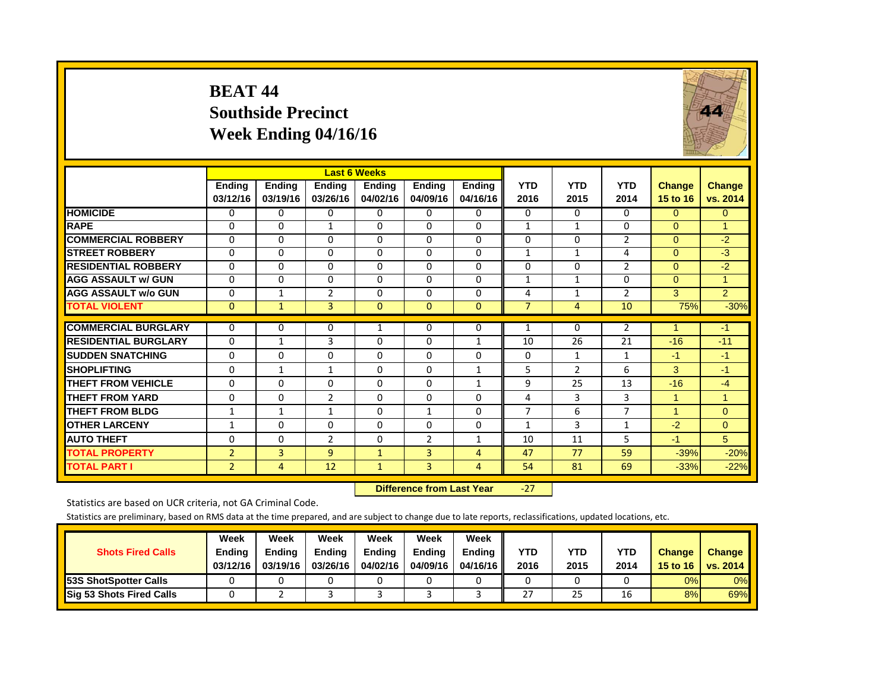#### **BEAT 44 Southside Precinct Week Ending 04/16/16**



|                             |                |               |                | <b>Last 6 Weeks</b> |                |               |                |                |                |                |                |
|-----------------------------|----------------|---------------|----------------|---------------------|----------------|---------------|----------------|----------------|----------------|----------------|----------------|
|                             | <b>Ending</b>  | <b>Ending</b> | <b>Ending</b>  | <b>Ending</b>       | <b>Ending</b>  | <b>Ending</b> | <b>YTD</b>     | <b>YTD</b>     | <b>YTD</b>     | <b>Change</b>  | Change         |
|                             | 03/12/16       | 03/19/16      | 03/26/16       | 04/02/16            | 04/09/16       | 04/16/16      | 2016           | 2015           | 2014           | 15 to 16       | vs. 2014       |
| <b>HOMICIDE</b>             | 0              | 0             | 0              | $\Omega$            | 0              | 0             | 0              | $\Omega$       | $\Omega$       | $\Omega$       | $\mathbf{0}$   |
| <b>RAPE</b>                 | $\Omega$       | $\Omega$      | $\mathbf{1}$   | $\Omega$            | $\Omega$       | 0             | 1              | $\mathbf{1}$   | 0              | $\Omega$       | $\mathbf{1}$   |
| <b>COMMERCIAL ROBBERY</b>   | 0              | $\Omega$      | $\Omega$       | $\Omega$            | $\Omega$       | $\Omega$      | $\Omega$       | $\Omega$       | $\overline{2}$ | $\Omega$       | $-2$           |
| <b>STREET ROBBERY</b>       | 0              | $\Omega$      | $\Omega$       | 0                   | $\Omega$       | $\Omega$      | $\mathbf{1}$   | 1              | 4              | $\Omega$       | $-3$           |
| <b>RESIDENTIAL ROBBERY</b>  | $\Omega$       | $\Omega$      | 0              | $\Omega$            | $\Omega$       | 0             | $\Omega$       | 0              | $\overline{2}$ | $\Omega$       | $-2$           |
| <b>AGG ASSAULT w/ GUN</b>   | $\Omega$       | $\Omega$      | 0              | $\Omega$            | $\Omega$       | 0             | 1              | 1              | 0              | $\Omega$       | 1              |
| <b>AGG ASSAULT w/o GUN</b>  | $\mathbf 0$    | 1             | $\overline{2}$ | 0                   | $\Omega$       | 0             | 4              | 1              | 2              | 3              | 2              |
| <b>TOTAL VIOLENT</b>        | $\overline{0}$ | $\mathbf{1}$  | 3              | $\overline{0}$      | $\mathbf{0}$   | $\mathbf{0}$  | $\overline{7}$ | 4              | 10             | 75%            | $-30%$         |
| <b>COMMERCIAL BURGLARY</b>  | $\Omega$       | $\Omega$      | 0              | 1                   | $\Omega$       | 0             | 1              | $\Omega$       | $\overline{2}$ | и              | $-1$           |
| <b>RESIDENTIAL BURGLARY</b> | $\Omega$       | $\mathbf{1}$  | 3              | $\Omega$            | $\Omega$       | $\mathbf{1}$  | 10             | 26             | 21             | $-16$          | $-11$          |
| <b>ISUDDEN SNATCHING</b>    | $\Omega$       | 0             | $\Omega$       | $\Omega$            | 0              | 0             | $\Omega$       | $\mathbf{1}$   | 1              | -1             | $-1$           |
| <b>SHOPLIFTING</b>          | $\Omega$       | $\mathbf{1}$  | $\mathbf{1}$   | $\Omega$            | $\Omega$       | $\mathbf{1}$  | 5              | $\mathfrak{p}$ | 6              | 3              | $-1$           |
| <b>THEFT FROM VEHICLE</b>   | 0              | $\Omega$      | $\Omega$       | $\Omega$            | $\Omega$       | 1             | 9              | 25             | 13             | $-16$          | $-4$           |
| <b>THEFT FROM YARD</b>      | $\mathbf 0$    | $\Omega$      | $\overline{2}$ | 0                   | $\Omega$       | $\Omega$      | 4              | 3              | 3              | $\mathbf{1}$   | $\overline{1}$ |
| <b>THEFT FROM BLDG</b>      | 1              | $\mathbf{1}$  | $\mathbf{1}$   | $\Omega$            | $\mathbf{1}$   | $\Omega$      | 7              | 6              | $\overline{7}$ | $\overline{1}$ | $\Omega$       |
| <b>OTHER LARCENY</b>        | $\mathbf{1}$   | $\Omega$      | $\Omega$       | $\Omega$            | $\Omega$       | $\Omega$      | 1              | 3              | 1              | $-2$           | $\Omega$       |
| <b>AUTO THEFT</b>           | $\Omega$       | $\Omega$      | 2              | $\Omega$            | $\overline{2}$ | $\mathbf{1}$  | 10             | 11             | 5              | -1             | 5              |
| <b>TOTAL PROPERTY</b>       | $\overline{2}$ | 3             | $\overline{9}$ | $\mathbf{1}$        | 3              | 4             | 47             | 77             | 59             | $-39%$         | $-20%$         |
| <b>TOTAL PART I</b>         | $\overline{2}$ | 4             | 12             | $\mathbf{1}$        | 3              | 4             | 54             | 81             | 69             | $-33%$         | $-22%$         |

 **Difference from Last Year**‐27

Statistics are based on UCR criteria, not GA Criminal Code.

| <b>Shots Fired Calls</b>        | Week<br><b>Ending</b><br>03/12/16 | Week<br><b>Endina</b><br>03/19/16 | Week<br>Ending<br>03/26/16 | Week<br><b>Endina</b><br>04/02/16 | Week<br><b>Endina</b><br>04/09/16 | Week<br><b>Ending</b><br>04/16/16 | YTD<br>2016 | YTD<br>2015 | <b>YTD</b><br>2014 | <b>Change</b><br>15 to 16 | <b>Change</b><br>vs. 2014 |
|---------------------------------|-----------------------------------|-----------------------------------|----------------------------|-----------------------------------|-----------------------------------|-----------------------------------|-------------|-------------|--------------------|---------------------------|---------------------------|
| <b>53S ShotSpotter Calls</b>    |                                   |                                   |                            |                                   |                                   |                                   |             |             |                    | $0\%$                     | 0%                        |
| <b>Sig 53 Shots Fired Calls</b> |                                   |                                   |                            |                                   |                                   |                                   | 27          | 25          | 16                 | 8%                        | 69%                       |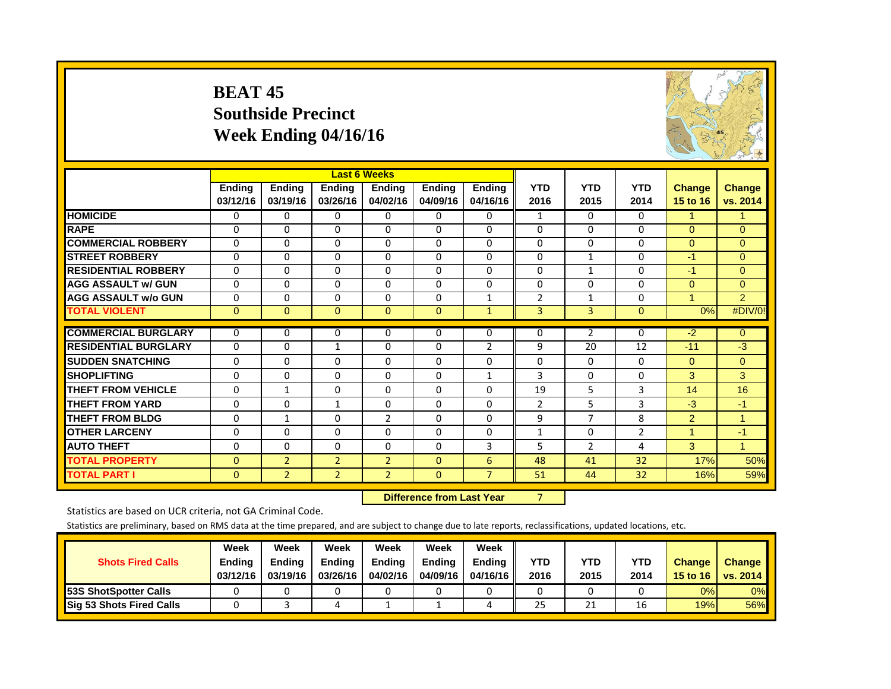#### **BEAT 45 Southside PrecinctWeek Ending 04/16/16**



|                             |               |                | <b>Last 6 Weeks</b> |                |               |                |                |                |                |                |                |
|-----------------------------|---------------|----------------|---------------------|----------------|---------------|----------------|----------------|----------------|----------------|----------------|----------------|
|                             | <b>Ending</b> | <b>Ending</b>  | <b>Ending</b>       | Endina         | <b>Ending</b> | <b>Ending</b>  | <b>YTD</b>     | <b>YTD</b>     | <b>YTD</b>     | <b>Change</b>  | Change         |
|                             | 03/12/16      | 03/19/16       | 03/26/16            | 04/02/16       | 04/09/16      | 04/16/16       | 2016           | 2015           | 2014           | 15 to 16       | vs. 2014       |
| <b>HOMICIDE</b>             | $\Omega$      | $\Omega$       | 0                   | $\Omega$       | 0             | $\Omega$       | 1              | $\Omega$       | $\Omega$       | 1              | 1              |
| <b>RAPE</b>                 | $\Omega$      | $\Omega$       | $\Omega$            | $\Omega$       | $\Omega$      | $\Omega$       | $\Omega$       | $\Omega$       | $\Omega$       | $\Omega$       | $\Omega$       |
| <b>COMMERCIAL ROBBERY</b>   | $\Omega$      | $\Omega$       | $\Omega$            | $\Omega$       | $\Omega$      | $\Omega$       | $\Omega$       | $\Omega$       | $\Omega$       | $\Omega$       | $\Omega$       |
| <b>STREET ROBBERY</b>       | $\Omega$      | $\Omega$       | 0                   | $\Omega$       | $\Omega$      | 0              | $\Omega$       | $\mathbf{1}$   | 0              | -1             | $\Omega$       |
| <b>RESIDENTIAL ROBBERY</b>  | 0             | $\Omega$       | $\Omega$            | 0              | 0             | $\Omega$       | $\Omega$       | 1              | 0              | $-1$           | $\Omega$       |
| <b>AGG ASSAULT w/ GUN</b>   | $\Omega$      | $\Omega$       | $\Omega$            | $\Omega$       | $\Omega$      | 0              | $\Omega$       | $\Omega$       | $\Omega$       | $\Omega$       | $\Omega$       |
| <b>AGG ASSAULT w/o GUN</b>  | 0             | $\Omega$       | $\Omega$            | $\Omega$       | $\Omega$      | 1              | $\overline{2}$ | 1              | 0              | $\blacksquare$ | 2              |
| <b>TOTAL VIOLENT</b>        | $\mathbf{0}$  | $\mathbf{0}$   | $\mathbf{0}$        | $\mathbf{0}$   | $\mathbf{0}$  | $\mathbf{1}$   | 3              | 3              | $\mathbf{0}$   | 0%             | #DIV/0!        |
|                             |               |                |                     |                |               |                |                |                |                |                |                |
| <b>COMMERCIAL BURGLARY</b>  | $\Omega$      | $\Omega$       | 0                   | 0              | 0             | 0              | 0              | 2              | 0              | $-2$           | $\mathbf{0}$   |
| <b>RESIDENTIAL BURGLARY</b> | $\Omega$      | $\Omega$       | $\mathbf{1}$        | $\Omega$       | $\Omega$      | $\overline{2}$ | 9              | 20             | 12             | $-11$          | $-3$           |
| <b>SUDDEN SNATCHING</b>     | 0             | $\Omega$       | $\Omega$            | $\Omega$       | $\Omega$      | 0              | $\Omega$       | $\Omega$       | $\Omega$       | $\Omega$       | $\Omega$       |
| <b>ISHOPLIFTING</b>         | $\Omega$      | $\Omega$       | $\Omega$            | $\Omega$       | $\Omega$      | $\mathbf{1}$   | 3              | $\Omega$       | $\Omega$       | 3              | 3              |
| <b>THEFT FROM VEHICLE</b>   | $\Omega$      | 1              | 0                   | $\Omega$       | $\Omega$      | 0              | 19             | 5              | 3              | 14             | 16             |
| <b>THEFT FROM YARD</b>      | $\Omega$      | $\Omega$       | 1                   | $\Omega$       | $\Omega$      | $\Omega$       | $\overline{2}$ | 5              | 3              | -3             | $-1$           |
| <b>THEFT FROM BLDG</b>      | $\Omega$      | $\mathbf{1}$   | $\Omega$            | $\overline{2}$ | $\Omega$      | 0              | 9              | 7              | 8              | 2              | 1              |
| <b>OTHER LARCENY</b>        | $\mathbf 0$   | $\Omega$       | $\Omega$            | $\Omega$       | $\Omega$      | 0              | $\mathbf{1}$   | $\mathbf 0$    | $\overline{2}$ | $\mathbf{1}$   | $-1$           |
| <b>AUTO THEFT</b>           | $\Omega$      | $\Omega$       | $\Omega$            | $\Omega$       | $\Omega$      | 3              | 5              | $\overline{2}$ | 4              | 3              | $\overline{1}$ |
| <b>TOTAL PROPERTY</b>       | $\Omega$      | $\overline{2}$ | $\overline{2}$      | $\overline{2}$ | $\Omega$      | 6              | 48             | 41             | 32             | 17%            | 50%            |
| <b>TOTAL PART I</b>         | $\mathbf{0}$  | $\overline{2}$ | $\overline{2}$      | $\overline{2}$ | $\mathbf{0}$  | $\overline{7}$ | 51             | 44             | 32             | 16%            | 59%            |

 **Difference from Last Year**r 7

Statistics are based on UCR criteria, not GA Criminal Code.

| <b>Shots Fired Calls</b>        | Week<br><b>Ending</b><br>03/12/16 | Week<br><b>Endina</b><br>03/19/16 | Week<br><b>Ending</b><br>03/26/16 | Week<br><b>Endina</b><br>04/02/16 | Week<br><b>Ending</b><br>04/09/16 | Week<br><b>Endina</b><br>04/16/16 | YTD<br>2016 | YTD<br>2015 | <b>YTD</b><br>2014 | <b>Change</b><br>15 to 16 | <b>Change</b><br><b>vs. 2014</b> |
|---------------------------------|-----------------------------------|-----------------------------------|-----------------------------------|-----------------------------------|-----------------------------------|-----------------------------------|-------------|-------------|--------------------|---------------------------|----------------------------------|
| <b>53S ShotSpotter Calls</b>    |                                   |                                   |                                   |                                   |                                   |                                   |             |             |                    | 0%                        | 0%                               |
| <b>Sig 53 Shots Fired Calls</b> |                                   |                                   | ப                                 |                                   |                                   |                                   | 25          | 21          | 16                 | 19%                       | 56%                              |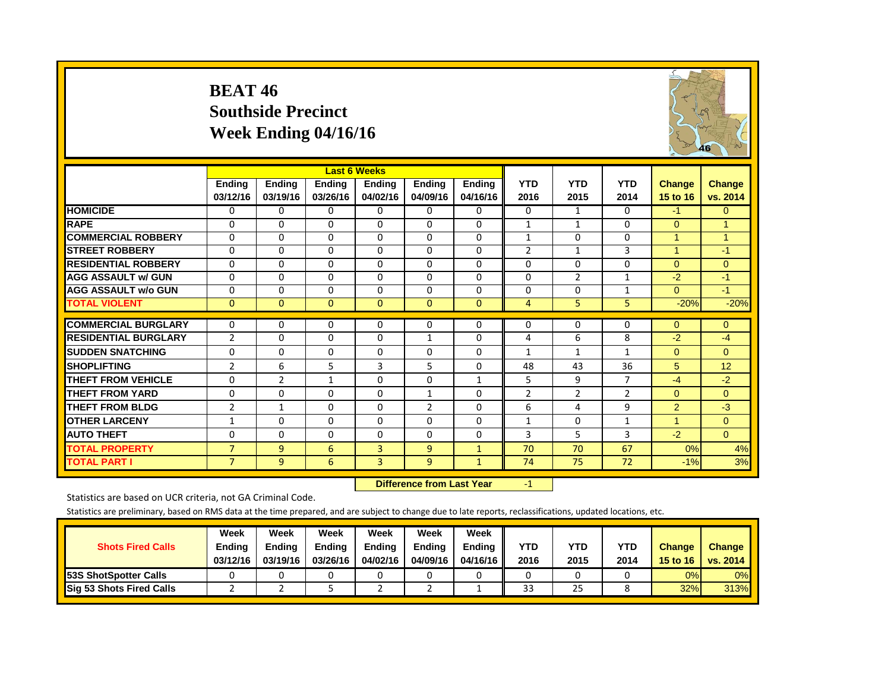#### **BEAT 46 Southside Precinct Week Ending 04/16/16**



|                             |                           |                           |                           | <b>Last 6 Weeks</b>       |                    |                           |                    |                    |                    |                           |                    |
|-----------------------------|---------------------------|---------------------------|---------------------------|---------------------------|--------------------|---------------------------|--------------------|--------------------|--------------------|---------------------------|--------------------|
|                             | <b>Ending</b><br>03/12/16 | <b>Ending</b><br>03/19/16 | <b>Ending</b><br>03/26/16 | <b>Ending</b><br>04/02/16 | Ending<br>04/09/16 | <b>Ending</b><br>04/16/16 | <b>YTD</b><br>2016 | <b>YTD</b><br>2015 | <b>YTD</b><br>2014 | <b>Change</b><br>15 to 16 | Change<br>vs. 2014 |
| <b>HOMICIDE</b>             | 0                         | $\Omega$                  | 0                         | 0                         | 0                  | 0                         | 0                  | $\mathbf{1}$       | 0                  | $-1$                      | $\Omega$           |
| <b>RAPE</b>                 | $\Omega$                  | $\Omega$                  | $\Omega$                  | $\Omega$                  | $\Omega$           | $\Omega$                  | $\mathbf{1}$       | 1                  | 0                  | $\Omega$                  | 1                  |
| <b>COMMERCIAL ROBBERY</b>   | $\Omega$                  | $\Omega$                  | $\Omega$                  | $\Omega$                  | $\Omega$           | 0                         | 1                  | 0                  | $\Omega$           | 1                         | $\mathbf{1}$       |
| <b>STREET ROBBERY</b>       | $\Omega$                  | $\Omega$                  | $\Omega$                  | $\Omega$                  | $\Omega$           | 0                         | $\overline{2}$     | $\mathbf{1}$       | 3                  | 4                         | $-1$               |
| <b>RESIDENTIAL ROBBERY</b>  | $\Omega$                  | $\Omega$                  | $\Omega$                  | $\Omega$                  | $\Omega$           | 0                         | $\Omega$           | $\Omega$           | $\Omega$           | $\Omega$                  | $\Omega$           |
| <b>AGG ASSAULT w/ GUN</b>   | $\Omega$                  | $\Omega$                  | $\Omega$                  | $\Omega$                  | $\Omega$           | 0                         | $\Omega$           | $\overline{2}$     | $\mathbf{1}$       | $-2$                      | $-1$               |
| <b>AGG ASSAULT w/o GUN</b>  | 0                         | $\Omega$                  | $\Omega$                  | 0                         | $\Omega$           | 0                         | $\Omega$           | $\Omega$           | 1                  | $\mathbf{0}$              | $-1$               |
| <b>TOTAL VIOLENT</b>        | $\mathbf{0}$              | $\Omega$                  | $\Omega$                  | $\Omega$                  | $\mathbf{0}$       | $\Omega$                  | 4                  | 5                  | 5                  | $-20%$                    | $-20%$             |
| <b>COMMERCIAL BURGLARY</b>  | 0                         | 0                         | $\Omega$                  | 0                         | 0                  | 0                         | 0                  | 0                  | $\Omega$           | $\Omega$                  | $\Omega$           |
| <b>RESIDENTIAL BURGLARY</b> | 2                         | $\Omega$                  | $\Omega$                  | $\Omega$                  | $\mathbf{1}$       | 0                         | 4                  | 6                  | 8                  | $-2$                      | $-4$               |
| <b>SUDDEN SNATCHING</b>     | $\mathbf 0$               | $\Omega$                  | $\Omega$                  | $\Omega$                  | $\Omega$           | $\Omega$                  | $\mathbf{1}$       | $\mathbf{1}$       | $\mathbf{1}$       | $\Omega$                  | $\Omega$           |
| <b>ISHOPLIFTING</b>         | $\overline{2}$            | 6                         | 5                         | 3                         | 5                  | $\Omega$                  | 48                 | 43                 | 36                 | 5                         | 12                 |
| <b>THEFT FROM VEHICLE</b>   | $\Omega$                  | $\mathcal{P}$             | 1                         | $\Omega$                  | $\Omega$           | $\mathbf{1}$              | 5                  | 9                  | $\overline{7}$     | $-4$                      | $-2$               |
| <b>THEFT FROM YARD</b>      |                           | 0                         | $\Omega$                  | $\Omega$                  | $\mathbf{1}$       | 0                         | $\overline{2}$     | $\overline{2}$     | 2                  |                           | $\Omega$           |
|                             | 0                         |                           |                           |                           |                    |                           |                    |                    |                    | $\overline{0}$            |                    |
| <b>THEFT FROM BLDG</b>      | $\overline{2}$            | $\mathbf{1}$              | $\Omega$                  | $\Omega$                  | $\overline{2}$     | $\Omega$                  | 6                  | 4                  | 9                  | $\overline{2}$            | $-3$               |
| <b>OTHER LARCENY</b>        | $\mathbf{1}$              | 0                         | $\Omega$                  | $\Omega$                  | 0                  | $\Omega$                  | $\mathbf{1}$       | 0                  | $\mathbf{1}$       | 1                         | $\Omega$           |
| <b>AUTO THEFT</b>           | $\Omega$                  | 0                         | $\Omega$                  | 0                         | 0                  | 0                         | 3                  | 5                  | 3                  | $-2$                      | $\Omega$           |
| <b>TOTAL PROPERTY</b>       | $\overline{7}$            | 9                         | 6                         | 3                         | 9                  | $\mathbf{1}$              | 70                 | 70                 | 67                 | 0%                        | 4%                 |
| <b>TOTAL PART I</b>         | $\overline{7}$            | 9                         | 6                         | $\overline{3}$            | 9                  | $\mathbf{1}$              | 74                 | 75                 | 72                 | $-1%$                     | 3%                 |

 **Difference from Last Year**r  $-1$ 

Statistics are based on UCR criteria, not GA Criminal Code.

| <b>Shots Fired Calls</b>        | Week<br>Endina<br>03/12/16 | Week<br><b>Endina</b><br>03/19/16 | Week<br><b>Ending</b><br>03/26/16 | Week<br>Endina<br>04/02/16 | Week<br>Endina<br>04/09/16 | Week<br>Ending<br>04/16/16 II | <b>YTD</b><br>2016 | YTD<br>2015 | <b>YTD</b><br>2014 | <b>Change</b><br>15 to 16 | <b>Change</b><br>vs. 2014 |
|---------------------------------|----------------------------|-----------------------------------|-----------------------------------|----------------------------|----------------------------|-------------------------------|--------------------|-------------|--------------------|---------------------------|---------------------------|
| <b>153S ShotSpotter Calls</b>   |                            |                                   |                                   |                            |                            |                               |                    |             |                    | 0%                        | $0\%$                     |
| <b>Sig 53 Shots Fired Calls</b> |                            |                                   |                                   |                            |                            |                               | 33                 | 25          |                    | 32%                       | <b>313%</b>               |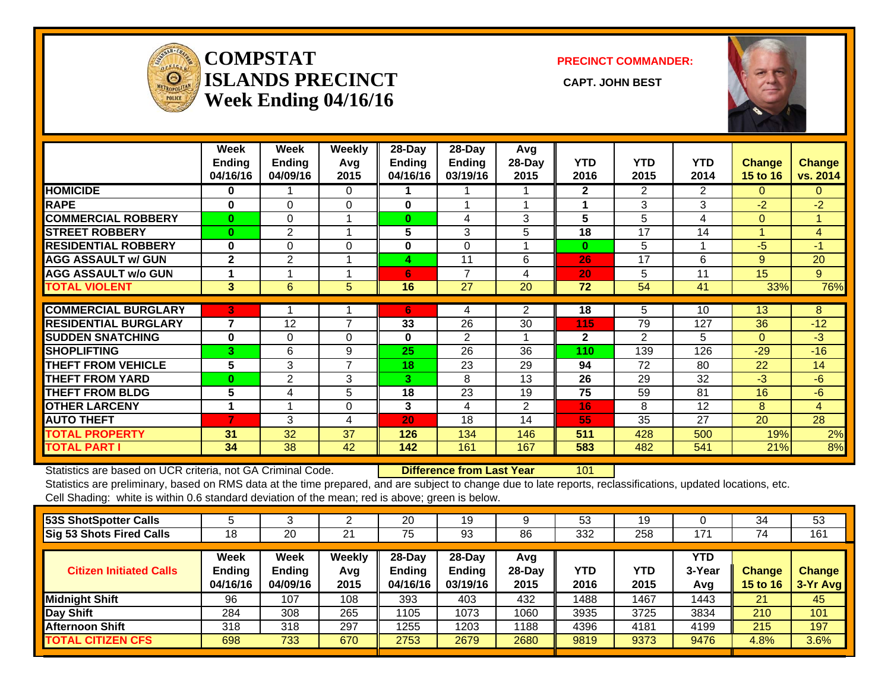

#### **COMPSTATISLANDS PRECINCT** CAPT. JOHN BEST **Week Ending 04/16/16**

**PRECINCT COMMANDER:**



|                             | Week<br><b>Ending</b><br>04/16/16 | Week<br><b>Ending</b><br>04/09/16 | Weekly<br>Avg<br>2015 | $28$ -Day<br>Ending<br>04/16/16 | $28$ -Day<br>Ending<br>03/19/16 | Avg<br>28-Day<br>2015 | <b>YTD</b><br>2016 | <b>YTD</b><br>2015 | <b>YTD</b><br>2014 | <b>Change</b><br><b>15 to 16</b> | <b>Change</b><br>vs. 2014 |
|-----------------------------|-----------------------------------|-----------------------------------|-----------------------|---------------------------------|---------------------------------|-----------------------|--------------------|--------------------|--------------------|----------------------------------|---------------------------|
| <b>HOMICIDE</b>             | 0                                 |                                   | $\Omega$              |                                 |                                 |                       | $\mathbf{2}$       | $\overline{2}$     | $\overline{2}$     | $\Omega$                         | $\mathbf{0}$              |
| <b>RAPE</b>                 | $\bf{0}$                          | $\Omega$                          | $\Omega$              | 0                               |                                 |                       |                    | 3                  | 3                  | $-2$                             | $-2$                      |
| <b>COMMERCIAL ROBBERY</b>   | $\mathbf{0}$                      | 0                                 |                       | $\bf{0}$                        | 4                               | 3                     | 5                  | 5                  | 4                  | $\Omega$                         |                           |
| <b>ISTREET ROBBERY</b>      | $\bf{0}$                          | 2                                 |                       | 5                               | 3                               | 5                     | 18                 | 17                 | 14                 | 4                                | 4                         |
| <b>RESIDENTIAL ROBBERY</b>  | $\bf{0}$                          | $\Omega$                          | $\Omega$              | $\bf{0}$                        | $\Omega$                        |                       | $\bf{0}$           | 5                  |                    | -5                               | $-1$                      |
| <b>AGG ASSAULT w/ GUN</b>   | $\mathbf{2}$                      | $\overline{2}$                    |                       | 4                               | 11                              | 6                     | 26                 | 17                 | 6                  | 9                                | 20                        |
| <b>AGG ASSAULT w/o GUN</b>  |                                   |                                   |                       | 6                               | 7                               | 4                     | 20                 | 5                  | 11                 | 15                               | 9                         |
| <b>TOTAL VIOLENT</b>        | 3                                 | 6                                 | 5                     | 16                              | 27                              | 20                    | 72                 | 54                 | 41                 | 33%                              | 76%                       |
|                             |                                   |                                   |                       |                                 |                                 |                       |                    |                    |                    |                                  |                           |
| <b>COMMERCIAL BURGLARY</b>  | 3                                 |                                   |                       | 6                               | 4                               | $\overline{2}$        | 18                 | 5                  | 10                 | 13                               | 8                         |
| <b>RESIDENTIAL BURGLARY</b> | $\overline{7}$                    | 12                                | $\overline{7}$        | 33                              | 26                              | 30                    | 115                | 79                 | 127                | 36                               | $-12$                     |
| <b>SUDDEN SNATCHING</b>     | $\bf{0}$                          | $\Omega$                          | $\Omega$              | $\bf{0}$                        | 2                               |                       | $\mathbf{2}$       | $\overline{2}$     | 5                  | $\Omega$                         | $-3$                      |
| <b>SHOPLIFTING</b>          | 3                                 | 6                                 | 9                     | 25                              | 26                              | 36                    | 110                | 139                | 126                | $-29$                            | $-16$                     |
| <b>THEFT FROM VEHICLE</b>   | 5                                 | 3                                 | 7                     | 18                              | 23                              | 29                    | 94                 | 72                 | 80                 | 22                               | 14                        |
| <b>THEFT FROM YARD</b>      | $\bf{0}$                          | 2                                 | 3                     | 3                               | 8                               | 13                    | 26                 | 29                 | 32                 | $-3$                             | -6                        |
| <b>THEFT FROM BLDG</b>      | 5                                 | 4                                 | 5                     | 18                              | 23                              | 19                    | 75                 | 59                 | 81                 | 16                               | $-6$                      |
| <b>OTHER LARCENY</b>        | $\blacktriangleleft$              |                                   | $\mathbf 0$           | 3                               | 4                               | $\overline{2}$        | 16                 | 8                  | 12                 | 8                                | $\overline{4}$            |
| <b>AUTO THEFT</b>           | $\overline{7}$                    | 3                                 | 4                     | 20                              | 18                              | 14                    | 55                 | 35                 | 27                 | 20                               | 28                        |
| <b>TOTAL PROPERTY</b>       | 31                                | 32                                | 37                    | 126                             | 134                             | 146                   | 511                | 428                | 500                | 19%                              | 2%                        |
| <b>TOTAL PART I</b>         | 34                                | 38                                | 42                    | 142                             | 161                             | 167                   | 583                | 482                | 541                | 21%                              | 8%                        |

Statistics are based on UCR criteria, not GA Criminal Code. **Difference from Last Year** 101

Statistics are preliminary, based on RMS data at the time prepared, and are subject to change due to late reports, reclassifications, updated locations, etc. Cell Shading: white is within 0.6 standard deviation of the mean; red is above; green is below.

| 53S ShotSpotter Calls           |                                   |                                          |                       | 20                                     | 19                             |                         | 53          | 19          |                             | 34                        | 53                        |
|---------------------------------|-----------------------------------|------------------------------------------|-----------------------|----------------------------------------|--------------------------------|-------------------------|-------------|-------------|-----------------------------|---------------------------|---------------------------|
| <b>Sig 53 Shots Fired Calls</b> | 18                                | 20                                       | 21                    | 75                                     | 93                             | 86                      | 332         | 258         | 171                         | 74                        | 161                       |
| <b>Citizen Initiated Calls</b>  | Week<br><b>Ending</b><br>04/16/16 | <b>Week</b><br><b>Ending</b><br>04/09/16 | Weekly<br>Avg<br>2015 | $28$ -Day<br><b>Ending</b><br>04/16/16 | $28-Dav$<br>Ending<br>03/19/16 | Avg<br>$28-Day$<br>2015 | YTD<br>2016 | YTD<br>2015 | <b>YTD</b><br>3-Year<br>Avg | Change<br><b>15 to 16</b> | <b>Change</b><br>3-Yr Avg |
| <b>Midnight Shift</b>           | 96                                | 107                                      | 108                   | 393                                    | 403                            | 432                     | 1488        | 1467        | 1443                        | 21                        | 45                        |
| Day Shift                       | 284                               | 308                                      | 265                   | 1105                                   | 1073                           | 1060                    | 3935        | 3725        | 3834                        | 210                       | 101                       |
| <b>Afternoon Shift</b>          | 318                               | 318                                      | 297                   | 1255                                   | 203                            | 1188                    | 4396        | 4181        | 4199                        | 215                       | 197                       |
| <b>TOTAL CITIZEN CFS</b>        | 698                               | 733                                      | 670                   | 2753                                   | 2679                           | 2680                    | 9819        | 9373        | 9476                        | 4.8%                      | 3.6%                      |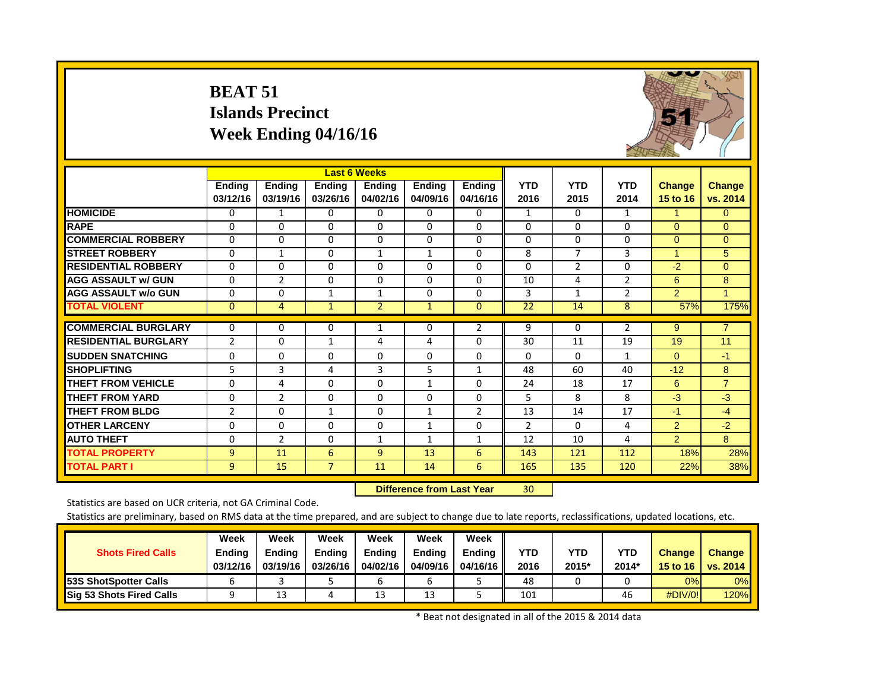|                             | <b>BEAT 51</b>            | <b>Islands Precinct</b><br>Week Ending 04/16/16 |                           | <b>Last 6 Weeks</b>       |                           |                           |                    |                    |                    |                           |                           |
|-----------------------------|---------------------------|-------------------------------------------------|---------------------------|---------------------------|---------------------------|---------------------------|--------------------|--------------------|--------------------|---------------------------|---------------------------|
|                             | <b>Ending</b><br>03/12/16 | <b>Ending</b><br>03/19/16                       | <b>Ending</b><br>03/26/16 | <b>Ending</b><br>04/02/16 | <b>Ending</b><br>04/09/16 | <b>Ending</b><br>04/16/16 | <b>YTD</b><br>2016 | <b>YTD</b><br>2015 | <b>YTD</b><br>2014 | <b>Change</b><br>15 to 16 | <b>Change</b><br>vs. 2014 |
| <b>HOMICIDE</b>             | 0                         | $\mathbf{1}$                                    | $\Omega$                  | 0                         | 0                         | $\Omega$                  | $\mathbf{1}$       | $\mathbf{0}$       | $\mathbf{1}$       | $\mathbf{1}$              | $\Omega$                  |
| <b>RAPE</b>                 | $\Omega$                  | $\Omega$                                        | $\Omega$                  | $\Omega$                  | $\Omega$                  | $\Omega$                  | $\Omega$           | $\Omega$           | $\Omega$           | $\Omega$                  | $\Omega$                  |
| <b>COMMERCIAL ROBBERY</b>   | $\Omega$                  | $\Omega$                                        | $\Omega$                  | 0                         | $\Omega$                  | $\Omega$                  | $\mathbf 0$        | $\Omega$           | $\Omega$           | $\Omega$                  | $\Omega$                  |
| <b>STREET ROBBERY</b>       | $\mathbf 0$               | $\mathbf{1}$                                    | $\Omega$                  | $\mathbf{1}$              | $\mathbf{1}$              | $\Omega$                  | 8                  | $\overline{7}$     | 3                  | $\mathbf{1}$              | 5                         |
| <b>RESIDENTIAL ROBBERY</b>  | 0                         | $\Omega$                                        | $\Omega$                  | 0                         | $\Omega$                  | $\Omega$                  | $\Omega$           | $\overline{2}$     | $\Omega$           | $-2$                      | $\Omega$                  |
| <b>AGG ASSAULT W/ GUN</b>   | $\Omega$                  | $\overline{2}$                                  | $\Omega$                  | $\Omega$                  | $\Omega$                  | $\Omega$                  | 10                 | 4                  | $\overline{2}$     | 6                         | 8                         |
| <b>AGG ASSAULT W/o GUN</b>  | $\mathbf 0$               | $\Omega$                                        | $\mathbf{1}$              | $\mathbf{1}$              | $\Omega$                  | $\Omega$                  | 3                  | $\mathbf{1}$       | $\overline{2}$     | $\overline{2}$            | $\blacktriangleleft$      |
| <b>TOTAL VIOLENT</b>        | $\overline{0}$            | $\overline{4}$                                  | $\mathbf{1}$              | $\overline{2}$            | $\overline{1}$            | $\Omega$                  | $\overline{22}$    | 14                 | $\overline{8}$     | 57%                       | 175%                      |
| <b>COMMERCIAL BURGLARY</b>  | $\Omega$                  | $\Omega$                                        | $\Omega$                  | $\mathbf{1}$              | $\Omega$                  | $\overline{2}$            | 9                  | $\Omega$           | $\overline{2}$     | 9                         | $\overline{7}$            |
| <b>RESIDENTIAL BURGLARY</b> | $\overline{2}$            | $\mathbf 0$                                     | $\mathbf{1}$              | 4                         | 4                         | $\Omega$                  | 30                 | 11                 | 19                 | 19                        | 11                        |
| <b>SUDDEN SNATCHING</b>     | $\mathbf 0$               | $\Omega$                                        | $\Omega$                  | $\Omega$                  | $\Omega$                  | $\Omega$                  | $\Omega$           | $\Omega$           | $\mathbf{1}$       | $\Omega$                  | $-1$                      |
| <b>SHOPLIFTING</b>          | 5                         | 3                                               | 4                         | 3                         | 5                         | $\mathbf{1}$              | 48                 | 60                 | 40                 | $-12$                     | 8                         |
| <b>THEFT FROM VEHICLE</b>   | 0                         | 4                                               | $\Omega$                  | 0                         | $\mathbf{1}$              | $\Omega$                  | 24                 | 18                 | 17                 | 6                         | $\overline{7}$            |
| <b>THEFT FROM YARD</b>      | $\Omega$                  | $\overline{2}$                                  | $\Omega$                  | $\Omega$                  | $\Omega$                  | $\Omega$                  | 5.                 | 8                  | 8                  | $-3$                      | $-3$                      |
| <b>THEFT FROM BLDG</b>      | $\overline{2}$            | $\Omega$                                        | $\mathbf{1}$              | $\Omega$                  | 1                         | $\overline{2}$            | 13                 | 14                 | 17                 | $-1$                      | $-4$                      |
| <b>OTHER LARCENY</b>        | $\mathbf 0$               | $\mathbf 0$                                     | 0                         | $\mathbf 0$               | $\mathbf{1}$              | $\mathbf 0$               | $\overline{2}$     | $\Omega$           | 4                  | $\overline{2}$            | $-2$                      |
| <b>AUTO THEFT</b>           | $\mathbf 0$               | $\overline{2}$                                  | $\Omega$                  | $\mathbf{1}$              | $\mathbf{1}$              | $\mathbf{1}$              | 12                 | 10                 | 4                  | $\overline{2}$            | 8                         |
| <b>TOTAL PROPERTY</b>       | 9                         | 11                                              | 6                         | 9                         | 13                        | 6                         | 143                | 121                | 112                | 18%                       | 28%                       |
| <b>TOTAL PART I</b>         | 9                         | 15                                              | $\overline{7}$            | 11                        | 14                        | 6                         | 165                | 135                | 120                | 22%                       | 38%                       |

 **Difference from Last Year**r 30

Statistics are based on UCR criteria, not GA Criminal Code.

Statistics are preliminary, based on RMS data at the time prepared, and are subject to change due to late reports, reclassifications, updated locations, etc.

| <b>Shots Fired Calls</b>        | Week<br><b>Ending</b><br>03/12/16 | Week<br><b>Ending</b><br>03/19/16 | Week<br><b>Ending</b><br>03/26/16 | Week<br>Endina<br>04/02/16 | Week<br><b>Endina</b><br>04/09/16 | Week<br><b>Endina</b><br>04/16/16 | YTD<br>2016 | YTD<br>2015* | <b>YTD</b><br>2014' | <b>Change</b><br>15 to 16 | Change<br>vs. 2014 |
|---------------------------------|-----------------------------------|-----------------------------------|-----------------------------------|----------------------------|-----------------------------------|-----------------------------------|-------------|--------------|---------------------|---------------------------|--------------------|
| <b>53S ShotSpotter Calls</b>    |                                   |                                   |                                   |                            |                                   |                                   | 48          |              |                     | 0%                        | 0%                 |
| <b>Sig 53 Shots Fired Calls</b> |                                   | 13                                | ப                                 | 13                         | 13                                |                                   | 101         |              | 46                  | #DIV/0!                   | <b>120%</b>        |

\* Beat not designated in all of the 2015 & 2014 data

5 超出了 19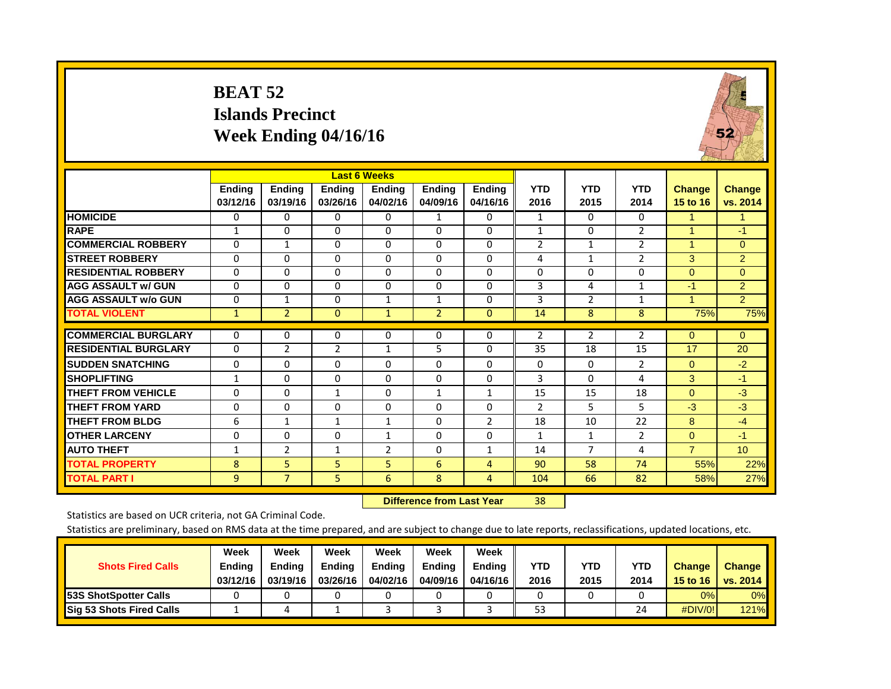#### **BEAT 52 Islands PrecinctWeek Ending 04/16/16**



|                             |                           |                           |                           | <b>Last 6 Weeks</b>       |                           |                           |                    |                    |                    |                           |                           |
|-----------------------------|---------------------------|---------------------------|---------------------------|---------------------------|---------------------------|---------------------------|--------------------|--------------------|--------------------|---------------------------|---------------------------|
|                             | <b>Ending</b><br>03/12/16 | <b>Ending</b><br>03/19/16 | <b>Ending</b><br>03/26/16 | <b>Ending</b><br>04/02/16 | <b>Ending</b><br>04/09/16 | <b>Ending</b><br>04/16/16 | <b>YTD</b><br>2016 | <b>YTD</b><br>2015 | <b>YTD</b><br>2014 | <b>Change</b><br>15 to 16 | <b>Change</b><br>vs. 2014 |
| <b>HOMICIDE</b>             | $\Omega$                  | $\Omega$                  | $\Omega$                  | $\Omega$                  | 1                         | $\Omega$                  | $\mathbf{1}$       | $\Omega$           | $\Omega$           |                           | 1                         |
| <b>RAPE</b>                 | $\mathbf{1}$              | $\Omega$                  | $\Omega$                  | $\Omega$                  | $\Omega$                  | $\Omega$                  | $\mathbf{1}$       | $\Omega$           | $\overline{2}$     | $\overline{1}$            | $-1$                      |
| <b>COMMERCIAL ROBBERY</b>   | $\Omega$                  | $\mathbf{1}$              | $\Omega$                  | $\Omega$                  | $\Omega$                  | $\Omega$                  | $\overline{2}$     | 1                  | 2                  | 1                         | $\mathbf{0}$              |
| <b>STREET ROBBERY</b>       | $\Omega$                  | $\Omega$                  | $\Omega$                  | $\Omega$                  | $\Omega$                  | $\Omega$                  | 4                  | $\mathbf{1}$       | $\overline{2}$     | 3                         | $\overline{2}$            |
| <b>RESIDENTIAL ROBBERY</b>  | $\Omega$                  | $\Omega$                  | $\Omega$                  | $\Omega$                  | $\Omega$                  | $\Omega$                  | $\Omega$           | $\Omega$           | $\Omega$           | $\Omega$                  | $\Omega$                  |
| <b>AGG ASSAULT w/ GUN</b>   | 0                         | $\Omega$                  | $\Omega$                  | 0                         | $\Omega$                  | $\Omega$                  | 3                  | 4                  | 1                  | -1                        | 2                         |
| <b>AGG ASSAULT w/o GUN</b>  | $\Omega$                  | $\mathbf{1}$              | $\Omega$                  | $\mathbf{1}$              | $\mathbf{1}$              | $\Omega$                  | 3                  | $\overline{2}$     | 1                  | $\mathbf{1}$              | $\overline{2}$            |
| <b>TOTAL VIOLENT</b>        | $\mathbf{1}$              | $\overline{2}$            | $\overline{0}$            | $\mathbf{1}$              | $\overline{2}$            | $\overline{0}$            | 14                 | 8                  | 8                  | 75%                       | 75%                       |
| <b>COMMERCIAL BURGLARY</b>  | $\Omega$                  | 0                         | 0                         | $\Omega$                  | 0                         | $\Omega$                  | 2                  | $\overline{2}$     | $\overline{2}$     | $\mathbf{0}$              | $\Omega$                  |
| <b>RESIDENTIAL BURGLARY</b> | $\Omega$                  | $\overline{2}$            | $\overline{2}$            | $\mathbf{1}$              | 5                         | $\Omega$                  | 35                 | 18                 | 15                 | 17                        | 20                        |
| <b>SUDDEN SNATCHING</b>     | $\Omega$                  | $\Omega$                  | $\Omega$                  | $\Omega$                  | $\Omega$                  | $\Omega$                  | $\Omega$           | $\Omega$           | 2                  | $\Omega$                  | $-2$                      |
| <b>ISHOPLIFTING</b>         | $\mathbf{1}$              | $\Omega$                  | $\Omega$                  | $\Omega$                  | $\Omega$                  | $\Omega$                  | 3                  | $\Omega$           | 4                  | 3                         | $-1$                      |
| <b>THEFT FROM VEHICLE</b>   | $\Omega$                  | $\Omega$                  | 1                         | $\Omega$                  | 1                         | $\mathbf{1}$              | 15                 | 15                 | 18                 | $\Omega$                  | $-3$                      |
| <b>THEFT FROM YARD</b>      | $\Omega$                  | $\Omega$                  | $\Omega$                  | $\Omega$                  | $\Omega$                  | $\Omega$                  | $\overline{2}$     | 5                  | 5.                 | $-3$                      | $-3$                      |
| <b>THEFT FROM BLDG</b>      | 6                         | 1                         | 1                         | 1                         | $\Omega$                  | $\overline{2}$            | 18                 | 10                 | 22                 | 8                         | $-4$                      |
| <b>OTHER LARCENY</b>        | $\mathbf 0$               | $\Omega$                  | $\Omega$                  | $\mathbf{1}$              | $\Omega$                  | $\Omega$                  | $\mathbf{1}$       | $\mathbf{1}$       | $\overline{2}$     | $\mathbf{0}$              | $-1$                      |
| <b>AUTO THEFT</b>           | $\mathbf{1}$              | $\overline{2}$            | 1                         | 2                         | $\Omega$                  | 1                         | 14                 | $\overline{7}$     | 4                  | $\overline{7}$            | 10 <sup>1</sup>           |
| <b>TOTAL PROPERTY</b>       | 8                         | 5                         | 5.                        | 5                         | 6                         | 4                         | 90                 | 58                 | 74                 | 55%                       | 22%                       |
| <b>TOTAL PART I</b>         | 9                         | $\overline{7}$            | 5.                        | 6                         | 8                         | 4                         | 104                | 66                 | 82                 | 58%                       | 27%                       |

 **Difference from Last Year**r 38

Statistics are based on UCR criteria, not GA Criminal Code.

|                               | Week          | Week          | Week          | Week          | Week          | Week     |      |      |            |               |               |
|-------------------------------|---------------|---------------|---------------|---------------|---------------|----------|------|------|------------|---------------|---------------|
| <b>Shots Fired Calls</b>      | <b>Ending</b> | <b>Endina</b> | <b>Ending</b> | <b>Ending</b> | <b>Endina</b> | Endina   | YTD  | YTD  | <b>YTD</b> | <b>Change</b> | <b>Change</b> |
|                               | 03/12/16      | 03/19/16      | 03/26/16      | 04/02/16      | 04/09/16      | 04/16/16 | 2016 | 2015 | 2014       | 15 to 16      | vs. 2014      |
| <b>153S ShotSpotter Calls</b> |               |               |               |               |               |          |      |      |            | 0%            | 0%            |
| Sig 53 Shots Fired Calls      |               | 4             |               |               |               |          | 53   |      | 24         | #DIV/0!       | <b>121%</b>   |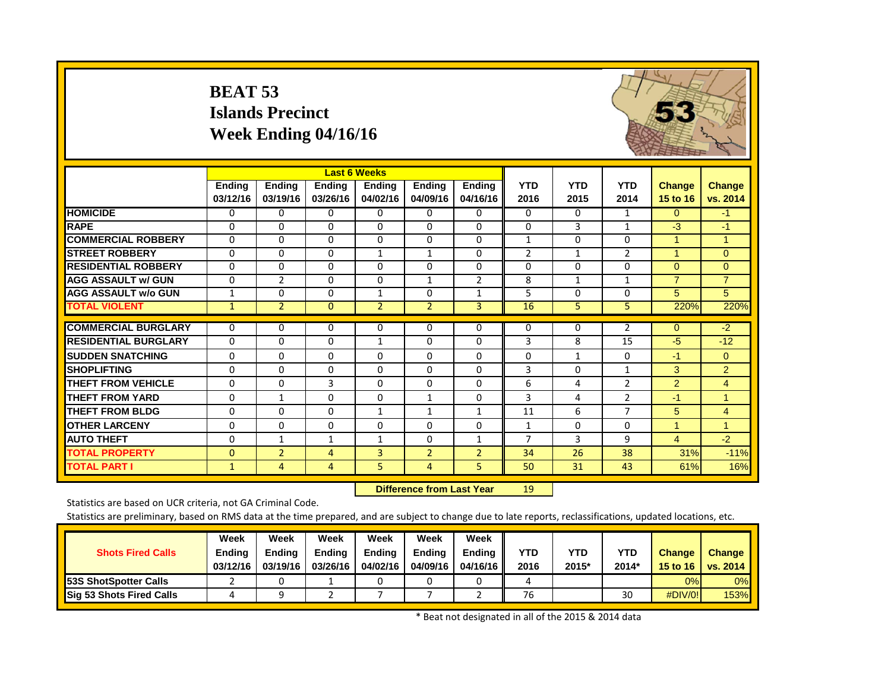#### **BEAT 53 Islands Precinct Week Ending 04/16/16**



|                             |                           |                           |                           | <b>Last 6 Weeks</b>       |                    |                           |                    |                    |                    |                           |                           |
|-----------------------------|---------------------------|---------------------------|---------------------------|---------------------------|--------------------|---------------------------|--------------------|--------------------|--------------------|---------------------------|---------------------------|
|                             | <b>Ending</b><br>03/12/16 | <b>Ending</b><br>03/19/16 | <b>Ending</b><br>03/26/16 | <b>Ending</b><br>04/02/16 | Ending<br>04/09/16 | <b>Ending</b><br>04/16/16 | <b>YTD</b><br>2016 | <b>YTD</b><br>2015 | <b>YTD</b><br>2014 | <b>Change</b><br>15 to 16 | <b>Change</b><br>vs. 2014 |
| <b>HOMICIDE</b>             | 0                         | $\Omega$                  | $\Omega$                  | 0                         | 0                  | 0                         | 0                  | $\Omega$           | 1                  | $\Omega$                  | $-1$                      |
| <b>RAPE</b>                 | $\Omega$                  | $\Omega$                  | $\Omega$                  | $\Omega$                  | $\Omega$           | 0                         | $\Omega$           | 3                  | $\mathbf{1}$       | $-3$                      | $-1$                      |
| <b>COMMERCIAL ROBBERY</b>   | $\Omega$                  | $\Omega$                  | $\Omega$                  | $\Omega$                  | $\Omega$           | 0                         | $\mathbf{1}$       | 0                  | 0                  | 1                         | $\blacktriangleleft$      |
| <b>STREET ROBBERY</b>       | 0                         | $\Omega$                  | $\Omega$                  | $\mathbf{1}$              | $\mathbf{1}$       | 0                         | $\overline{2}$     | 1                  | $\overline{2}$     | 1                         | $\Omega$                  |
| <b>RESIDENTIAL ROBBERY</b>  | $\Omega$                  | $\Omega$                  | $\Omega$                  | $\Omega$                  | $\Omega$           | $\Omega$                  | $\Omega$           | 0                  | $\Omega$           | $\Omega$                  | $\Omega$                  |
| <b>AGG ASSAULT w/ GUN</b>   | $\Omega$                  | $\overline{2}$            | $\Omega$                  | $\Omega$                  | $\mathbf{1}$       | $\overline{2}$            | 8                  | $\mathbf{1}$       | 1                  | $\overline{7}$            | $\overline{7}$            |
| <b>AGG ASSAULT w/o GUN</b>  | $\mathbf{1}$              | $\Omega$                  | $\Omega$                  | $\mathbf{1}$              | $\Omega$           | $\mathbf{1}$              | 5                  | 0                  | 0                  | $\overline{5}$            | 5                         |
| <b>TOTAL VIOLENT</b>        | $\mathbf{1}$              | $\overline{2}$            | $\mathbf{0}$              | $\overline{2}$            | $\overline{2}$     | 3                         | 16                 | 5                  | 5                  | 220%                      | 220%                      |
| <b>COMMERCIAL BURGLARY</b>  | 0                         | 0                         | 0                         | 0                         | $\Omega$           | 0                         | 0                  | 0                  | $\overline{2}$     | $\mathbf{0}$              | $-2$                      |
| <b>RESIDENTIAL BURGLARY</b> | $\Omega$                  | $\Omega$                  | $\Omega$                  | 1                         | $\Omega$           | $\Omega$                  | 3                  | 8                  | 15                 | $-5$                      | $-12$                     |
| <b>SUDDEN SNATCHING</b>     | 0                         | $\Omega$                  | $\Omega$                  | 0                         | $\Omega$           | $\Omega$                  | 0                  | $\mathbf{1}$       | $\Omega$           | -1                        | $\Omega$                  |
| <b>SHOPLIFTING</b>          | $\Omega$                  | 0                         | $\Omega$                  | $\Omega$                  | $\Omega$           | $\Omega$                  | 3                  | $\Omega$           | $\mathbf{1}$       | 3                         | $\overline{2}$            |
| <b>THEFT FROM VEHICLE</b>   | $\Omega$                  | $\Omega$                  | 3                         | $\Omega$                  | $\Omega$           | $\Omega$                  | 6                  | 4                  | $\overline{2}$     | $\overline{2}$            | $\overline{4}$            |
| <b>THEFT FROM YARD</b>      | $\Omega$                  | 1                         | $\Omega$                  | $\Omega$                  | 1                  | 0                         | 3                  | 4                  | $\overline{2}$     | $-1$                      | $\mathbf{1}$              |
| <b>THEFT FROM BLDG</b>      | $\Omega$                  | $\Omega$                  | $\Omega$                  | $\mathbf{1}$              | 1                  | $\mathbf{1}$              | 11                 | 6                  | $\overline{7}$     | 5                         | $\overline{4}$            |
| <b>OTHER LARCENY</b>        | 0                         | $\Omega$                  | $\Omega$                  | 0                         | $\Omega$           | $\Omega$                  | 1                  | $\Omega$           | $\Omega$           | $\overline{1}$            | $\mathbf{1}$              |
| <b>AUTO THEFT</b>           | $\Omega$                  | $\mathbf{1}$              | 1                         | 1                         | $\Omega$           |                           | 7                  | 3                  | 9                  | 4                         | $-2$                      |
| <b>TOTAL PROPERTY</b>       | $\Omega$                  | $\overline{2}$            | 4                         | 3                         | $\overline{2}$     | $\overline{2}$            | 34                 | 26                 | 38                 | 31%                       | $-11%$                    |
| <b>TOTAL PART I</b>         | $\mathbf{1}$              | 4                         | 4                         | 5                         | $\overline{4}$     | 5                         | 50                 | 31                 | 43                 | 61%                       | 16%                       |

 **Difference from Last Year**r 19

Statistics are based on UCR criteria, not GA Criminal Code.

Statistics are preliminary, based on RMS data at the time prepared, and are subject to change due to late reports, reclassifications, updated locations, etc.

| <b>Shots Fired Calls</b>        | Week<br><b>Ending</b><br>03/12/16 | Week<br>Endina<br>03/19/16 | Week<br><b>Endina</b><br>03/26/16 | Week<br><b>Ending</b><br>04/02/16 | Week<br>Endina<br>04/09/16 | Week<br><b>Endina</b><br>04/16/16 | YTD<br>2016 | YTD<br>2015* | <b>YTD</b><br>2014 | <b>Change</b><br>15 to 16 | Change<br><b>vs. 2014</b> |
|---------------------------------|-----------------------------------|----------------------------|-----------------------------------|-----------------------------------|----------------------------|-----------------------------------|-------------|--------------|--------------------|---------------------------|---------------------------|
| <b>153S ShotSpotter Calls</b>   |                                   |                            |                                   |                                   |                            |                                   |             |              |                    | 0%                        | 0%                        |
| <b>Sig 53 Shots Fired Calls</b> |                                   |                            |                                   |                                   |                            |                                   | 76          |              | 30                 | $\#$ DIV/0!               | 153%                      |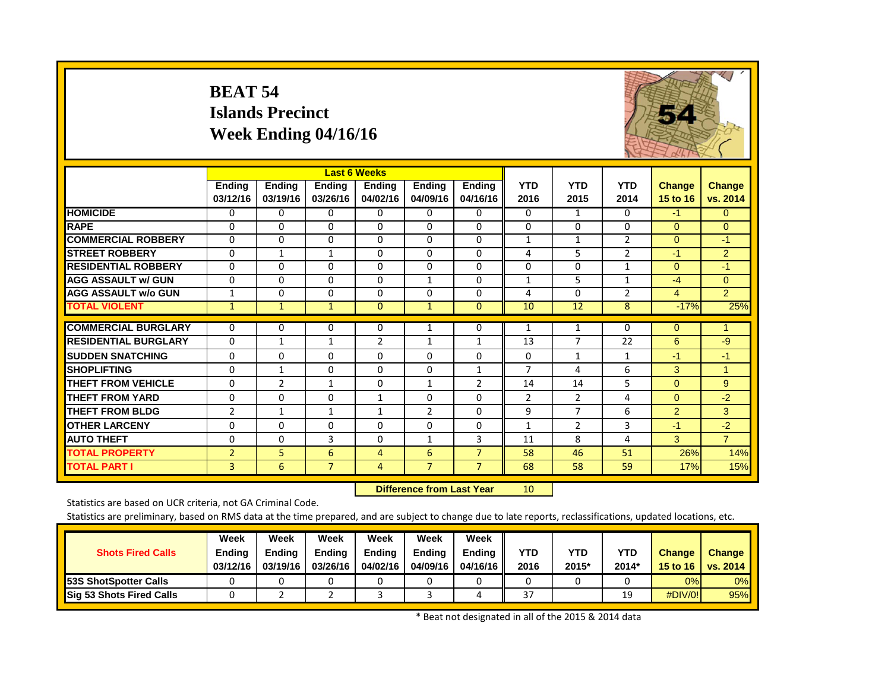#### **BEAT 54 Islands Precinct Week Ending 04/16/16**



|                             |                           |                           |                           | <b>Last 6 Weeks</b>       |                    |                           |                    |                    |                    |                    |                           |
|-----------------------------|---------------------------|---------------------------|---------------------------|---------------------------|--------------------|---------------------------|--------------------|--------------------|--------------------|--------------------|---------------------------|
|                             | <b>Ending</b><br>03/12/16 | <b>Ending</b><br>03/19/16 | <b>Ending</b><br>03/26/16 | <b>Ending</b><br>04/02/16 | Ending<br>04/09/16 | <b>Ending</b><br>04/16/16 | <b>YTD</b><br>2016 | <b>YTD</b><br>2015 | <b>YTD</b><br>2014 | Change<br>15 to 16 | <b>Change</b><br>vs. 2014 |
| <b>HOMICIDE</b>             | 0                         | $\Omega$                  | 0                         | 0                         | 0                  | 0                         | 0                  | $\mathbf{1}$       | $\Omega$           | $-1$               | $\overline{0}$            |
| <b>RAPE</b>                 | $\Omega$                  | $\Omega$                  | $\Omega$                  | $\Omega$                  | $\Omega$           | $\Omega$                  | $\Omega$           | 0                  | 0                  | $\Omega$           | $\Omega$                  |
| <b>COMMERCIAL ROBBERY</b>   | 0                         | $\Omega$                  | 0                         | $\Omega$                  | $\Omega$           | $\Omega$                  | $\mathbf{1}$       | 1                  | $\overline{2}$     | $\overline{0}$     | $-1$                      |
| <b>ISTREET ROBBERY</b>      | $\Omega$                  | 1                         | 1                         | $\Omega$                  | 0                  | 0                         | 4                  | 5                  | 2                  | -1                 | $\overline{2}$            |
| <b>RESIDENTIAL ROBBERY</b>  | $\Omega$                  | $\Omega$                  | $\Omega$                  | $\Omega$                  | $\Omega$           | $\Omega$                  | 0                  | 0                  | 1                  | $\Omega$           | $-1$                      |
| <b>AGG ASSAULT w/ GUN</b>   | $\mathbf 0$               | $\Omega$                  | $\Omega$                  | $\Omega$                  | 1                  | $\Omega$                  | 1                  | 5                  | 1                  | $-4$               | $\Omega$                  |
| <b>AGG ASSAULT W/o GUN</b>  | 1                         | $\Omega$                  | $\Omega$                  | $\Omega$                  | 0                  | $\Omega$                  | 4                  | $\Omega$           | $\overline{2}$     | $\overline{4}$     | $\overline{2}$            |
| <b>TOTAL VIOLENT</b>        | $\mathbf{1}$              | $\mathbf{1}$              | $\mathbf{1}$              | $\overline{0}$            | $\mathbf{1}$       | $\Omega$                  | 10                 | 12                 | 8                  | $-17%$             | 25%                       |
| <b>COMMERCIAL BURGLARY</b>  | 0                         | 0                         | 0                         | 0                         | 1                  | 0                         | 1                  | 1                  | 0                  | $\mathbf{0}$       | 1                         |
| <b>RESIDENTIAL BURGLARY</b> | $\Omega$                  | $\mathbf{1}$              | 1                         | $\overline{2}$            | $\mathbf{1}$       | 1                         | 13                 | $\overline{7}$     | 22                 | 6                  | $-9$                      |
| <b>SUDDEN SNATCHING</b>     | $\mathbf 0$               | $\Omega$                  | $\Omega$                  | 0                         | $\Omega$           | $\Omega$                  | 0                  | 1                  | $\mathbf{1}$       | $-1$               | $-1$                      |
| <b>SHOPLIFTING</b>          | $\Omega$                  | $\mathbf{1}$              | $\Omega$                  | $\Omega$                  | $\Omega$           | 1                         | 7                  | 4                  | 6                  | 3                  | $\mathbf{1}$              |
| <b>THEFT FROM VEHICLE</b>   | $\Omega$                  | 2                         | $\mathbf{1}$              | $\Omega$                  | $\mathbf{1}$       | $\overline{2}$            | 14                 | 14                 | 5                  | $\Omega$           | 9                         |
| <b>THEFT FROM YARD</b>      | 0                         | $\Omega$                  | 0                         | $\mathbf{1}$              | $\Omega$           | $\Omega$                  | $\overline{c}$     | 2                  | 4                  | $\Omega$           | $-2$                      |
| <b>THEFT FROM BLDG</b>      | $\overline{2}$            | 1                         | $\mathbf{1}$              | $\mathbf{1}$              | $\overline{2}$     | $\Omega$                  | 9                  | 7                  | 6                  | 2                  | 3                         |
| <b>OTHER LARCENY</b>        | $\Omega$                  | $\Omega$                  | $\Omega$                  | $\Omega$                  | $\Omega$           | $\Omega$                  | $\mathbf{1}$       | $\overline{2}$     | 3                  | $-1$               | $-2$                      |
| <b>AUTO THEFT</b>           | $\Omega$                  | $\Omega$                  | 3                         | $\Omega$                  | $\mathbf{1}$       | 3                         | 11                 | 8                  | 4                  | 3                  | $\overline{7}$            |
| <b>TOTAL PROPERTY</b>       | $\overline{2}$            | 5                         | 6                         | 4                         | 6                  | $\overline{7}$            | 58                 | 46                 | 51                 | 26%                | 14%                       |
| <b>TOTAL PART I</b>         | 3                         | 6                         | $\overline{7}$            | 4                         | $\overline{7}$     | $\overline{7}$            | 68                 | 58                 | 59                 | 17%                | 15%                       |

 **Difference from Last Year**r 10

Statistics are based on UCR criteria, not GA Criminal Code.

Statistics are preliminary, based on RMS data at the time prepared, and are subject to change due to late reports, reclassifications, updated locations, etc.

| <b>Shots Fired Calls</b>        | Week<br><b>Ending</b><br>03/12/16 | Week<br>Ending<br>03/19/16 | Week<br><b>Ending</b><br>03/26/16 | Week<br>Endina<br>04/02/16 | Week<br>Endina<br>04/09/16 | Week<br>Ending<br>04/16/16 | YTD<br>2016 | YTD<br>2015* | <b>YTD</b><br>2014* | <b>Change</b><br>15 to 16 | <b>Change</b><br>vs. 2014 |
|---------------------------------|-----------------------------------|----------------------------|-----------------------------------|----------------------------|----------------------------|----------------------------|-------------|--------------|---------------------|---------------------------|---------------------------|
| <b>153S ShotSpotter Calls</b>   |                                   |                            |                                   |                            |                            |                            |             |              |                     | 0%                        | $0\%$                     |
| <b>Sig 53 Shots Fired Calls</b> |                                   |                            |                                   |                            |                            |                            | 37          |              | 10<br><b></b>       | #DIV/0!                   | 95%                       |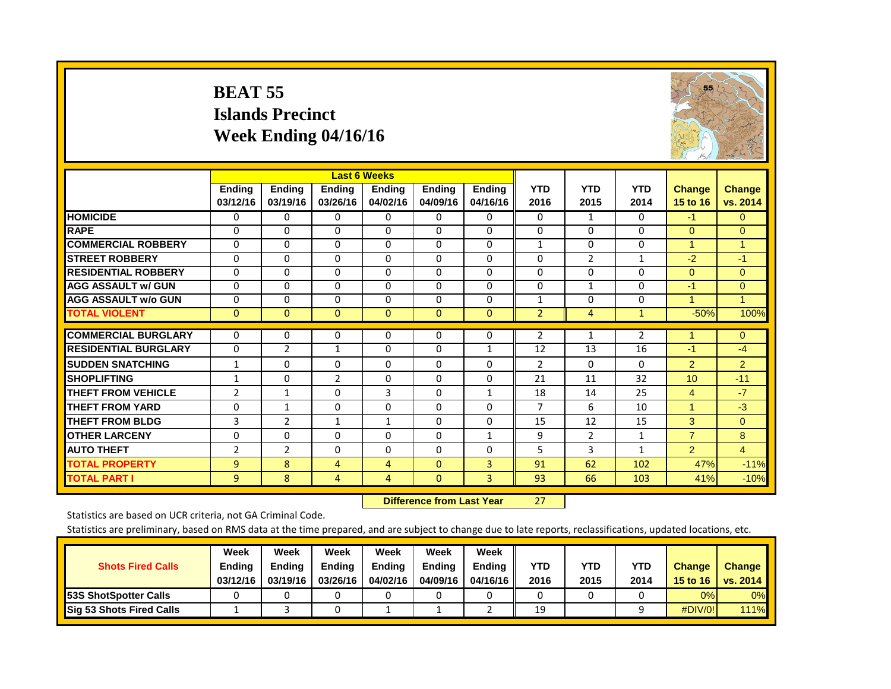#### **BEAT 55 Islands PrecinctWeek Ending 04/16/16**



|                             |                |                | <b>Last 6 Weeks</b> |               |               |               |                |                |              |                      |                |
|-----------------------------|----------------|----------------|---------------------|---------------|---------------|---------------|----------------|----------------|--------------|----------------------|----------------|
|                             | <b>Ending</b>  | <b>Ending</b>  | Ending              | <b>Endina</b> | <b>Ending</b> | <b>Ending</b> | <b>YTD</b>     | <b>YTD</b>     | <b>YTD</b>   | <b>Change</b>        | <b>Change</b>  |
|                             | 03/12/16       | 03/19/16       | 03/26/16            | 04/02/16      | 04/09/16      | 04/16/16      | 2016           | 2015           | 2014         | 15 to 16             | vs. 2014       |
| <b>HOMICIDE</b>             | $\Omega$       | 0              | $\Omega$            | $\Omega$      | 0             | $\Omega$      | $\Omega$       | 1              | $\Omega$     | $-1$                 | $\overline{0}$ |
| <b>RAPE</b>                 | $\Omega$       | $\Omega$       | $\Omega$            | $\Omega$      | $\Omega$      | $\Omega$      | $\Omega$       | $\Omega$       | $\Omega$     | $\Omega$             | $\Omega$       |
| <b>COMMERCIAL ROBBERY</b>   | $\Omega$       | $\Omega$       | $\Omega$            | $\Omega$      | $\Omega$      | $\Omega$      | $\mathbf{1}$   | $\Omega$       | $\Omega$     | $\mathbf{1}$         | $\overline{1}$ |
| <b>STREET ROBBERY</b>       | 0              | $\Omega$       | $\Omega$            | 0             | $\Omega$      | $\Omega$      | $\mathbf 0$    | 2              | 1            | $-2$                 | $-1$           |
| <b>RESIDENTIAL ROBBERY</b>  | $\Omega$       | $\Omega$       | $\Omega$            | $\Omega$      | $\Omega$      | $\Omega$      | $\Omega$       | $\Omega$       | $\Omega$     | $\Omega$             | $\Omega$       |
| <b>AGG ASSAULT w/ GUN</b>   | $\Omega$       | $\Omega$       | $\Omega$            | $\Omega$      | $\Omega$      | $\Omega$      | $\Omega$       | $\mathbf{1}$   | $\Omega$     | -1                   | $\Omega$       |
| <b>AGG ASSAULT w/o GUN</b>  | $\Omega$       | $\Omega$       | 0                   | $\Omega$      | $\Omega$      | $\Omega$      | $\mathbf{1}$   | $\Omega$       | $\Omega$     | 1                    | 1              |
| <b>TOTAL VIOLENT</b>        | $\mathbf{0}$   | $\mathbf{0}$   | $\mathbf{0}$        | $\mathbf{0}$  | $\mathbf 0$   | $\mathbf{0}$  | $\overline{2}$ | 4              | $\mathbf{1}$ | $-50%$               | 100%           |
| <b>COMMERCIAL BURGLARY</b>  | $\Omega$       | 0              | 0                   | $\Omega$      | 0             | 0             | $\overline{2}$ | $\mathbf{1}$   | 2            |                      | $\mathbf{0}$   |
| <b>RESIDENTIAL BURGLARY</b> | $\Omega$       | 2              | 1                   | $\Omega$      | $\Omega$      | $\mathbf{1}$  | 12             | 13             | 16           | $-1$                 | $-4$           |
| <b>SUDDEN SNATCHING</b>     | $\mathbf{1}$   | $\Omega$       | $\Omega$            | $\Omega$      | $\Omega$      | $\Omega$      | $\overline{2}$ | $\Omega$       | $\Omega$     | $\overline{2}$       | $\overline{2}$ |
| <b>SHOPLIFTING</b>          | $\mathbf{1}$   | $\Omega$       | $\overline{2}$      | $\Omega$      | $\Omega$      | $\Omega$      | 21             | 11             | 32           | 10                   | $-11$          |
| <b>THEFT FROM VEHICLE</b>   | 2              | $\mathbf{1}$   | $\Omega$            | 3             | $\Omega$      | $\mathbf{1}$  | 18             | 14             | 25           | $\overline{4}$       | $-7$           |
| <b>THEFT FROM YARD</b>      | $\Omega$       | $\mathbf{1}$   | 0                   | $\Omega$      | $\Omega$      | 0             | $\overline{7}$ | 6              | 10           | $\blacktriangleleft$ | $-3$           |
| <b>THEFT FROM BLDG</b>      | 3              | $\overline{2}$ | 1                   | $\mathbf{1}$  | 0             | $\Omega$      | 15             | 12             | 15           | 3                    | $\Omega$       |
| <b>OTHER LARCENY</b>        | $\mathbf 0$    | $\Omega$       | $\Omega$            | $\Omega$      | $\Omega$      | 1             | 9              | $\overline{2}$ | 1            | $\overline{7}$       | 8              |
| <b>AUTO THEFT</b>           | $\overline{2}$ | $\overline{2}$ | $\Omega$            | $\Omega$      | $\Omega$      | $\Omega$      | 5.             | 3              | $\mathbf{1}$ | $\overline{2}$       | 4              |
| <b>TOTAL PROPERTY</b>       | 9              | 8              | 4                   | 4             | $\Omega$      | $\mathbf{3}$  | 91             | 62             | 102          | 47%                  | $-11%$         |
| <b>TOTAL PART I</b>         | 9              | 8              | 4                   | 4             | $\mathbf{0}$  | 3             | 93             | 66             | 103          | 41%                  | $-10%$         |

 **Difference from Last Year**r 27

Statistics are based on UCR criteria, not GA Criminal Code.

|                               | Week          | Week          | Week          | Week          | Week          | Week     |      |      |            |               |               |
|-------------------------------|---------------|---------------|---------------|---------------|---------------|----------|------|------|------------|---------------|---------------|
| <b>Shots Fired Calls</b>      | <b>Ending</b> | <b>Endina</b> | <b>Ending</b> | <b>Ending</b> | <b>Endina</b> | Endina   | YTD  | YTD  | <b>YTD</b> | <b>Change</b> | <b>Change</b> |
|                               | 03/12/16      | 03/19/16      | 03/26/16      | 04/02/16      | 04/09/16      | 04/16/16 | 2016 | 2015 | 2014       | 15 to 16      | vs. 2014      |
| <b>153S ShotSpotter Calls</b> |               |               |               |               |               |          |      |      |            | 0%            | 0%            |
| Sig 53 Shots Fired Calls      |               |               |               |               |               |          | 19   |      |            | #DIV/0!       | <b>111%</b>   |